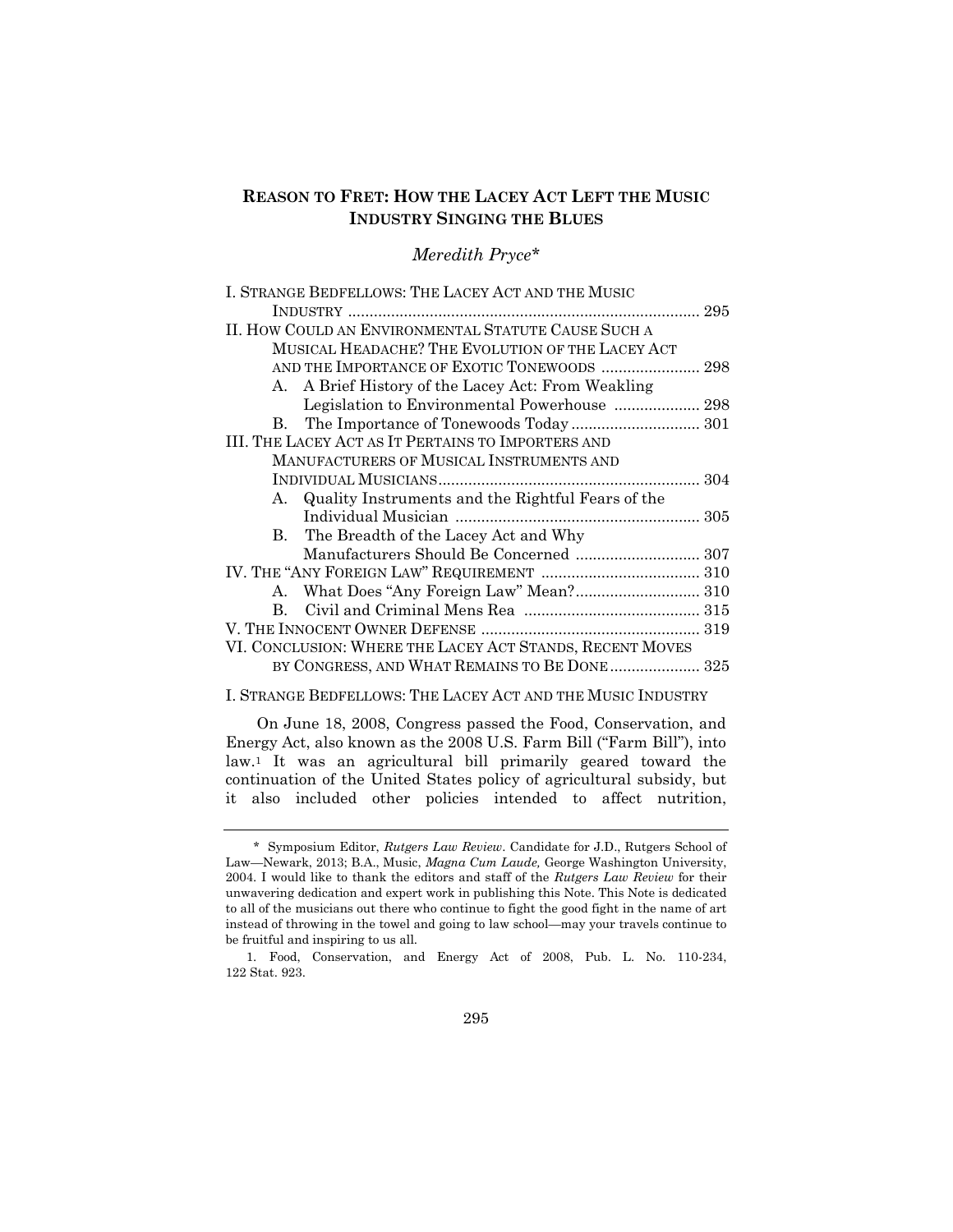# **REASON TO FRET: HOW THE LACEY ACT LEFT THE MUSIC INDUSTRY SINGING THE BLUES**

## *Meredith Pryce\**

| I. STRANGE BEDFELLOWS: THE LACEY ACT AND THE MUSIC       |  |
|----------------------------------------------------------|--|
|                                                          |  |
| II. HOW COULD AN ENVIRONMENTAL STATUTE CAUSE SUCH A      |  |
| MUSICAL HEADACHE? THE EVOLUTION OF THE LACEY ACT         |  |
| AND THE IMPORTANCE OF EXOTIC TONEWOODS  298              |  |
| A. A Brief History of the Lacey Act: From Weakling       |  |
|                                                          |  |
| В.                                                       |  |
| III. THE LACEY ACT AS IT PERTAINS TO IMPORTERS AND       |  |
| MANUFACTURERS OF MUSICAL INSTRUMENTS AND                 |  |
|                                                          |  |
| Quality Instruments and the Rightful Fears of the<br>A.  |  |
|                                                          |  |
| B. The Breadth of the Lacey Act and Why                  |  |
| Manufacturers Should Be Concerned  307                   |  |
|                                                          |  |
|                                                          |  |
| B.                                                       |  |
|                                                          |  |
| VI. CONCLUSION: WHERE THE LACEY ACT STANDS, RECENT MOVES |  |
| BY CONGRESS, AND WHAT REMAINS TO BE DONE 325             |  |
|                                                          |  |

### I. STRANGE BEDFELLOWS: THE LACEY ACT AND THE MUSIC INDUSTRY

On June 18, 2008, Congress passed the Food, Conservation, and Energy Act, also known as the 2008 U.S. Farm Bill ("Farm Bill"), into law.<sup>1</sup> It was an agricultural bill primarily geared toward the continuation of the United States policy of agricultural subsidy, but it also included other policies intended to affect nutrition,

 <sup>\*</sup> Symposium Editor, *Rutgers Law Review*. Candidate for J.D., Rutgers School of Law—Newark, 2013; B.A., Music, *Magna Cum Laude,* George Washington University, 2004. I would like to thank the editors and staff of the *Rutgers Law Review* for their unwavering dedication and expert work in publishing this Note. This Note is dedicated to all of the musicians out there who continue to fight the good fight in the name of art instead of throwing in the towel and going to law school—may your travels continue to be fruitful and inspiring to us all.

<sup>1.</sup> Food, Conservation, and Energy Act of 2008, Pub. L. No. 110-234, 122 [Stat.](http://en.wikipedia.org/wiki/United_States_Statutes_at_Large) 923.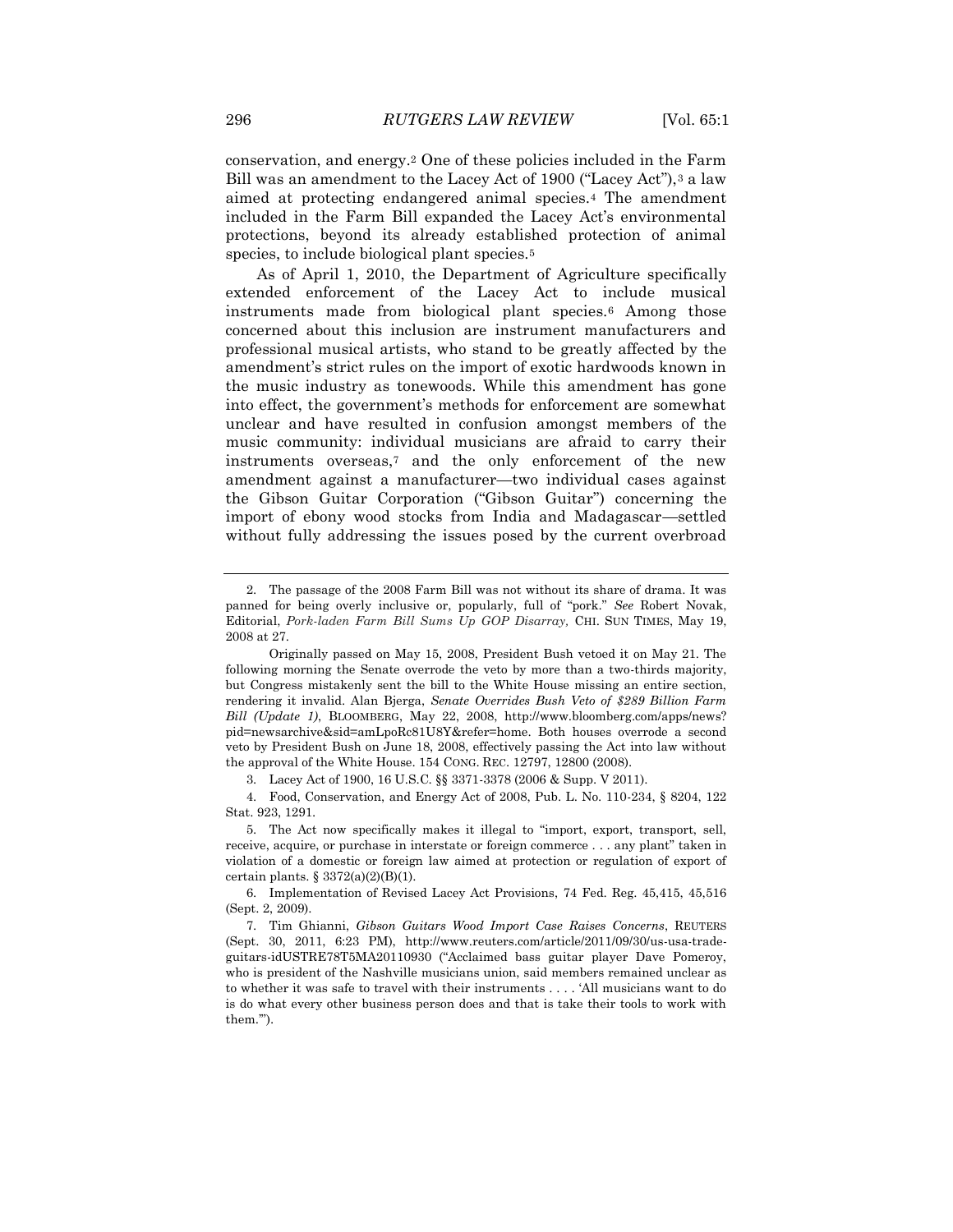conservation, and energy.<sup>2</sup> One of these policies included in the Farm Bill was an amendment to the Lacey Act of 1900 ("Lacey Act"),<sup>3</sup> a law aimed at protecting endangered animal species.<sup>4</sup> The amendment included in the Farm Bill expanded the Lacey Act's environmental protections, beyond its already established protection of animal species, to include biological plant species.<sup>5</sup>

As of April 1, 2010, the Department of Agriculture specifically extended enforcement of the Lacey Act to include musical instruments made from biological plant species.<sup>6</sup> Among those concerned about this inclusion are instrument manufacturers and professional musical artists, who stand to be greatly affected by the amendment's strict rules on the import of exotic hardwoods known in the music industry as tonewoods. While this amendment has gone into effect, the government's methods for enforcement are somewhat unclear and have resulted in confusion amongst members of the music community: individual musicians are afraid to carry their instruments overseas,<sup>7</sup> and the only enforcement of the new amendment against a manufacturer—two individual cases against the Gibson Guitar Corporation ("Gibson Guitar") concerning the import of ebony wood stocks from India and Madagascar—settled without fully addressing the issues posed by the current overbroad

<sup>2.</sup> The passage of the 2008 Farm Bill was not without its share of drama. It was panned for being overly inclusive or, popularly, full of "pork." *See* Robert Novak, Editorial, *Pork-laden Farm Bill Sums Up GOP Disarray,* CHI. SUN TIMES, May 19, 2008 at 27.

Originally passed on May 15, 2008, President Bush vetoed it on May 21. The following morning the Senate overrode the veto by more than a two-thirds majority, but Congress mistakenly sent the bill to the White House missing an entire section, rendering it invalid. Alan Bjerga, *Senate Overrides Bush Veto of \$289 Billion Farm Bill (Update 1)*, BLOOMBERG, May 22, 2008, http://www.bloomberg.com/apps/news? pid=newsarchive&sid=amLpoRc81U8Y&refer=home. Both houses overrode a second veto by President Bush on June 18, 2008, effectively passing the Act into law without the approval of the White House. 154 CONG. REC. 12797, 12800 (2008).

<sup>3.</sup> Lacey Act of 1900, 16 U.S.C. §§ 3371-3378 (2006 & Supp. V 2011).

<sup>4.</sup> Food, Conservation, and Energy Act of 2008, Pub. L. No. 110-234, § 8204, 122 Stat. 923, 1291.

<sup>5.</sup> The Act now specifically makes it illegal to "import, export, transport, sell, receive, acquire, or purchase in interstate or foreign commerce . . . any plant" taken in violation of a domestic or foreign law aimed at protection or regulation of export of certain plants.  $\S 3372(a)(2)(B)(1)$ .

<sup>6.</sup> Implementation of Revised Lacey Act Provisions, 74 Fed. Reg. 45,415, 45,516 (Sept. 2, 2009).

<sup>7.</sup> Tim Ghianni, *Gibson Guitars Wood Import Case Raises Concerns*, REUTERS (Sept. 30, 2011, 6:23 PM), http://www.reuters.com/article/2011/09/30/us-usa-tradeguitars-idUSTRE78T5MA20110930 ("Acclaimed bass guitar player Dave Pomeroy, who is president of the Nashville musicians union, said members remained unclear as to whether it was safe to travel with their instruments . . . . 'All musicians want to do is do what every other business person does and that is take their tools to work with them.'").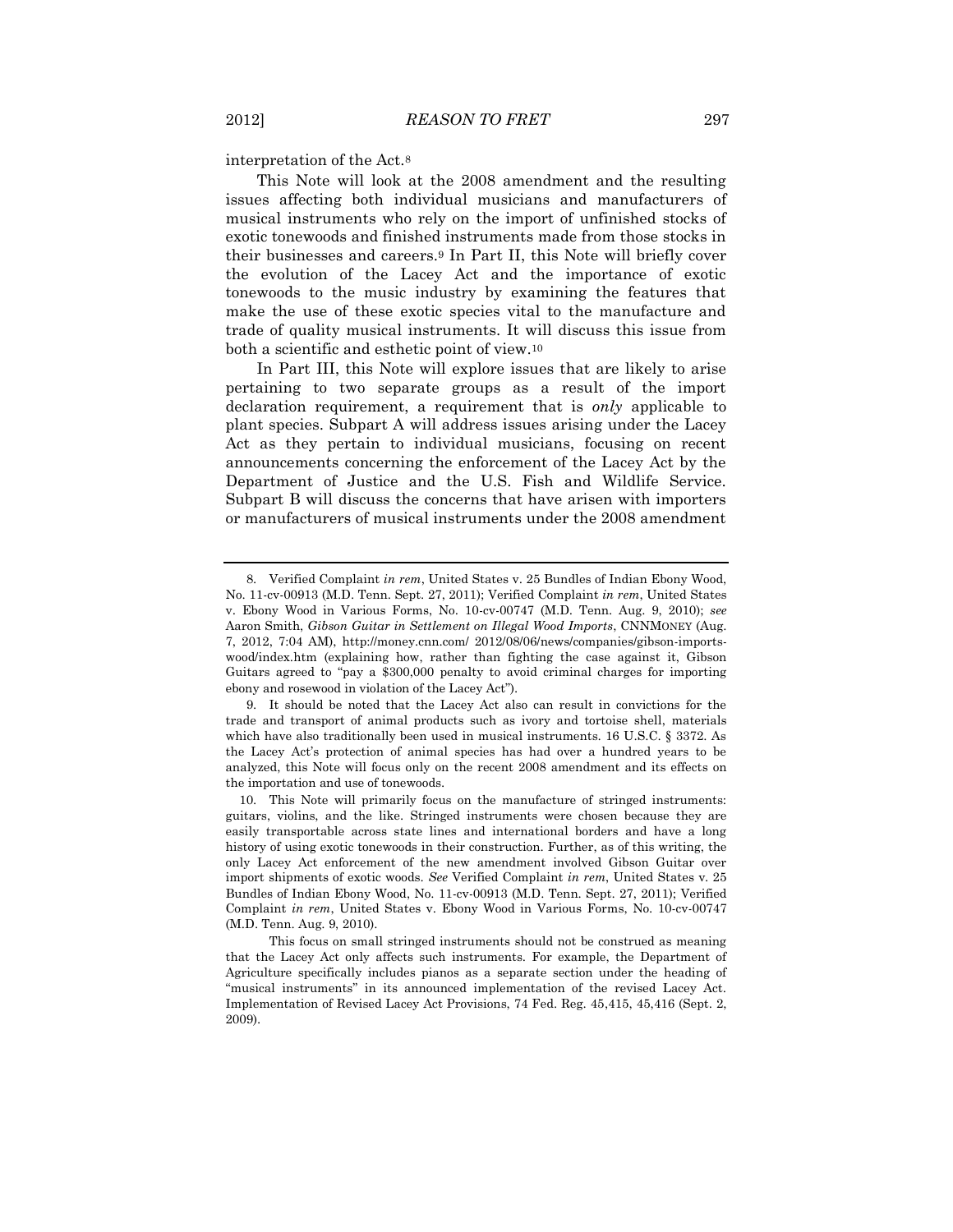interpretation of the Act.<sup>8</sup>

This Note will look at the 2008 amendment and the resulting issues affecting both individual musicians and manufacturers of musical instruments who rely on the import of unfinished stocks of exotic tonewoods and finished instruments made from those stocks in their businesses and careers.<sup>9</sup> In Part II, this Note will briefly cover the evolution of the Lacey Act and the importance of exotic tonewoods to the music industry by examining the features that make the use of these exotic species vital to the manufacture and trade of quality musical instruments. It will discuss this issue from both a scientific and esthetic point of view.<sup>10</sup>

In Part III, this Note will explore issues that are likely to arise pertaining to two separate groups as a result of the import declaration requirement, a requirement that is *only* applicable to plant species. Subpart A will address issues arising under the Lacey Act as they pertain to individual musicians, focusing on recent announcements concerning the enforcement of the Lacey Act by the Department of Justice and the U.S. Fish and Wildlife Service. Subpart B will discuss the concerns that have arisen with importers or manufacturers of musical instruments under the 2008 amendment

<sup>8.</sup> Verified Complaint *in rem*, United States v. 25 Bundles of Indian Ebony Wood, No. 11-cv-00913 (M.D. Tenn. Sept. 27, 2011); Verified Complaint *in rem*, United States v. Ebony Wood in Various Forms, No. 10-cv-00747 (M.D. Tenn. Aug. 9, 2010); *see* Aaron Smith, *Gibson Guitar in Settlement on Illegal Wood Imports*, CNNMONEY (Aug. 7, 2012, 7:04 AM), http://money.cnn.com/ 2012/08/06/news/companies/gibson-importswood/index.htm (explaining how, rather than fighting the case against it, Gibson Guitars agreed to "pay a \$300,000 penalty to avoid criminal charges for importing ebony and rosewood in violation of the Lacey Act").

<sup>9.</sup> It should be noted that the Lacey Act also can result in convictions for the trade and transport of animal products such as ivory and tortoise shell, materials which have also traditionally been used in musical instruments. 16 U.S.C. § 3372. As the Lacey Act's protection of animal species has had over a hundred years to be analyzed, this Note will focus only on the recent 2008 amendment and its effects on the importation and use of tonewoods.

<sup>10.</sup> This Note will primarily focus on the manufacture of stringed instruments: guitars, violins, and the like. Stringed instruments were chosen because they are easily transportable across state lines and international borders and have a long history of using exotic tonewoods in their construction. Further, as of this writing, the only Lacey Act enforcement of the new amendment involved Gibson Guitar over import shipments of exotic woods. *See* Verified Complaint *in rem*, United States v. 25 Bundles of Indian Ebony Wood, No. 11-cv-00913 (M.D. Tenn. Sept. 27, 2011); Verified Complaint *in rem*, United States v. Ebony Wood in Various Forms, No. 10-cv-00747 (M.D. Tenn. Aug. 9, 2010).

This focus on small stringed instruments should not be construed as meaning that the Lacey Act only affects such instruments. For example, the Department of Agriculture specifically includes pianos as a separate section under the heading of "musical instruments" in its announced implementation of the revised Lacey Act. Implementation of Revised Lacey Act Provisions, 74 Fed. Reg. 45,415, 45,416 (Sept. 2, 2009).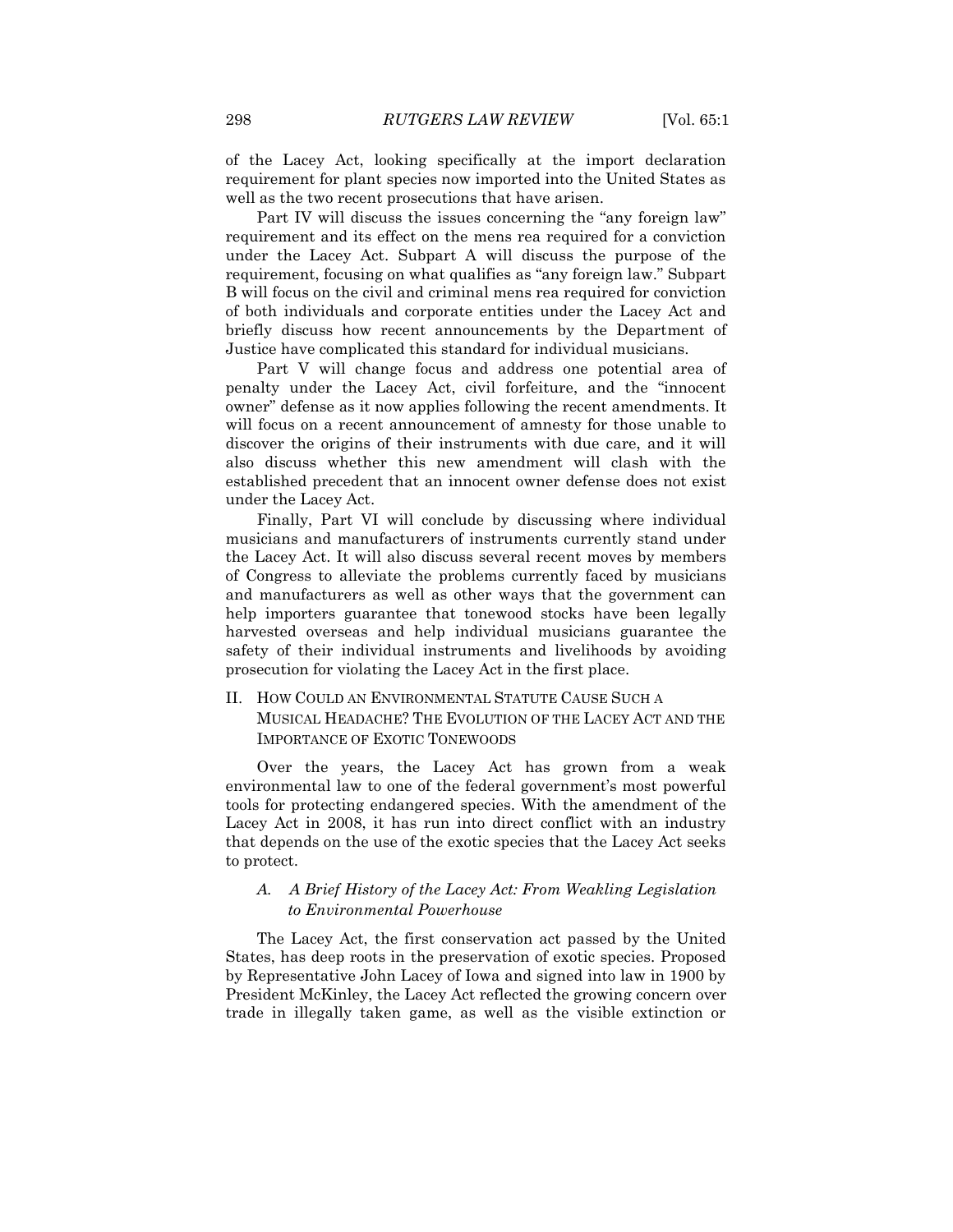of the Lacey Act, looking specifically at the import declaration requirement for plant species now imported into the United States as well as the two recent prosecutions that have arisen.

Part IV will discuss the issues concerning the "any foreign law" requirement and its effect on the mens rea required for a conviction under the Lacey Act. Subpart A will discuss the purpose of the requirement, focusing on what qualifies as "any foreign law." Subpart B will focus on the civil and criminal mens rea required for conviction of both individuals and corporate entities under the Lacey Act and briefly discuss how recent announcements by the Department of Justice have complicated this standard for individual musicians.

Part V will change focus and address one potential area of penalty under the Lacey Act, civil forfeiture, and the "innocent owner" defense as it now applies following the recent amendments. It will focus on a recent announcement of amnesty for those unable to discover the origins of their instruments with due care, and it will also discuss whether this new amendment will clash with the established precedent that an innocent owner defense does not exist under the Lacey Act.

Finally, Part VI will conclude by discussing where individual musicians and manufacturers of instruments currently stand under the Lacey Act. It will also discuss several recent moves by members of Congress to alleviate the problems currently faced by musicians and manufacturers as well as other ways that the government can help importers guarantee that tonewood stocks have been legally harvested overseas and help individual musicians guarantee the safety of their individual instruments and livelihoods by avoiding prosecution for violating the Lacey Act in the first place.

### II. HOW COULD AN ENVIRONMENTAL STATUTE CAUSE SUCH A MUSICAL HEADACHE? THE EVOLUTION OF THE LACEY ACT AND THE IMPORTANCE OF EXOTIC TONEWOODS

Over the years, the Lacey Act has grown from a weak environmental law to one of the federal government's most powerful tools for protecting endangered species. With the amendment of the Lacey Act in 2008, it has run into direct conflict with an industry that depends on the use of the exotic species that the Lacey Act seeks to protect.

### *A. A Brief History of the Lacey Act: From Weakling Legislation to Environmental Powerhouse*

The Lacey Act, the first conservation act passed by the United States, has deep roots in the preservation of exotic species. Proposed by Representative John Lacey of Iowa and signed into law in 1900 by President McKinley, the Lacey Act reflected the growing concern over trade in illegally taken game, as well as the visible extinction or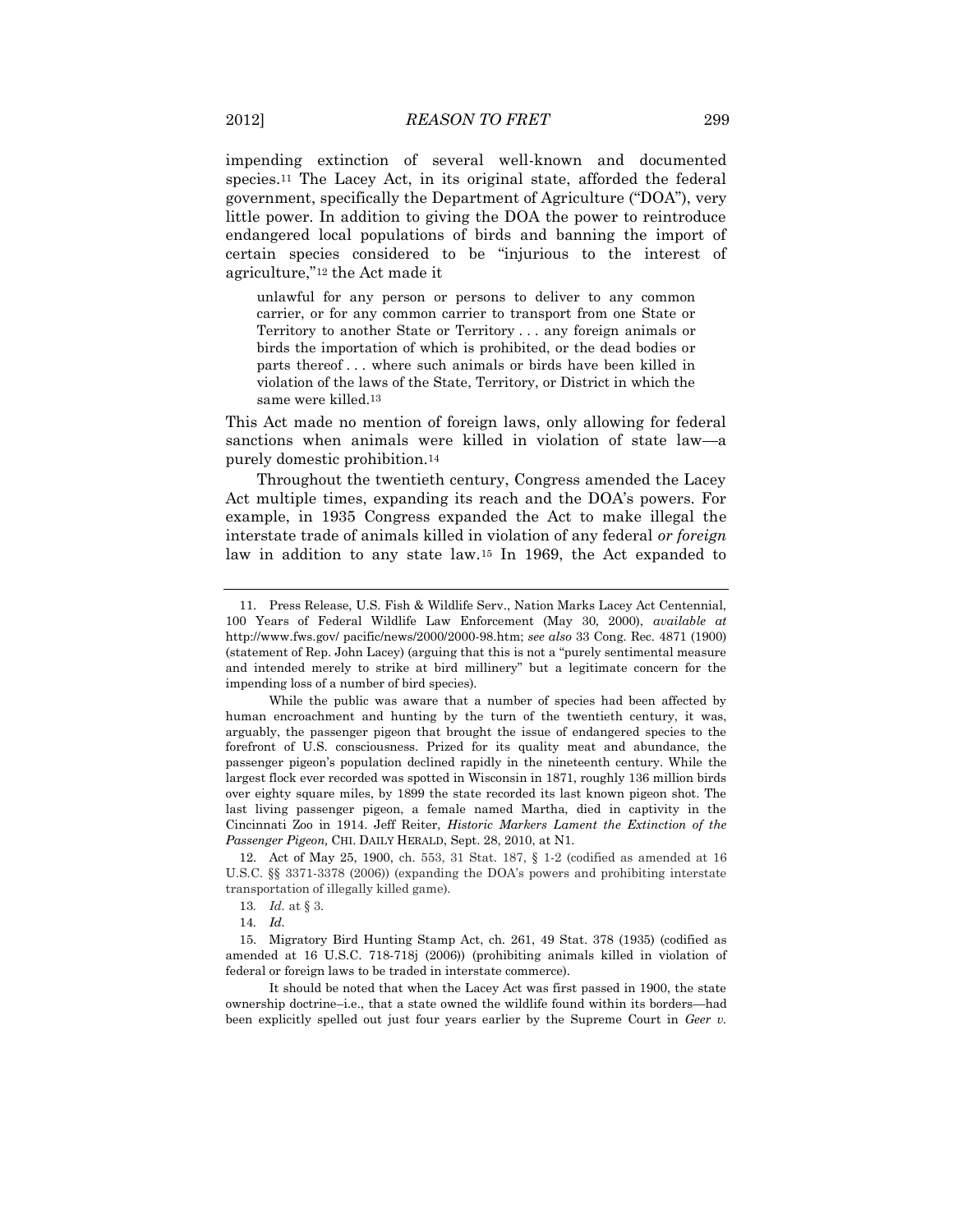impending extinction of several well-known and documented species.<sup>11</sup> The Lacey Act, in its original state, afforded the federal government, specifically the Department of Agriculture ("DOA"), very little power. In addition to giving the DOA the power to reintroduce endangered local populations of birds and banning the import of certain species considered to be "injurious to the interest of agriculture,"<sup>12</sup> the Act made it

unlawful for any person or persons to deliver to any common carrier, or for any common carrier to transport from one State or Territory to another State or Territory . . . any foreign animals or birds the importation of which is prohibited, or the dead bodies or parts thereof . . . where such animals or birds have been killed in violation of the laws of the State, Territory, or District in which the same were killed.13

This Act made no mention of foreign laws, only allowing for federal sanctions when animals were killed in violation of state lawpurely domestic prohibition.<sup>14</sup>

Throughout the twentieth century, Congress amended the Lacey Act multiple times, expanding its reach and the DOA's powers. For example, in 1935 Congress expanded the Act to make illegal the interstate trade of animals killed in violation of any federal *or foreign* law in addition to any state law.<sup>15</sup> In 1969, the Act expanded to

12. Act of May 25, 1900, ch. 553, 31 Stat. 187, § 1-2 (codified as amended at 16 U.S.C. §§ 3371-3378 (2006)) (expanding the DOA's powers and prohibiting interstate transportation of illegally killed game).

13*. Id.* at § 3.

14*. Id.*

15. Migratory Bird Hunting Stamp Act, ch. 261, 49 Stat. 378 (1935) (codified as amended at 16 U.S.C. 718-718j (2006)) (prohibiting animals killed in violation of federal or foreign laws to be traded in interstate commerce).

It should be noted that when the Lacey Act was first passed in 1900, the state ownership doctrine–i.e., that a state owned the wildlife found within its borders—had been explicitly spelled out just four years earlier by the Supreme Court in *Geer v.* 

<sup>11.</sup> Press Release, U.S. Fish & Wildlife Serv., Nation Marks Lacey Act Centennial, 100 Years of Federal Wildlife Law Enforcement (May 30, 2000), *available at* http://www.fws.gov/ pacific/news/2000/2000-98.htm; *see also* 33 Cong. Rec. 4871 (1900) (statement of Rep. John Lacey) (arguing that this is not a "purely sentimental measure and intended merely to strike at bird millinery" but a legitimate concern for the impending loss of a number of bird species).

While the public was aware that a number of species had been affected by human encroachment and hunting by the turn of the twentieth century, it was, arguably, the passenger pigeon that brought the issue of endangered species to the forefront of U.S. consciousness. Prized for its quality meat and abundance, the passenger pigeon's population declined rapidly in the nineteenth century. While the largest flock ever recorded was spotted in Wisconsin in 1871, roughly 136 million birds over eighty square miles, by 1899 the state recorded its last known pigeon shot. The last living passenger pigeon, a female named Martha, died in captivity in the Cincinnati Zoo in 1914. Jeff Reiter, *Historic Markers Lament the Extinction of the Passenger Pigeon,* CHI. DAILY HERALD, Sept. 28, 2010, at N1.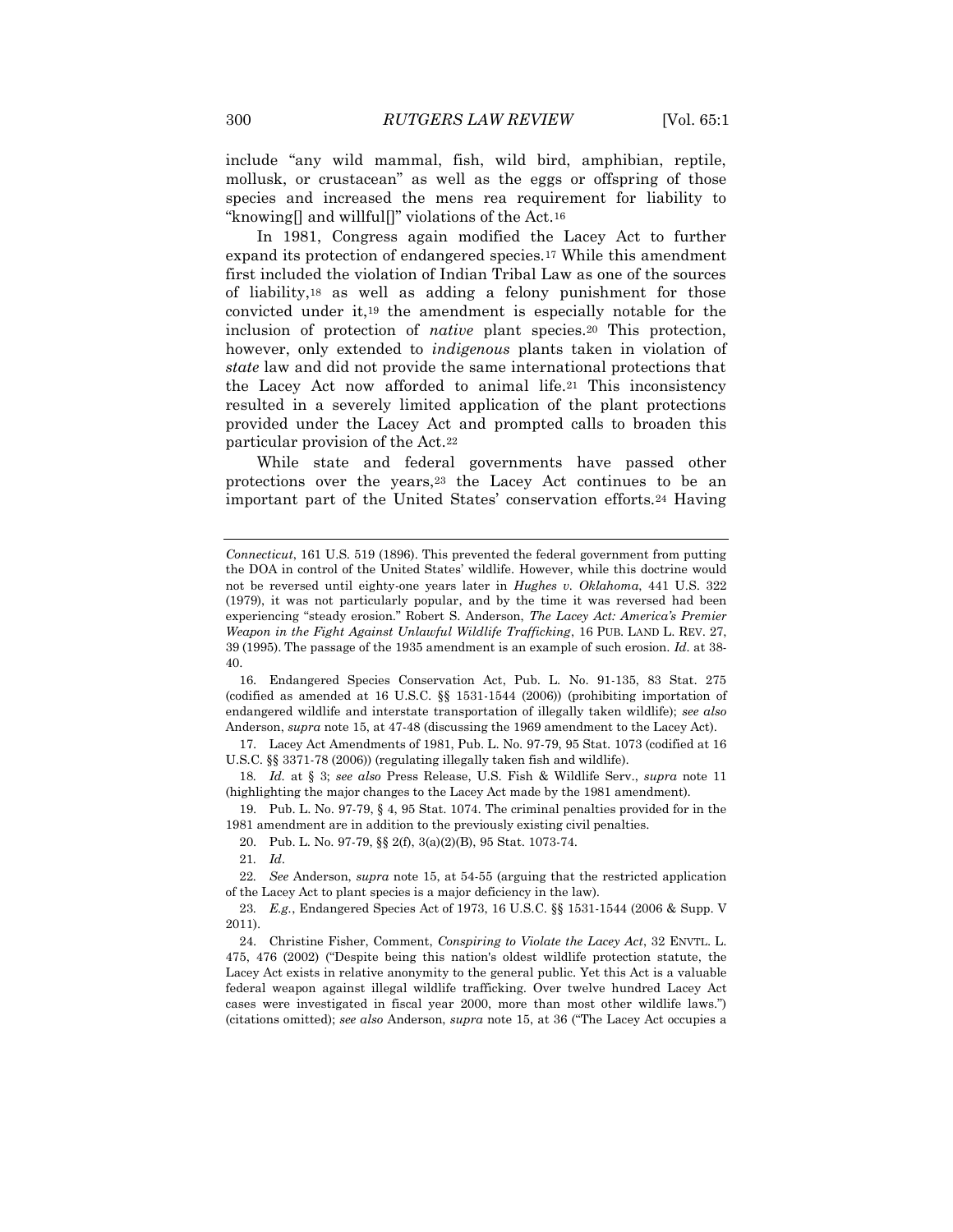include "any wild mammal, fish, wild bird, amphibian, reptile, mollusk, or crustacean" as well as the eggs or offspring of those species and increased the mens rea requirement for liability to "knowing] and willful]" violations of the Act.<sup>16</sup>

In 1981, Congress again modified the Lacey Act to further expand its protection of endangered species.<sup>17</sup> While this amendment first included the violation of Indian Tribal Law as one of the sources of liability,<sup>18</sup> as well as adding a felony punishment for those convicted under it,<sup>19</sup> the amendment is especially notable for the inclusion of protection of *native* plant species.<sup>20</sup> This protection, however, only extended to *indigenous* plants taken in violation of *state* law and did not provide the same international protections that the Lacey Act now afforded to animal life.<sup>21</sup> This inconsistency resulted in a severely limited application of the plant protections provided under the Lacey Act and prompted calls to broaden this particular provision of the Act.<sup>22</sup>

While state and federal governments have passed other protections over the years,<sup>23</sup> the Lacey Act continues to be an important part of the United States' conservation efforts.<sup>24</sup> Having

16. Endangered Species Conservation Act, Pub. L. No. 91-135, 83 Stat. 275 (codified as amended at 16 U.S.C. §§ 1531-1544 (2006)) (prohibiting importation of endangered wildlife and interstate transportation of illegally taken wildlife); *see also* Anderson, *supra* note 15, at 47-48 (discussing the 1969 amendment to the Lacey Act).

17. Lacey Act Amendments of 1981, Pub. L. No. 97-79, 95 Stat. 1073 (codified at 16 U.S.C. §§ 3371-78 (2006)) (regulating illegally taken fish and wildlife).

18*. Id.* at § 3; *see also* Press Release, U.S. Fish & Wildlife Serv., *supra* note 11 (highlighting the major changes to the Lacey Act made by the 1981 amendment).

19. Pub. L. No. 97-79, § 4, 95 Stat. 1074. The criminal penalties provided for in the 1981 amendment are in addition to the previously existing civil penalties.

20. Pub. L. No. 97-79, §§ 2(f), 3(a)(2)(B), 95 Stat. 1073-74.

21*. Id*.

22*. See* Anderson, *supra* note 15, at 54-55 (arguing that the restricted application of the Lacey Act to plant species is a major deficiency in the law).

23*. E.g.*, Endangered Species Act of 1973, 16 U.S.C. §§ 1531-1544 (2006 & Supp. V 2011).

24. Christine Fisher, Comment, *Conspiring to Violate the Lacey Act*, 32 ENVTL. L. 475, 476 (2002) ("Despite being this nation's oldest wildlife protection statute, the Lacey Act exists in relative anonymity to the general public. Yet this Act is a valuable federal weapon against illegal wildlife trafficking. Over twelve hundred Lacey Act cases were investigated in fiscal year 2000, more than most other wildlife laws.") (citations omitted); *see also* Anderson, *supra* note 15, at 36 ("The [Lacey Act o](http://www.animallaw.info/statutes/stusfd16usca3371.htm)ccupies a

*Connecticut*, 161 U.S. 519 (1896). This prevented the federal government from putting the DOA in control of the United States' wildlife. However, while this doctrine would not be reversed until eighty-one years later in *Hughes v. Oklahoma*, 441 U.S. 322 (1979), it was not particularly popular, and by the time it was reversed had been experiencing "steady erosion." Robert S. Anderson, *The Lacey Act: America's Premier Weapon in the Fight Against Unlawful Wildlife Trafficking*, 16 PUB. LAND L. REV. 27, 39 (1995). The passage of the 1935 amendment is an example of such erosion. *Id.* at 38- 40.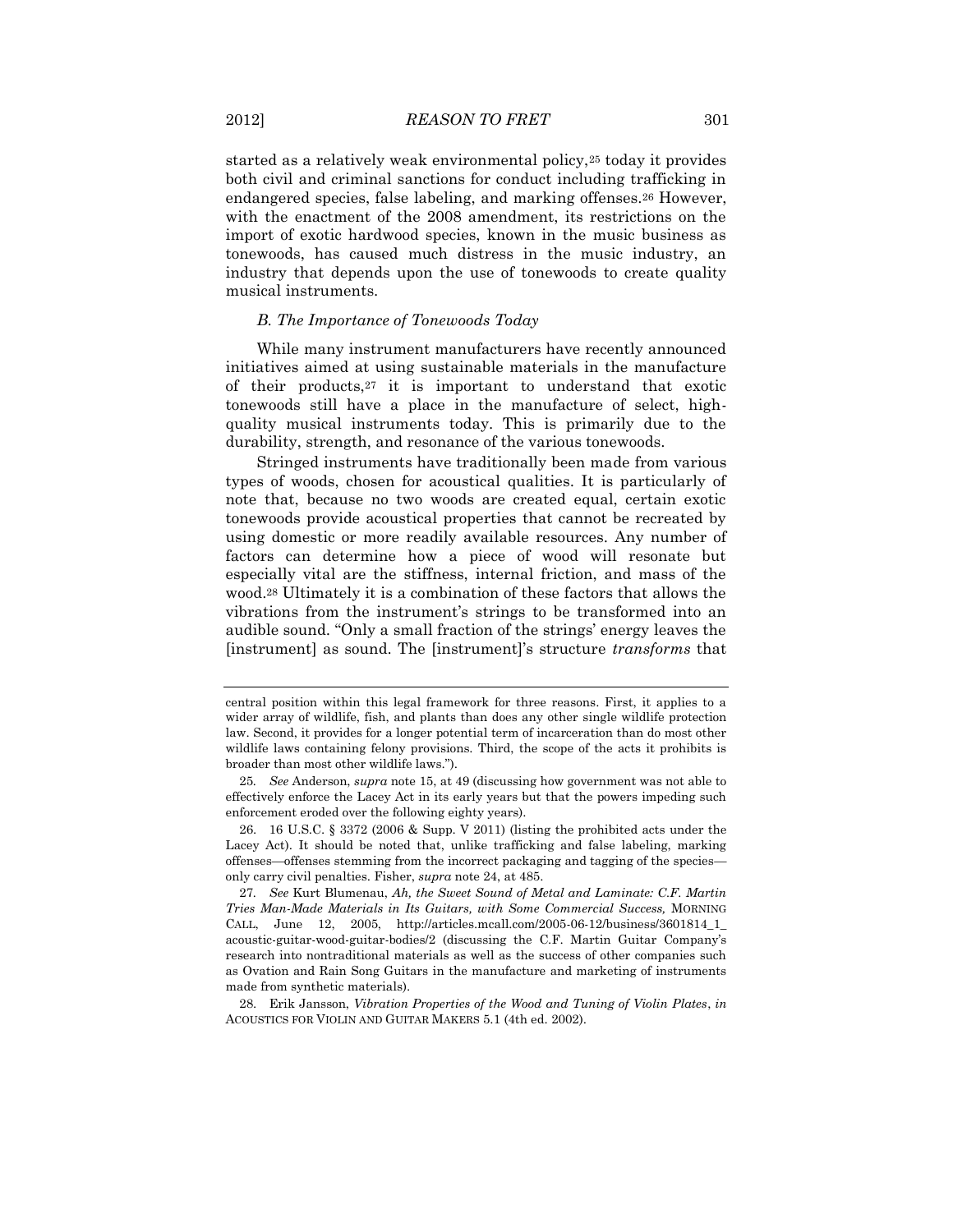started as a relatively weak environmental policy,<sup>25</sup> today it provides both civil and criminal sanctions for conduct including trafficking in endangered species, false labeling, and marking offenses.<sup>26</sup> However, with the enactment of the 2008 amendment, its restrictions on the import of exotic hardwood species, known in the music business as tonewoods, has caused much distress in the music industry, an industry that depends upon the use of tonewoods to create quality musical instruments.

#### *B. The Importance of Tonewoods Today*

While many instrument manufacturers have recently announced initiatives aimed at using sustainable materials in the manufacture of their products,<sup>27</sup> it is important to understand that exotic tonewoods still have a place in the manufacture of select, highquality musical instruments today. This is primarily due to the durability, strength, and resonance of the various tonewoods.

Stringed instruments have traditionally been made from various types of woods, chosen for acoustical qualities. It is particularly of note that, because no two woods are created equal, certain exotic tonewoods provide acoustical properties that cannot be recreated by using domestic or more readily available resources. Any number of factors can determine how a piece of wood will resonate but especially vital are the stiffness, internal friction, and mass of the wood.<sup>28</sup> Ultimately it is a combination of these factors that allows the vibrations from the instrument's strings to be transformed into an audible sound. "Only a small fraction of the strings' energy leaves the [instrument] as sound. The [instrument]'s structure *transforms* that

central position within this legal framework for three reasons. First, it applies to a wider array of wildlife, fish, and plants than does any other single wildlife protection law. Second, it provides for a longer potential term of incarceration than do most other wildlife laws containing felony provisions. Third, the scope of the acts it prohibits is broader than most other wildlife laws.").

<sup>25</sup>*. See* Anderson, *supra* note 15, at 49 (discussing how government was not able to effectively enforce the Lacey Act in its early years but that the powers impeding such enforcement eroded over the following eighty years).

<sup>26.</sup> 16 U.S.C. § 3372 (2006 & Supp. V 2011) (listing the prohibited acts under the Lacey Act). It should be noted that, unlike trafficking and false labeling, marking offenses—offenses stemming from the incorrect packaging and tagging of the species only carry civil penalties. Fisher, *supra* note 24, at 485.

<sup>27</sup>*. See* Kurt Blumenau, *Ah, the Sweet Sound of Metal and Laminate: C.F. Martin Tries Man-Made Materials in Its Guitars, with Some Commercial Success,* MORNING CALL, June 12, 2005, http://articles.mcall.com/2005-06-12/business/3601814\_1\_ acoustic-guitar-wood-guitar-bodies/2 (discussing the C.F. Martin Guitar Company's research into nontraditional materials as well as the success of other companies such as Ovation and Rain Song Guitars in the manufacture and marketing of instruments made from synthetic materials).

<sup>28.</sup> Erik Jansson, *Vibration Properties of the Wood and Tuning of Violin Plates*, *in*  ACOUSTICS FOR VIOLIN AND GUITAR MAKERS 5.1 (4th ed. 2002).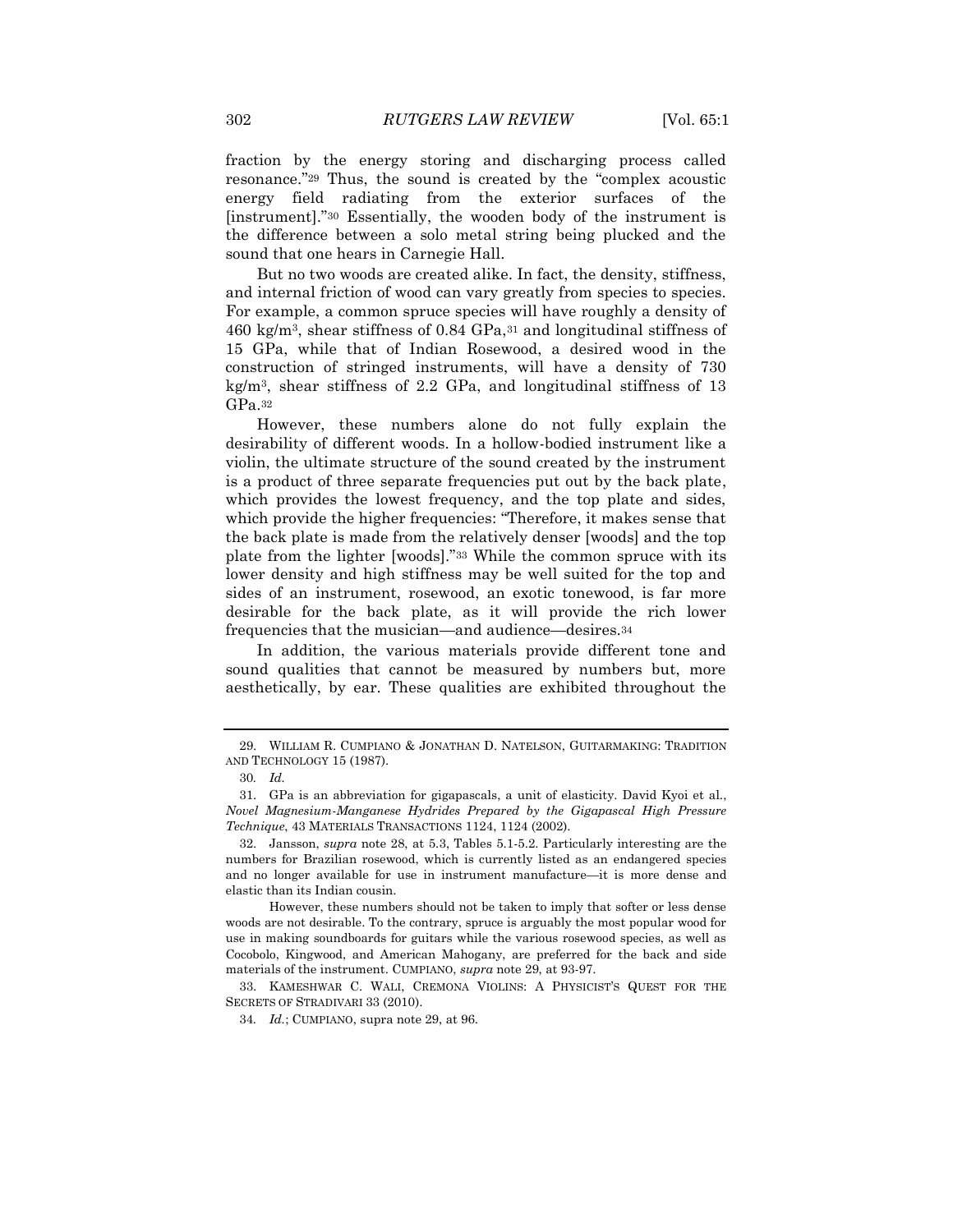fraction by the energy storing and discharging process called resonance."<sup>29</sup> Thus, the sound is created by the "complex acoustic energy field radiating from the exterior surfaces of the [instrument]."<sup>30</sup> Essentially, the wooden body of the instrument is the difference between a solo metal string being plucked and the sound that one hears in Carnegie Hall.

But no two woods are created alike. In fact, the density, stiffness, and internal friction of wood can vary greatly from species to species. For example, a common spruce species will have roughly a density of 460 kg/m3, shear stiffness of 0.84 GPa,<sup>31</sup> and longitudinal stiffness of 15 GPa, while that of Indian Rosewood, a desired wood in the construction of stringed instruments, will have a density of 730 kg/m3, shear stiffness of 2.2 GPa, and longitudinal stiffness of 13 GPa.<sup>32</sup>

However, these numbers alone do not fully explain the desirability of different woods. In a hollow-bodied instrument like a violin, the ultimate structure of the sound created by the instrument is a product of three separate frequencies put out by the back plate, which provides the lowest frequency, and the top plate and sides, which provide the higher frequencies: "Therefore, it makes sense that the back plate is made from the relatively denser [woods] and the top plate from the lighter [woods]."<sup>33</sup> While the common spruce with its lower density and high stiffness may be well suited for the top and sides of an instrument, rosewood, an exotic tonewood, is far more desirable for the back plate, as it will provide the rich lower frequencies that the musician—and audience—desires.<sup>34</sup>

In addition, the various materials provide different tone and sound qualities that cannot be measured by numbers but, more aesthetically, by ear. These qualities are exhibited throughout the

<sup>29.</sup> WILLIAM R. CUMPIANO & JONATHAN D. NATELSON, GUITARMAKING: TRADITION AND TECHNOLOGY 15 (1987).

<sup>30</sup>*. Id.*

<sup>31.</sup> GPa is an abbreviation for gigapascals, a unit of elasticity. David Kyoi et al., *Novel Magnesium-Manganese Hydrides Prepared by the Gigapascal High Pressure Technique*, 43 MATERIALS TRANSACTIONS 1124, 1124 (2002).

<sup>32.</sup> Jansson, *supra* note 28, at 5.3, Tables 5.1-5.2. Particularly interesting are the numbers for Brazilian rosewood, which is currently listed as an endangered species and no longer available for use in instrument manufacture—it is more dense and elastic than its Indian cousin.

However, these numbers should not be taken to imply that softer or less dense woods are not desirable. To the contrary, spruce is arguably the most popular wood for use in making soundboards for guitars while the various rosewood species, as well as Cocobolo, Kingwood, and American Mahogany, are preferred for the back and side materials of the instrument. CUMPIANO, *supra* note 29, at 93-97.

<sup>33.</sup> KAMESHWAR C. WALI, CREMONA VIOLINS: A PHYSICIST'S QUEST FOR THE SECRETS OF STRADIVARI 33 (2010).

<sup>34</sup>*. Id.*; CUMPIANO, supra note 29, at 96.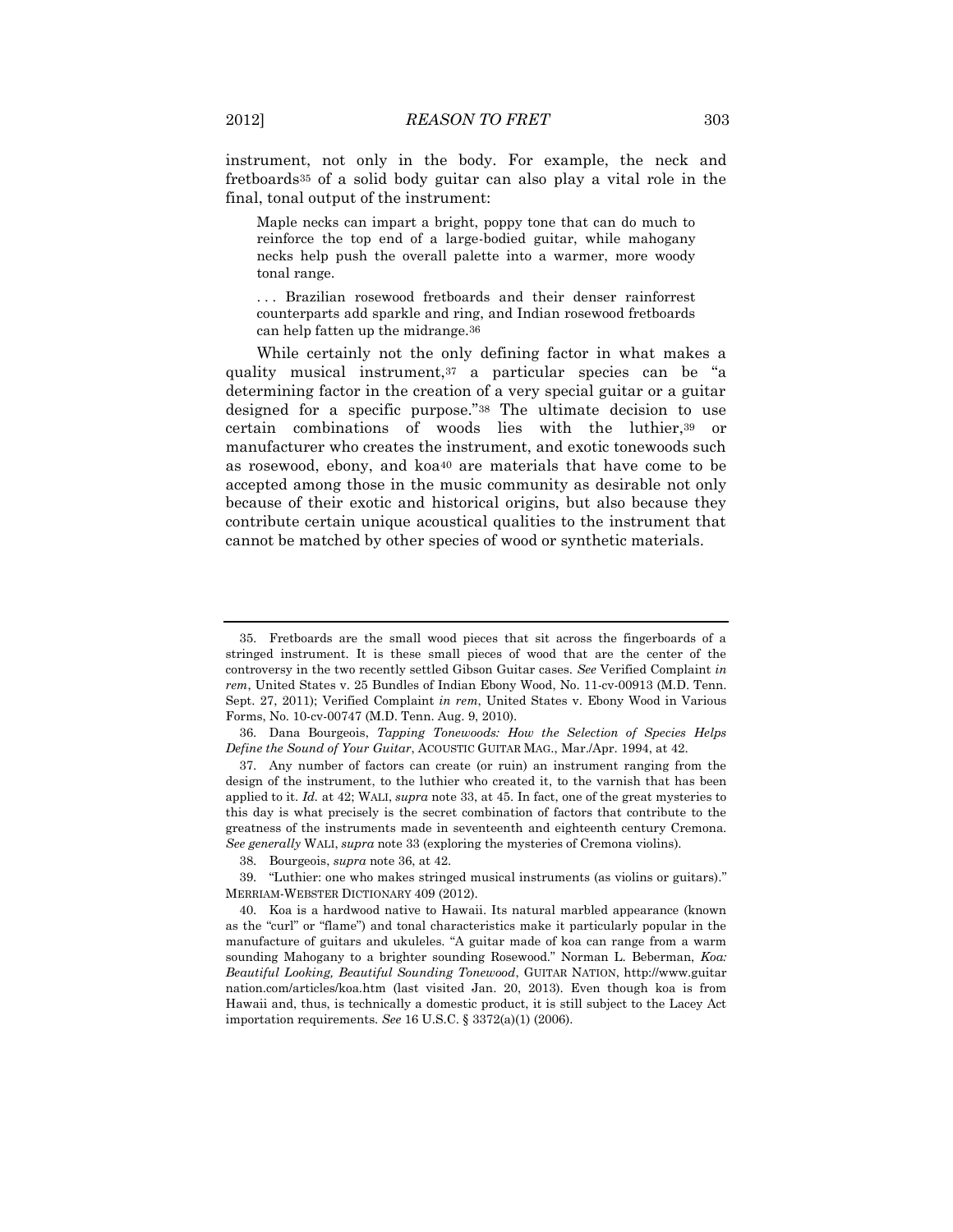instrument, not only in the body. For example, the neck and fretboards<sup>35</sup> of a solid body guitar can also play a vital role in the final, tonal output of the instrument:

Maple necks can impart a bright, poppy tone that can do much to reinforce the top end of a large-bodied guitar, while mahogany necks help push the overall palette into a warmer, more woody tonal range.

. . . Brazilian rosewood fretboards and their denser rainforrest counterparts add sparkle and ring, and Indian rosewood fretboards can help fatten up the midrange.36

While certainly not the only defining factor in what makes a quality musical instrument,<sup>37</sup> a particular species can be "a determining factor in the creation of a very special guitar or a guitar designed for a specific purpose."<sup>38</sup> The ultimate decision to use certain combinations of woods lies with the luthier,<sup>39</sup> or manufacturer who creates the instrument, and exotic tonewoods such as rosewood, ebony, and koa<sup>40</sup> are materials that have come to be accepted among those in the music community as desirable not only because of their exotic and historical origins, but also because they contribute certain unique acoustical qualities to the instrument that cannot be matched by other species of wood or synthetic materials.

<sup>35.</sup> Fretboards are the small wood pieces that sit across the fingerboards of a stringed instrument. It is these small pieces of wood that are the center of the controversy in the two recently settled Gibson Guitar cases. *See* Verified Complaint *in rem*, United States v. 25 Bundles of Indian Ebony Wood, No. 11-cv-00913 (M.D. Tenn. Sept. 27, 2011); Verified Complaint *in rem*, United States v. Ebony Wood in Various Forms, No. 10-cv-00747 (M.D. Tenn. Aug. 9, 2010).

<sup>36.</sup> Dana Bourgeois, *Tapping Tonewoods: How the Selection of Species Helps Define the Sound of Your Guitar*, ACOUSTIC GUITAR MAG., Mar./Apr. 1994, at 42.

<sup>37.</sup> Any number of factors can create (or ruin) an instrument ranging from the design of the instrument, to the luthier who created it, to the varnish that has been applied to it. *Id.* at 42; WALI, *supra* note 33, at 45. In fact, one of the great mysteries to this day is what precisely is the secret combination of factors that contribute to the greatness of the instruments made in seventeenth and eighteenth century Cremona. *See generally* WALI, *supra* note 33 (exploring the mysteries of Cremona violins).

<sup>38.</sup> Bourgeois, *supra* note 36, at 42.

<sup>39.</sup> "Luthier: one who makes stringed musical instruments (as violins or guitars)." MERRIAM-WEBSTER DICTIONARY 409 (2012).

<sup>40.</sup> Koa is a hardwood native to Hawaii. Its natural marbled appearance (known as the "curl" or "flame") and tonal characteristics make it particularly popular in the manufacture of guitars and ukuleles. "A guitar made of koa can range from a warm sounding Mahogany to a brighter sounding Rosewood." Norman L. Beberman, *Koa: Beautiful Looking, Beautiful Sounding Tonewood*, GUITAR NATION, http://www.guitar nation.com/articles/koa.htm (last visited Jan. 20, 2013). Even though koa is from Hawaii and, thus, is technically a domestic product, it is still subject to the Lacey Act importation requirements. *See* 16 U.S.C. § 3372(a)(1) (2006).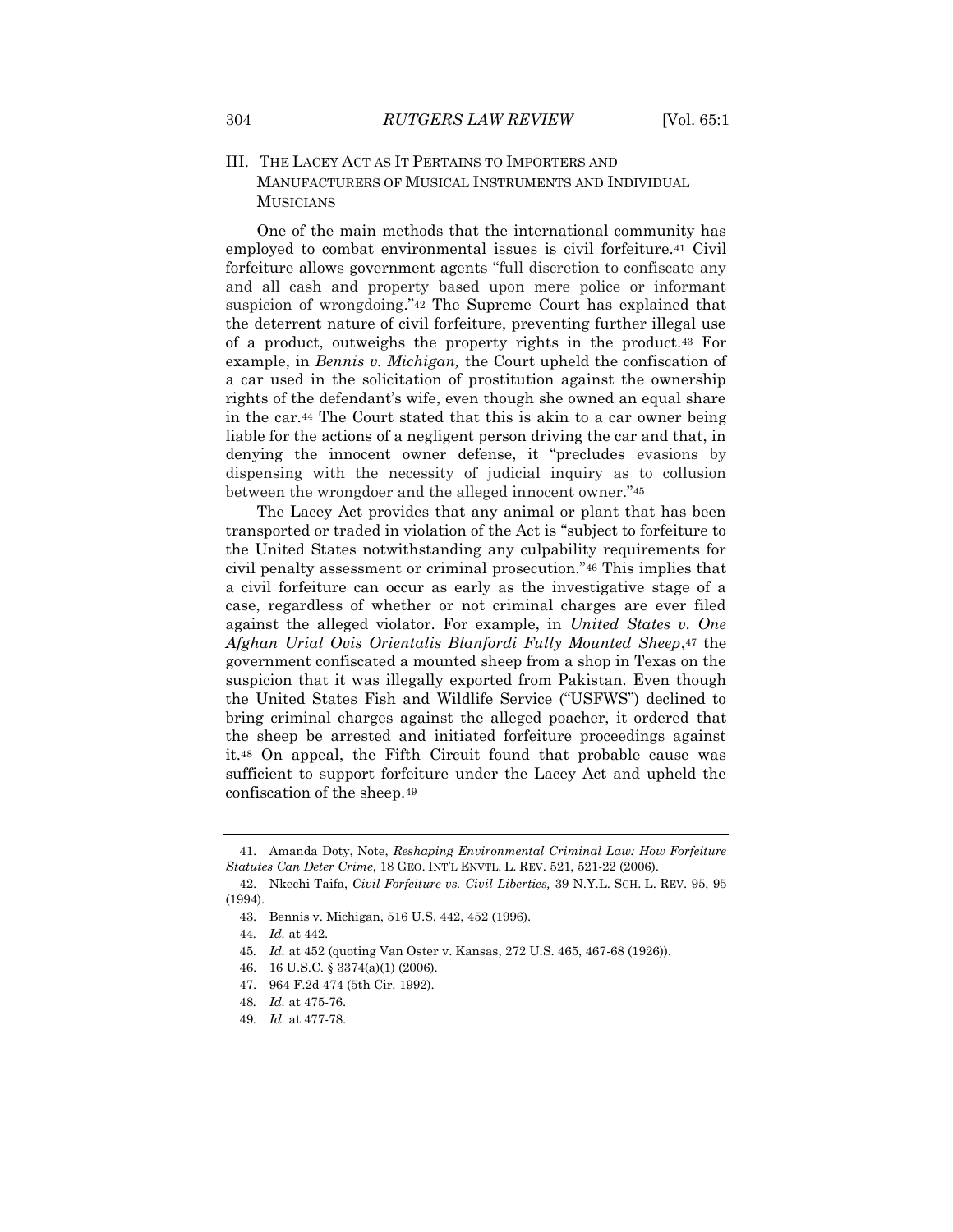## III. THE LACEY ACT AS IT PERTAINS TO IMPORTERS AND MANUFACTURERS OF MUSICAL INSTRUMENTS AND INDIVIDUAL **MUSICIANS**

One of the main methods that the international community has employed to combat environmental issues is civil forfeiture.<sup>41</sup> Civil forfeiture allows government agents "full discretion to confiscate any and all cash and property based upon mere police or informant suspicion of wrongdoing."<sup>42</sup> The Supreme Court has explained that the deterrent nature of civil forfeiture, preventing further illegal use of a product, outweighs the property rights in the product.<sup>43</sup> For example, in *Bennis v. Michigan,* the Court upheld the confiscation of a car used in the solicitation of prostitution against the ownership rights of the defendant's wife, even though she owned an equal share in the car.<sup>44</sup> The Court stated that this is akin to a car owner being liable for the actions of a negligent person driving the car and that, in denying the innocent owner defense, it "precludes evasions by dispensing with the necessity of judicial inquiry as to collusion between the wrongdoer and the alleged innocent owner."<sup>45</sup>

The Lacey Act provides that any animal or plant that has been transported or traded in violation of the Act is "subject to forfeiture to the United States notwithstanding any culpability requirements for civil penalty assessment or criminal prosecution."<sup>46</sup> This implies that a civil forfeiture can occur as early as the investigative stage of a case, regardless of whether or not criminal charges are ever filed against the alleged violator. For example, in *United States v. One Afghan Urial Ovis Orientalis Blanfordi Fully Mounted Sheep*,<sup>47</sup> the government confiscated a mounted sheep from a shop in Texas on the suspicion that it was illegally exported from Pakistan. Even though the United States Fish and Wildlife Service ("USFWS") declined to bring criminal charges against the alleged poacher, it ordered that the sheep be arrested and initiated forfeiture proceedings against it.<sup>48</sup> On appeal, the Fifth Circuit found that probable cause was sufficient to support forfeiture under the Lacey Act and upheld the confiscation of the sheep.<sup>49</sup>

45*. Id.* at 452 (quoting Van Oster v. Kansas, 272 U.S. 465, 467-68 (1926)).

<sup>41.</sup> Amanda Doty, Note, *Reshaping Environmental Criminal Law: How Forfeiture Statutes Can Deter Crime*, 18 GEO. INT'L ENVTL. L. REV. 521, 521-22 (2006).

<sup>42.</sup> Nkechi Taifa, *Civil Forfeiture vs. Civil Liberties,* 39 N.Y.L. SCH. L. REV. 95, 95 (1994).

<sup>43.</sup> Bennis v. Michigan, 516 U.S. 442, 452 (1996).

<sup>44</sup>*. Id.* at 442.

<sup>46.</sup> 16 U.S.C. § 3374(a)(1) (2006).

<sup>47.</sup> 964 F.2d 474 (5th Cir. 1992).

<sup>48</sup>*. Id.* at 475-76.

<sup>49</sup>*. Id.* at 477-78.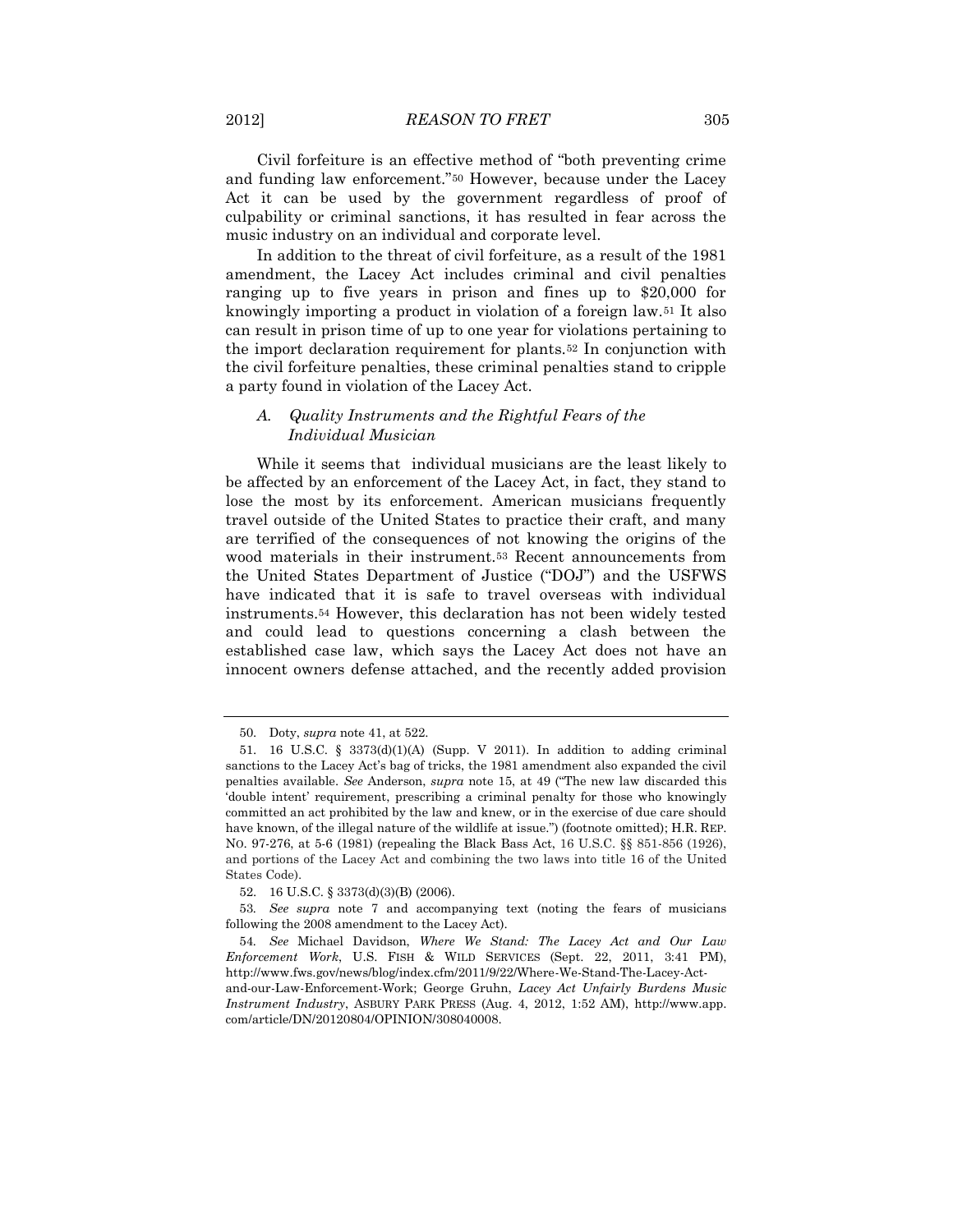Civil forfeiture is an effective method of "both preventing crime and funding law enforcement."<sup>50</sup> However, because under the Lacey Act it can be used by the government regardless of proof of culpability or criminal sanctions, it has resulted in fear across the music industry on an individual and corporate level.

In addition to the threat of civil forfeiture, as a result of the 1981 amendment, the Lacey Act includes criminal and civil penalties ranging up to five years in prison and fines up to \$20,000 for knowingly importing a product in violation of a foreign law.<sup>51</sup> It also can result in prison time of up to one year for violations pertaining to the import declaration requirement for plants.<sup>52</sup> In conjunction with the civil forfeiture penalties, these criminal penalties stand to cripple a party found in violation of the Lacey Act.

## *A. Quality Instruments and the Rightful Fears of the Individual Musician*

While it seems that individual musicians are the least likely to be affected by an enforcement of the Lacey Act, in fact, they stand to lose the most by its enforcement. American musicians frequently travel outside of the United States to practice their craft, and many are terrified of the consequences of not knowing the origins of the wood materials in their instrument.<sup>53</sup> Recent announcements from the United States Department of Justice ("DOJ") and the USFWS have indicated that it is safe to travel overseas with individual instruments.<sup>54</sup> However, this declaration has not been widely tested and could lead to questions concerning a clash between the established case law, which says the Lacey Act does not have an innocent owners defense attached, and the recently added provision

<sup>50.</sup> Doty, *supra* note 41, at 522.

<sup>51.</sup> 16 U.S.C. § 3373(d)(1)(A) (Supp. V 2011). In addition to adding criminal sanctions to the Lacey Act's bag of tricks, the 1981 amendment also expanded the civil penalties available. *See* Anderson, *supra* note 15, at 49 ("The new law discarded this 'double intent' requirement, prescribing a criminal penalty for those who knowingly committed an act prohibited by the law and knew, or in the exercise of due care should have known, of the illegal nature of the wildlife at issue.") (footnote omitted); H.R. REP. NO. 97-276, at 5-6 (1981) (repealing the Black Bass Act, 16 U.S.C. §§ 851-856 (1926), and portions of the Lacey Act and combining the two laws into title 16 of the United States Code).

<sup>52.</sup> 16 U.S.C. § 3373(d)(3)(B) (2006).

<sup>53</sup>*. See supra* note 7 and accompanying text (noting the fears of musicians following the 2008 amendment to the Lacey Act).

<sup>54</sup>*. See* Michael Davidson, *Where We Stand: The Lacey Act and Our Law Enforcement Work*, U.S. FISH & WILD SERVICES (Sept. 22, 2011, 3:41 PM), http://www.fws.gov/news/blog/index.cfm/2011/9/22/Where-We-Stand-The-Lacey-Actand-our-Law-Enforcement-Work; George Gruhn, *Lacey Act Unfairly Burdens Music* 

*Instrument Industry*, ASBURY PARK PRESS (Aug. 4, 2012, 1:52 AM), http://www.app. com/article/DN/20120804/OPINION/308040008.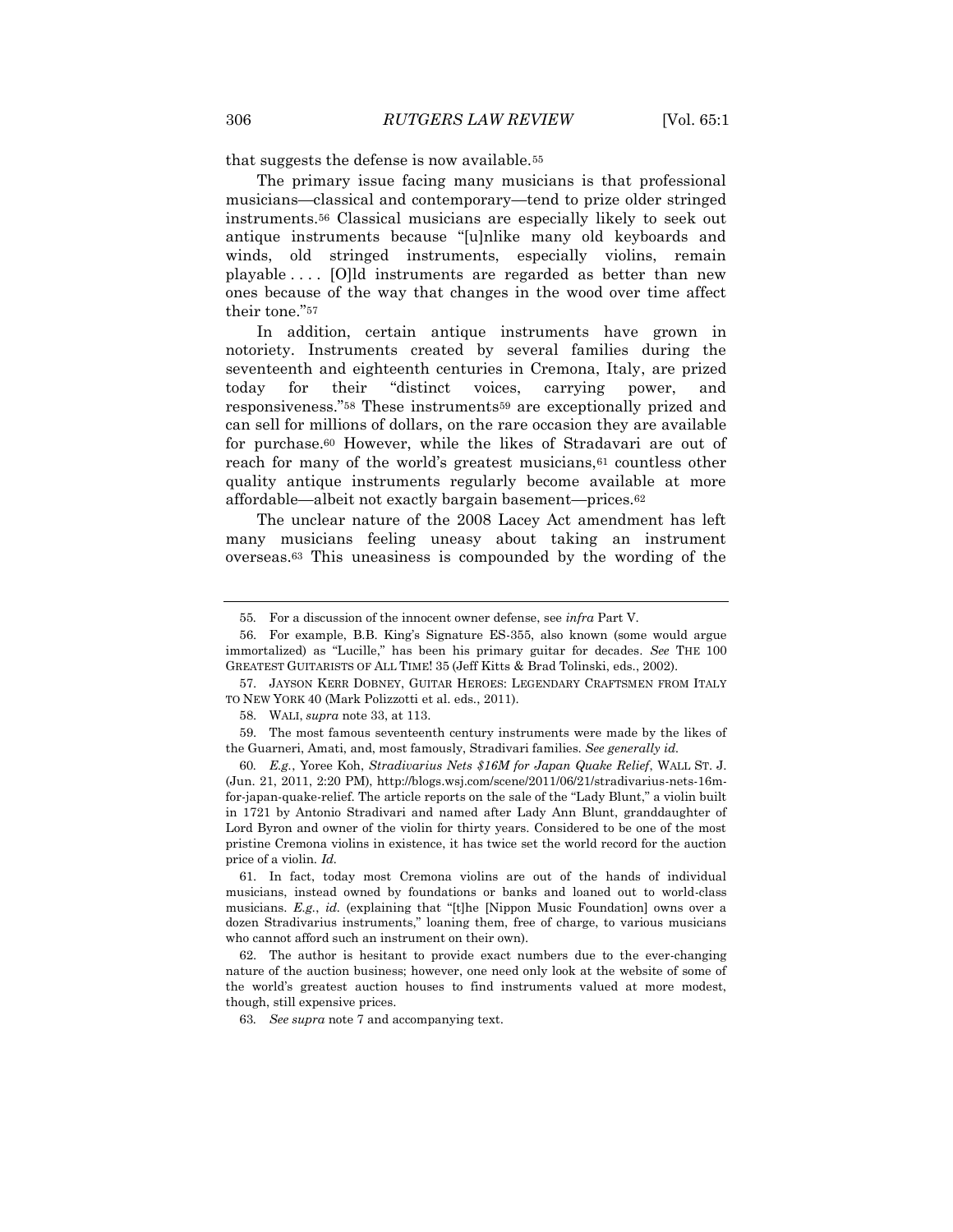that suggests the defense is now available.<sup>55</sup>

The primary issue facing many musicians is that professional musicians—classical and contemporary—tend to prize older stringed instruments.<sup>56</sup> Classical musicians are especially likely to seek out antique instruments because "[u]nlike many old keyboards and winds, old stringed instruments, especially violins, remain playable . . . . [O]ld instruments are regarded as better than new ones because of the way that changes in the wood over time affect their tone."<sup>57</sup>

In addition, certain antique instruments have grown in notoriety. Instruments created by several families during the seventeenth and eighteenth centuries in Cremona, Italy, are prized today for their "distinct voices, carrying power, and responsiveness."<sup>58</sup> These instruments<sup>59</sup> are exceptionally prized and can sell for millions of dollars, on the rare occasion they are available for purchase.<sup>60</sup> However, while the likes of Stradavari are out of reach for many of the world's greatest musicians,  $61$  countless other quality antique instruments regularly become available at more affordable—albeit not exactly bargain basement—prices.<sup>62</sup>

The unclear nature of the 2008 Lacey Act amendment has left many musicians feeling uneasy about taking an instrument overseas.<sup>63</sup> This uneasiness is compounded by the wording of the

57. JAYSON KERR DOBNEY, GUITAR HEROES: LEGENDARY CRAFTSMEN FROM ITALY TO NEW YORK 40 (Mark Polizzotti et al. eds., 2011).

59. The most famous seventeenth century instruments were made by the likes of the Guarneri, Amati, and, most famously, Stradivari families. *See generally id.*

60*. E.g.*, Yoree Koh, *Stradivarius Nets \$16M for Japan Quake Relief*, WALL ST. J. (Jun. 21, 2011, 2:20 PM), http://blogs.wsj.com/scene/2011/06/21/stradivarius-nets-16mfor-japan-quake-relief. The article reports on the sale of the "Lady Blunt," a violin built in 1721 by Antonio Stradivari and named after Lady Ann Blunt, granddaughter of Lord Byron and owner of the violin for thirty years. Considered to be one of the most pristine Cremona violins in existence, it has twice set the world record for the auction price of a violin. *Id.*

61. In fact, today most Cremona violins are out of the hands of individual musicians, instead owned by foundations or banks and loaned out to world-class musicians. *E.g.*, *id.* (explaining that "[t]he [Nippon Music Foundation] owns over a dozen Stradivarius instruments," loaning them, free of charge, to various musicians who cannot afford such an instrument on their own).

62. The author is hesitant to provide exact numbers due to the ever-changing nature of the auction business; however, one need only look at the website of some of the world's greatest auction houses to find instruments valued at more modest, though, still expensive prices.

63*. See supra* note 7 and accompanying text.

<sup>55</sup>*.* For a discussion of the innocent owner defense, see *infra* Part V.

<sup>56.</sup> For example, B.B. King's Signature ES-355, also known (some would argue immortalized) as "Lucille," has been his primary guitar for decades. *See* THE 100 GREATEST GUITARISTS OF ALL TIME! 35 (Jeff Kitts & Brad Tolinski, eds., 2002).

<sup>58.</sup> WALI, *supra* note 33, at 113.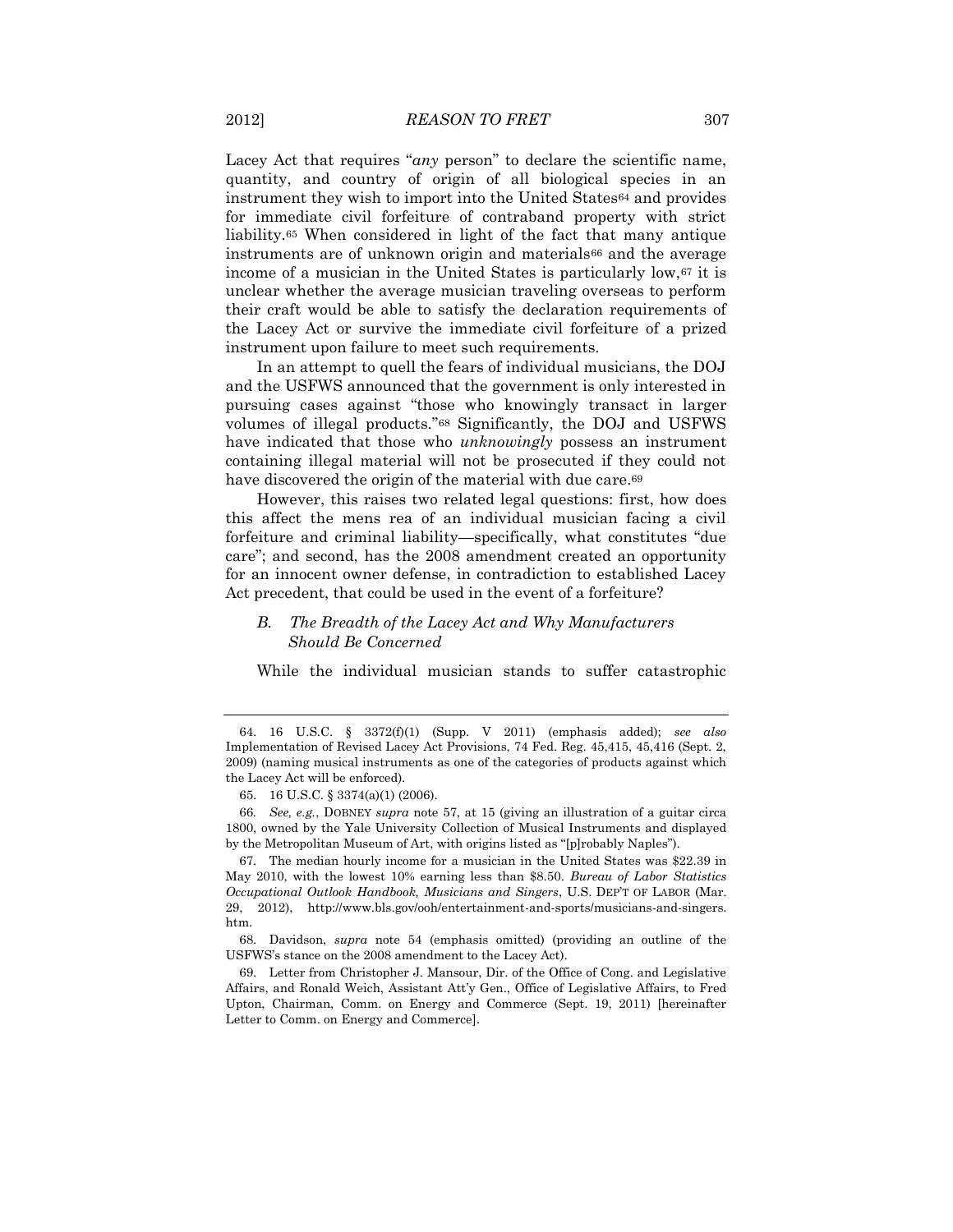Lacey Act that requires "*any* person" to declare the scientific name, quantity, and country of origin of all biological species in an instrument they wish to import into the United States<sup>64</sup> and provides for immediate civil forfeiture of contraband property with strict liability.<sup>65</sup> When considered in light of the fact that many antique instruments are of unknown origin and materials<sup>66</sup> and the average income of a musician in the United States is particularly low,<sup>67</sup> it is unclear whether the average musician traveling overseas to perform their craft would be able to satisfy the declaration requirements of the Lacey Act or survive the immediate civil forfeiture of a prized instrument upon failure to meet such requirements.

In an attempt to quell the fears of individual musicians, the DOJ and the USFWS announced that the government is only interested in pursuing cases against "those who knowingly transact in larger volumes of illegal products."<sup>68</sup> Significantly, the DOJ and USFWS have indicated that those who *unknowingly* possess an instrument containing illegal material will not be prosecuted if they could not have discovered the origin of the material with due care.<sup>69</sup>

However, this raises two related legal questions: first, how does this affect the mens rea of an individual musician facing a civil forfeiture and criminal liability—specifically, what constitutes "due care"; and second, has the 2008 amendment created an opportunity for an innocent owner defense, in contradiction to established Lacey Act precedent, that could be used in the event of a forfeiture?

### *B. The Breadth of the Lacey Act and Why Manufacturers Should Be Concerned*

While the individual musician stands to suffer catastrophic

<sup>64.</sup> 16 U.S.C. § 3372(f)(1) (Supp. V 2011) (emphasis added); *see also* Implementation of Revised Lacey Act Provisions, 74 Fed. Reg. 45,415, 45,416 (Sept. 2, 2009) (naming musical instruments as one of the categories of products against which the Lacey Act will be enforced).

<sup>65.</sup> 16 U.S.C. § 3374(a)(1) (2006).

<sup>66</sup>*. See, e.g.*, DOBNEY *supra* note 57, at 15 (giving an illustration of a guitar circa 1800, owned by the Yale University Collection of Musical Instruments and displayed by the Metropolitan Museum of Art, with origins listed as "[p]robably Naples").

<sup>67.</sup> The median hourly income for a musician in the United States was \$22.39 in May 2010, with the lowest 10% earning less than \$8.50. *Bureau of Labor Statistics Occupational Outlook Handbook, Musicians and Singers*, U.S. DEP'T OF LABOR (Mar. 29, 2012), http://www.bls.gov/ooh/entertainment-and-sports/musicians-and-singers. htm.

<sup>68.</sup> Davidson, *supra* note 54 (emphasis omitted) (providing an outline of the USFWS's stance on the 2008 amendment to the Lacey Act).

<sup>69.</sup> Letter from Christopher J. Mansour, Dir. of the Office of Cong. and Legislative Affairs, and Ronald Weich, Assistant Att'y Gen., Office of Legislative Affairs, to Fred Upton, Chairman, Comm. on Energy and Commerce (Sept. 19, 2011) [hereinafter Letter to Comm. on Energy and Commerce].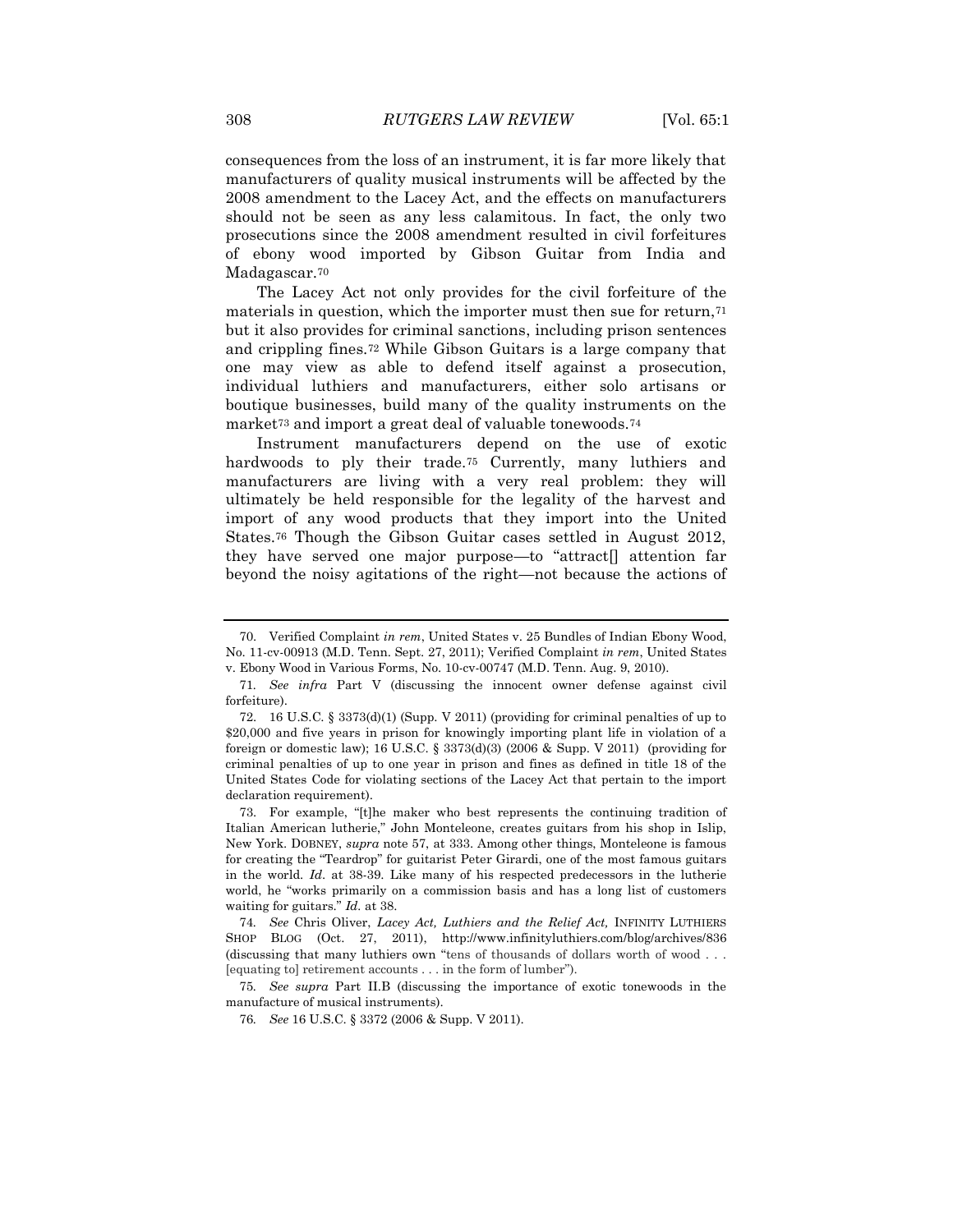consequences from the loss of an instrument, it is far more likely that manufacturers of quality musical instruments will be affected by the 2008 amendment to the Lacey Act, and the effects on manufacturers should not be seen as any less calamitous. In fact, the only two prosecutions since the 2008 amendment resulted in civil forfeitures of ebony wood imported by Gibson Guitar from India and Madagascar.<sup>70</sup>

The Lacey Act not only provides for the civil forfeiture of the materials in question, which the importer must then sue for return,<sup>71</sup> but it also provides for criminal sanctions, including prison sentences and crippling fines.<sup>72</sup> While Gibson Guitars is a large company that one may view as able to defend itself against a prosecution, individual luthiers and manufacturers, either solo artisans or boutique businesses, build many of the quality instruments on the market<sup>73</sup> and import a great deal of valuable tonewoods.<sup>74</sup>

Instrument manufacturers depend on the use of exotic hardwoods to ply their trade.<sup>75</sup> Currently, many luthiers and manufacturers are living with a very real problem: they will ultimately be held responsible for the legality of the harvest and import of any wood products that they import into the United States.<sup>76</sup> Though the Gibson Guitar cases settled in August 2012, they have served one major purpose—to "attract[] attention far beyond the noisy agitations of the right—not because the actions of

75*. See supra* Part II.B (discussing the importance of exotic tonewoods in the manufacture of musical instruments).

76*. See* 16 U.S.C. § 3372 (2006 & Supp. V 2011).

<sup>70.</sup> Verified Complaint *in rem*, United States v. 25 Bundles of Indian Ebony Wood, No. 11-cv-00913 (M.D. Tenn. Sept. 27, 2011); Verified Complaint *in rem*, United States v. Ebony Wood in Various Forms, No. 10-cv-00747 (M.D. Tenn. Aug. 9, 2010).

<sup>71</sup>*. See infra* Part V (discussing the innocent owner defense against civil forfeiture).

<sup>72.</sup> 16 U.S.C. § 3373(d)(1) (Supp. V 2011) (providing for criminal penalties of up to \$20,000 and five years in prison for knowingly importing plant life in violation of a foreign or domestic law); 16 U.S.C.  $\S 3373(d)(3)$  (2006 & Supp. V 2011) (providing for criminal penalties of up to one year in prison and fines as defined in title 18 of the United States Code for violating sections of the Lacey Act that pertain to the import declaration requirement).

<sup>73.</sup> For example, "[t]he maker who best represents the continuing tradition of Italian American lutherie," John Monteleone, creates guitars from his shop in Islip, New York. DOBNEY, *supra* note 57, at 333. Among other things, Monteleone is famous for creating the "Teardrop" for guitarist Peter Girardi, one of the most famous guitars in the world. *Id*. at 38-39. Like many of his respected predecessors in the lutherie world, he "works primarily on a commission basis and has a long list of customers waiting for guitars." *Id.* at 38.

<sup>74</sup>*. See* Chris Oliver, *Lacey Act, Luthiers and the Relief Act,* INFINITY LUTHIERS SHOP BLOG (Oct. 27, 2011), http://www.infinityluthiers.com/blog/archives/836 (discussing that many luthiers own "tens of thousands of dollars worth of wood . . . [equating to] retirement accounts . . . in the form of lumber").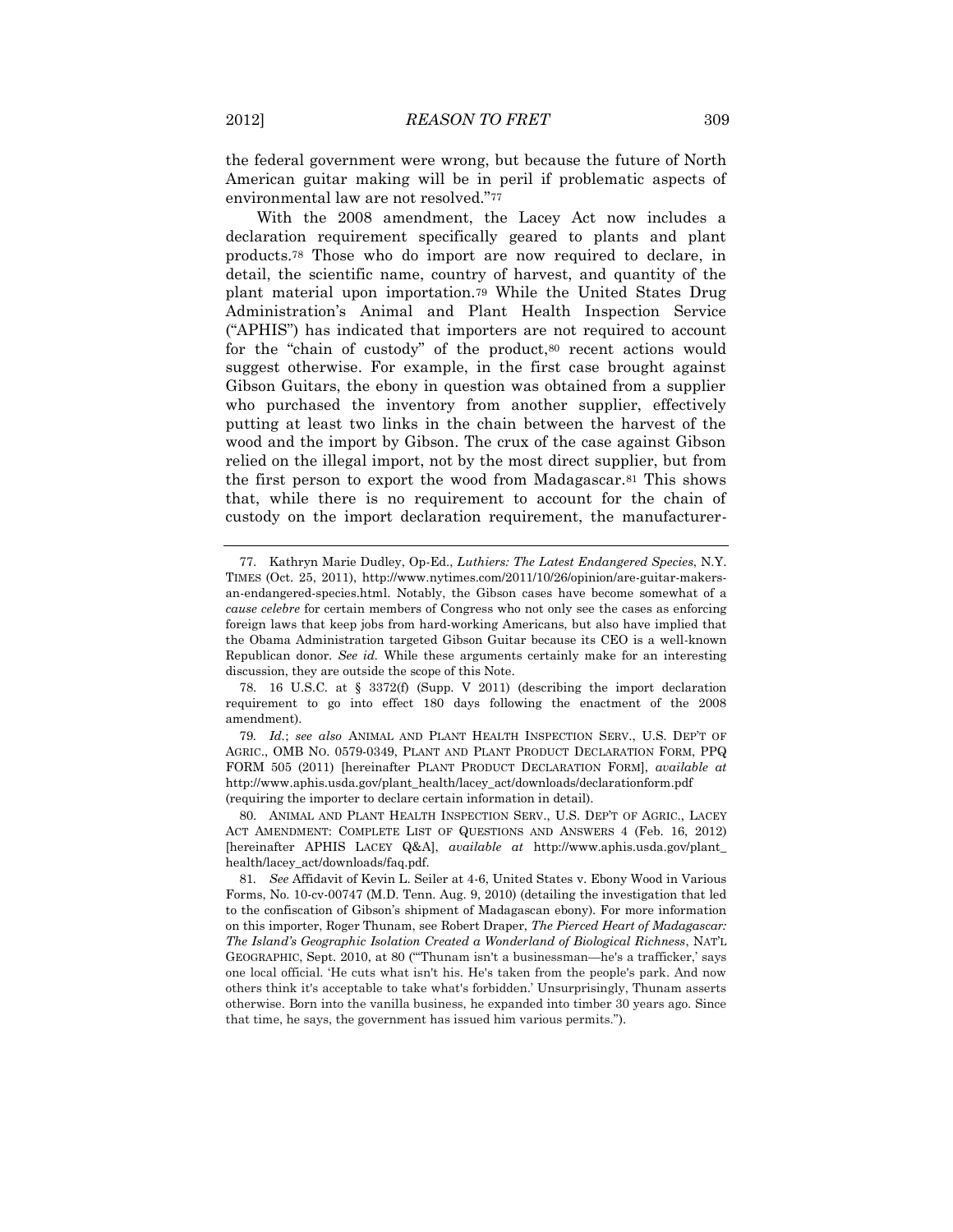the federal government were wrong, but because the future of North American guitar making will be in peril if problematic aspects of environmental law are not resolved."<sup>77</sup>

With the 2008 amendment, the Lacey Act now includes a declaration requirement specifically geared to plants and plant products.<sup>78</sup> Those who do import are now required to declare, in detail, the scientific name, country of harvest, and quantity of the plant material upon importation.<sup>79</sup> While the United States Drug Administration's Animal and Plant Health Inspection Service ("APHIS") has indicated that importers are not required to account for the "chain of custody" of the product, 80 recent actions would suggest otherwise. For example, in the first case brought against Gibson Guitars, the ebony in question was obtained from a supplier who purchased the inventory from another supplier, effectively putting at least two links in the chain between the harvest of the wood and the import by Gibson. The crux of the case against Gibson relied on the illegal import, not by the most direct supplier, but from the first person to export the wood from Madagascar.<sup>81</sup> This shows that, while there is no requirement to account for the chain of custody on the import declaration requirement, the manufacturer-

<sup>77.</sup> Kathryn Marie Dudley, Op-Ed., *Luthiers: The Latest Endangered Species*, N.Y. TIMES (Oct. 25, 2011), http://www.nytimes.com/2011/10/26/opinion/are-guitar-makersan-endangered-species.html. Notably, the Gibson cases have become somewhat of a *cause celebre* for certain members of Congress who not only see the cases as enforcing foreign laws that keep jobs from hard-working Americans, but also have implied that the Obama Administration targeted Gibson Guitar because its CEO is a well-known Republican donor. *See id.* While these arguments certainly make for an interesting discussion, they are outside the scope of this Note.

<sup>78.</sup> 16 U.S.C. at § 3372(f) (Supp. V 2011) (describing the import declaration requirement to go into effect 180 days following the enactment of the 2008 amendment).

<sup>79</sup>*. Id.*; *see also* ANIMAL AND PLANT HEALTH INSPECTION SERV., U.S. DEP'T OF AGRIC., OMB NO. 0579-0349, PLANT AND PLANT PRODUCT DECLARATION FORM, PPQ FORM 505 (2011) [hereinafter PLANT PRODUCT DECLARATION FORM], *available at* http://www.aphis.usda.gov/plant\_health/lacey\_act/downloads/declarationform.pdf (requiring the importer to declare certain information in detail).

<sup>80.</sup> ANIMAL AND PLANT HEALTH INSPECTION SERV., U.S. DEP'T OF AGRIC., LACEY ACT AMENDMENT: COMPLETE LIST OF QUESTIONS AND ANSWERS 4 (Feb. 16, 2012) [hereinafter APHIS LACEY Q&A], *available at* http://www.aphis.usda.gov/plant\_ health/lacey\_act/downloads/faq.pdf.

<sup>81</sup>*. See* Affidavit of Kevin L. Seiler at 4-6, United States v. Ebony Wood in Various Forms, No. 10-cv-00747 (M.D. Tenn. Aug. 9, 2010) (detailing the investigation that led to the confiscation of Gibson's shipment of Madagascan ebony). For more information on this importer, Roger Thunam, see Robert Draper, *The Pierced Heart of Madagascar: The Island's Geographic Isolation Created a Wonderland of Biological Richness*, NAT'L GEOGRAPHIC, Sept. 2010, at 80 ("'Thunam isn't a businessman—he's a trafficker,' says one local official. 'He cuts what isn't his. He's taken from the people's park. And now others think it's acceptable to take what's forbidden.' Unsurprisingly, Thunam asserts otherwise. Born into the vanilla business, he expanded into timber 30 years ago. Since that time, he says, the government has issued him various permits.").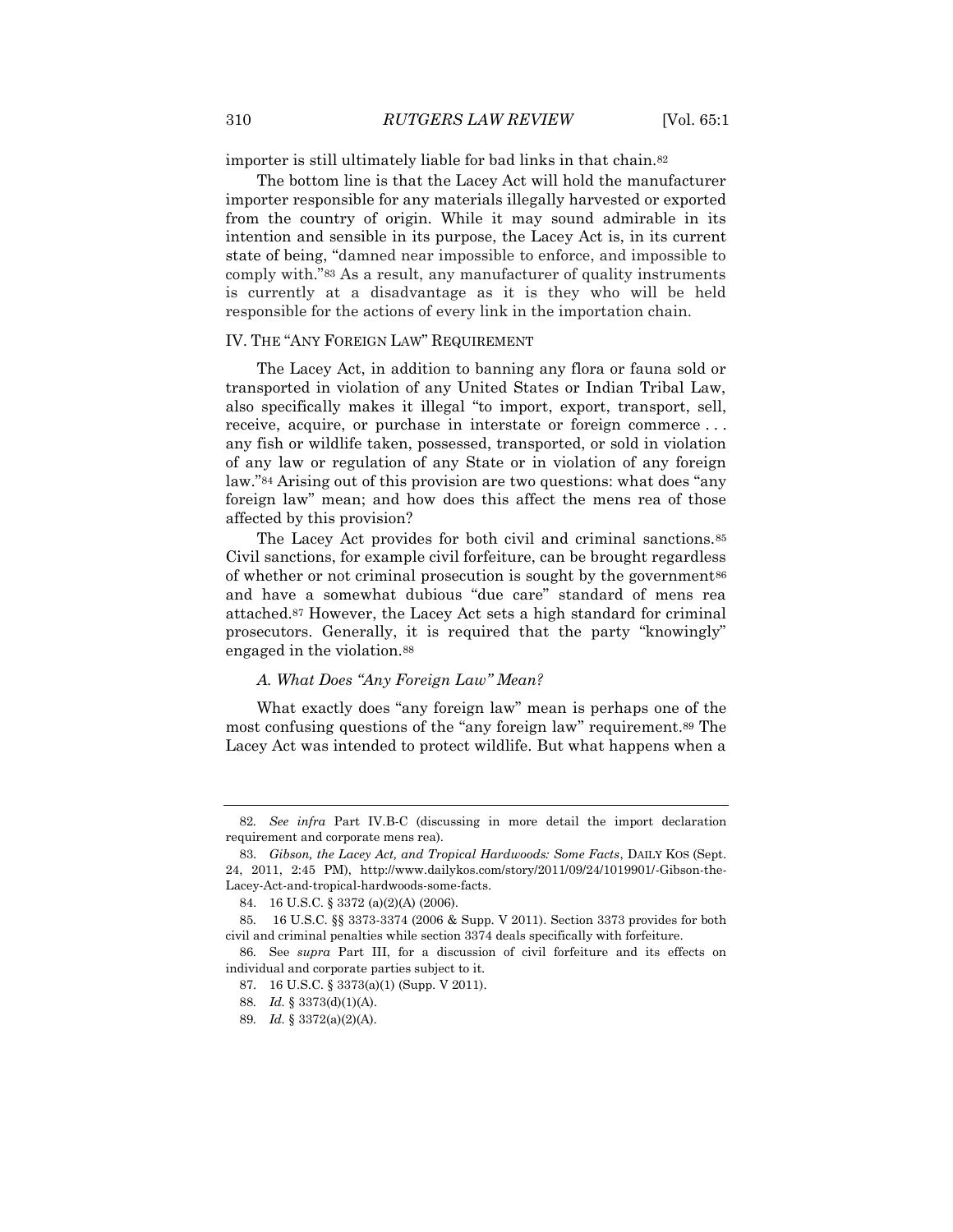importer is still ultimately liable for bad links in that chain.<sup>82</sup>

The bottom line is that the Lacey Act will hold the manufacturer importer responsible for any materials illegally harvested or exported from the country of origin. While it may sound admirable in its intention and sensible in its purpose, the Lacey Act is, in its current state of being, "damned near impossible to enforce, and impossible to comply with."<sup>83</sup> As a result, any manufacturer of quality instruments is currently at a disadvantage as it is they who will be held responsible for the actions of every link in the importation chain.

#### IV. THE "ANY FOREIGN LAW" REQUIREMENT

The Lacey Act, in addition to banning any flora or fauna sold or transported in violation of any United States or Indian Tribal Law, also specifically makes it illegal "to import, export, transport, sell, receive, acquire, or purchase in interstate or foreign commerce . . . any fish or wildlife taken, possessed, transported, or sold in violation of any law or regulation of any State or in violation of any foreign law."<sup>84</sup> Arising out of this provision are two questions: what does "any foreign law" mean; and how does this affect the mens rea of those affected by this provision?

The Lacey Act provides for both civil and criminal sanctions.<sup>85</sup> Civil sanctions, for example civil forfeiture, can be brought regardless of whether or not criminal prosecution is sought by the government<sup>86</sup> and have a somewhat dubious "due care" standard of mens rea attached.<sup>87</sup> However, the Lacey Act sets a high standard for criminal prosecutors. Generally, it is required that the party "knowingly" engaged in the violation.<sup>88</sup>

#### *A. What Does "Any Foreign Law" Mean?*

What exactly does "any foreign law" mean is perhaps one of the most confusing questions of the "any foreign law" requirement.<sup>89</sup> The Lacey Act was intended to protect wildlife. But what happens when a

<sup>82</sup>*. See infra* Part IV.B-C (discussing in more detail the import declaration requirement and corporate mens rea).

<sup>83.</sup> *Gibson, the Lacey Act, and Tropical Hardwoods: Some Facts*, DAILY KOS (Sept. 24, 2011, 2:45 PM), http://www.dailykos.com/story/2011/09/24/1019901/-Gibson-the-Lacey-Act-and-tropical-hardwoods-some-facts.

<sup>84.</sup> 16 U.S.C. § 3372 (a)(2)(A) (2006).

<sup>85</sup>*.* 16 U.S.C. §§ 3373-3374 (2006 & Supp. V 2011). Section 3373 provides for both civil and criminal penalties while section 3374 deals specifically with forfeiture.

<sup>86</sup>*.* See *supra* Part III, for a discussion of civil forfeiture and its effects on individual and corporate parties subject to it.

<sup>87.</sup> 16 U.S.C. § 3373(a)(1) (Supp. V 2011).

<sup>88</sup>*. Id.* § 3373(d)(1)(A).

<sup>89</sup>*. Id.* § 3372(a)(2)(A).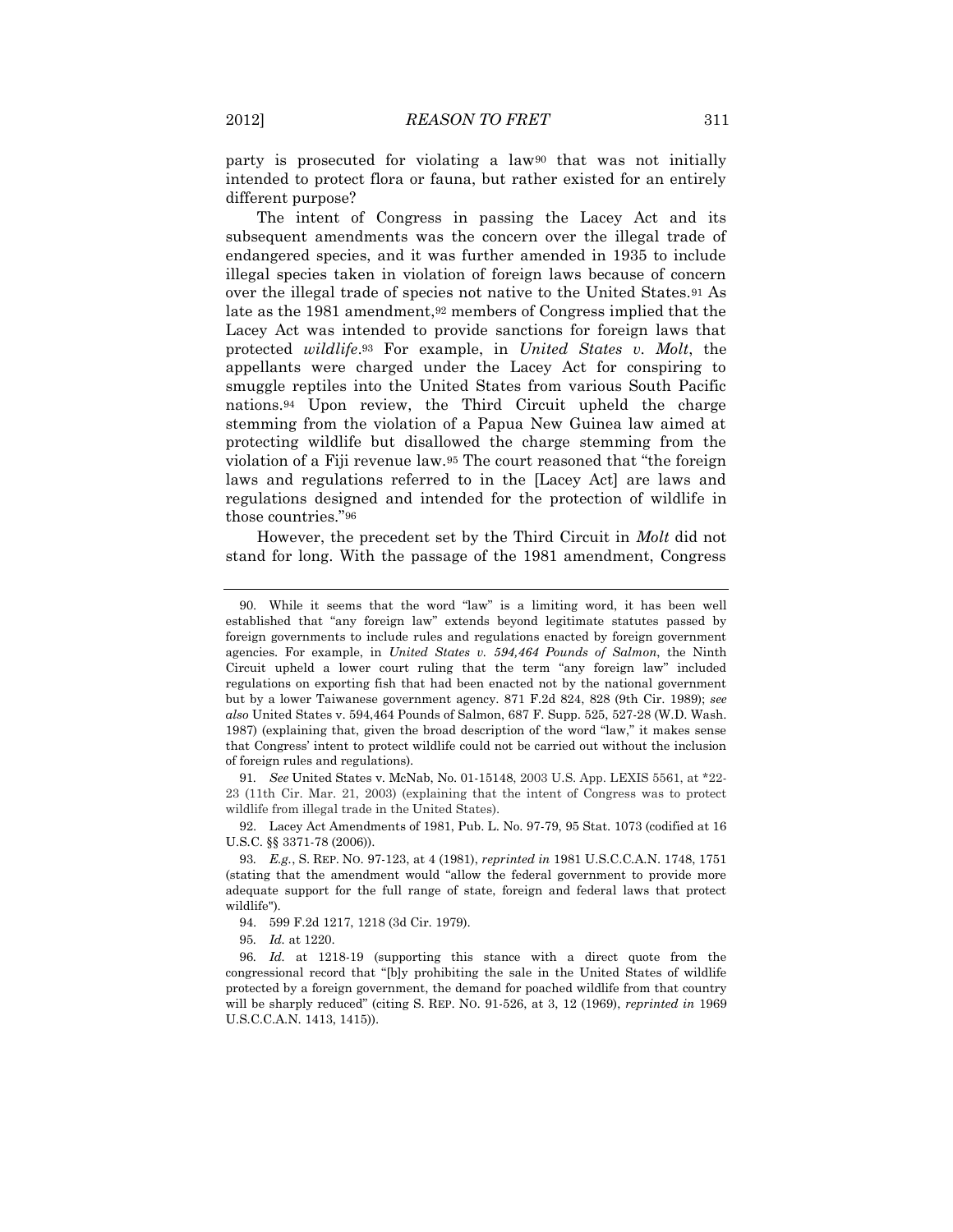party is prosecuted for violating a law<sup>90</sup> that was not initially intended to protect flora or fauna, but rather existed for an entirely different purpose?

The intent of Congress in passing the Lacey Act and its subsequent amendments was the concern over the illegal trade of endangered species, and it was further amended in 1935 to include illegal species taken in violation of foreign laws because of concern over the illegal trade of species not native to the United States.<sup>91</sup> As late as the 1981 amendment,<sup>92</sup> members of Congress implied that the Lacey Act was intended to provide sanctions for foreign laws that protected *wildlife*.<sup>93</sup> For example, in *United States v. Molt*, the appellants were charged under the Lacey Act for conspiring to smuggle reptiles into the United States from various South Pacific nations.<sup>94</sup> Upon review, the Third Circuit upheld the charge stemming from the violation of a Papua New Guinea law aimed at protecting wildlife but disallowed the charge stemming from the violation of a Fiji revenue law.<sup>95</sup> The court reasoned that "the foreign laws and regulations referred to in the [Lacey Act] are laws and regulations designed and intended for the protection of wildlife in those countries."<sup>96</sup>

However, the precedent set by the Third Circuit in *Molt* did not stand for long. With the passage of the 1981 amendment, Congress

<sup>90.</sup> While it seems that the word "law" is a limiting word, it has been well established that "any foreign law" extends beyond legitimate statutes passed by foreign governments to include rules and regulations enacted by foreign government agencies. For example, in *United States v. 594,464 Pounds of Salmon*, the Ninth Circuit upheld a lower court ruling that the term "any foreign law" included regulations on exporting fish that had been enacted not by the national government but by a lower Taiwanese government agency. 871 F.2d 824, 828 (9th Cir. 1989); *see also* United States v. 594,464 Pounds of Salmon, 687 F. Supp. 525, 527-28 (W.D. Wash. 1987) (explaining that, given the broad description of the word "law," it makes sense that Congress' intent to protect wildlife could not be carried out without the inclusion of foreign rules and regulations).

<sup>91</sup>*. See* United States v. McNab, No. 01-15148, 2003 U.S. App. LEXIS 5561, at \*22- 23 (11th Cir. Mar. 21, 2003) (explaining that the intent of Congress was to protect wildlife from illegal trade in the United States).

<sup>92.</sup> Lacey Act Amendments of 1981, Pub. L. No. 97-79, 95 Stat. 1073 (codified at 16 U.S.C. §§ 3371-78 (2006)).

<sup>93</sup>*. E.g.*, S. REP. NO. 97-123, at 4 (1981), *reprinted in* 1981 U.S.C.C.A.N. 1748, 1751 (stating that the amendment would "allow the federal government to provide more adequate support for the full range of state, foreign and federal laws that protect wildlife").

<sup>94.</sup> 599 F.2d 1217, 1218 (3d Cir. 1979).

<sup>95</sup>*. Id.* at 1220.

<sup>96</sup>*. Id.* at 1218-19 (supporting this stance with a direct quote from the congressional record that "[b]y prohibiting the sale in the United States of wildlife protected by a foreign government, the demand for poached wildlife from that country will be sharply reduced" (citing S. REP. NO. 91-526, at 3, 12 (1969), *reprinted in* 1969 U.S.C.C.A.N. 1413, 1415)).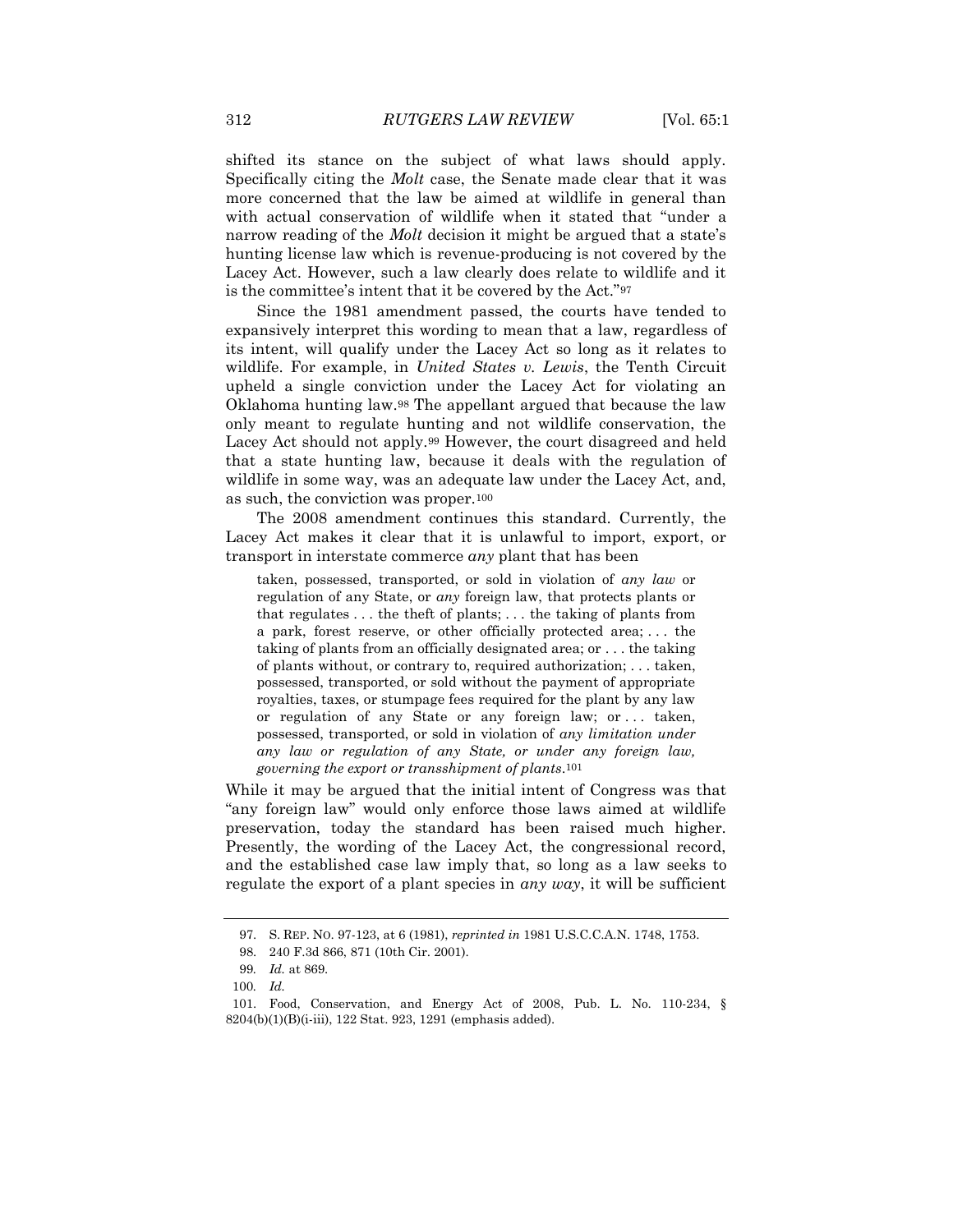shifted its stance on the subject of what laws should apply. Specifically citing the *Molt* case, the Senate made clear that it was more concerned that the law be aimed at wildlife in general than with actual conservation of wildlife when it stated that "under a narrow reading of the *Molt* decision it might be argued that a state's hunting license law which is revenue-producing is not covered by the Lacey Act. However, such a law clearly does relate to wildlife and it is the committee's intent that it be covered by the Act."<sup>97</sup>

Since the 1981 amendment passed, the courts have tended to expansively interpret this wording to mean that a law, regardless of its intent, will qualify under the Lacey Act so long as it relates to wildlife. For example, in *United States v. Lewis*, the Tenth Circuit upheld a single conviction under the Lacey Act for violating an Oklahoma hunting law.<sup>98</sup> The appellant argued that because the law only meant to regulate hunting and not wildlife conservation, the Lacey Act should not apply.<sup>99</sup> However, the court disagreed and held that a state hunting law, because it deals with the regulation of wildlife in some way, was an adequate law under the Lacey Act, and, as such, the conviction was proper.<sup>100</sup>

The 2008 amendment continues this standard. Currently, the Lacey Act makes it clear that it is unlawful to import, export, or transport in interstate commerce *any* plant that has been

taken, possessed, transported, or sold in violation of *any law* or regulation of any State, or *any* foreign law, that protects plants or that regulates . . . the theft of plants; . . . the taking of plants from a park, forest reserve, or other officially protected area; . . . the taking of plants from an officially designated area; or . . . the taking of plants without, or contrary to, required authorization; . . . taken, possessed, transported, or sold without the payment of appropriate royalties, taxes, or stumpage fees required for the plant by any law or regulation of any State or any foreign law; or . . . taken, possessed, transported, or sold in violation of *any limitation under any law or regulation of any State, or under any foreign law, governing the export or transshipment of plants*.101

While it may be argued that the initial intent of Congress was that "any foreign law" would only enforce those laws aimed at wildlife preservation, today the standard has been raised much higher. Presently, the wording of the Lacey Act, the congressional record, and the established case law imply that, so long as a law seeks to regulate the export of a plant species in *any way*, it will be sufficient

<sup>97.</sup> S. REP. NO. 97-123, at 6 (1981), *reprinted in* 1981 U.S.C.C.A.N. 1748, 1753.

<sup>98.</sup> 240 F.3d 866, 871 (10th Cir. 2001).

<sup>99</sup>*. Id.* at 869.

<sup>100</sup>*. Id.*

<sup>101.</sup> Food, Conservation, and Energy Act of 2008, Pub. L. No. 110-234, § 8204(b)(1)(B)(i-iii), 122 Stat. 923, 1291 (emphasis added).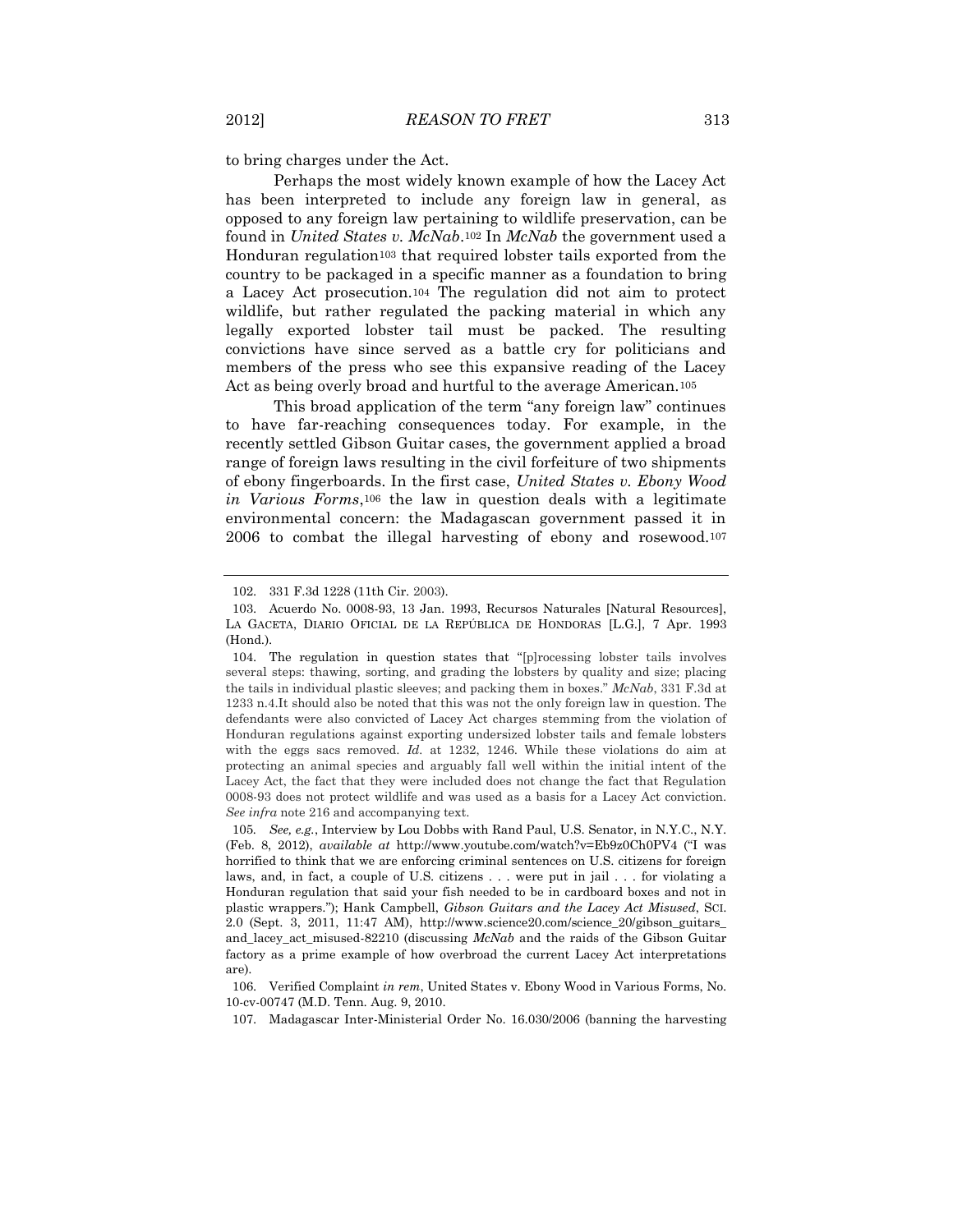to bring charges under the Act.

Perhaps the most widely known example of how the Lacey Act has been interpreted to include any foreign law in general, as opposed to any foreign law pertaining to wildlife preservation, can be found in *United States v. McNab*.<sup>102</sup> In *McNab* the government used a Honduran regulation<sup>103</sup> that required lobster tails exported from the country to be packaged in a specific manner as a foundation to bring a Lacey Act prosecution.<sup>104</sup> The regulation did not aim to protect wildlife, but rather regulated the packing material in which any legally exported lobster tail must be packed. The resulting convictions have since served as a battle cry for politicians and members of the press who see this expansive reading of the Lacey Act as being overly broad and hurtful to the average American.<sup>105</sup>

This broad application of the term "any foreign law" continues to have far-reaching consequences today. For example, in the recently settled Gibson Guitar cases, the government applied a broad range of foreign laws resulting in the civil forfeiture of two shipments of ebony fingerboards. In the first case, *United States v. Ebony Wood in Various Forms*,<sup>106</sup> the law in question deals with a legitimate environmental concern: the Madagascan government passed it in 2006 to combat the illegal harvesting of ebony and rosewood.<sup>107</sup>

<sup>102.</sup> 331 F.3d 1228 (11th Cir. 2003).

<sup>103.</sup> Acuerdo No. 0008-93, 13 Jan. 1993, Recursos Naturales [Natural Resources], LA GACETA, DIARIO OFICIAL DE LA REPÚBLICA DE HONDORAS [L.G.], 7 Apr. 1993 (Hond.).

<sup>104.</sup> The regulation in question states that "[p]rocessing lobster tails involves several steps: thawing, sorting, and grading the lobsters by quality and size; placing the tails in individual plastic sleeves; and packing them in boxes." *McNab*, 331 F.3d at 1233 n.4.It should also be noted that this was not the only foreign law in question. The defendants were also convicted of Lacey Act charges stemming from the violation of Honduran regulations against exporting undersized lobster tails and female lobsters with the eggs sacs removed. *Id.* at 1232, 1246. While these violations do aim at protecting an animal species and arguably fall well within the initial intent of the Lacey Act, the fact that they were included does not change the fact that Regulation 0008-93 does not protect wildlife and was used as a basis for a Lacey Act conviction. *See infra* note 216 and accompanying text.

<sup>105</sup>*. See, e.g.*, Interview by Lou Dobbs with Rand Paul, U.S. Senator, in N.Y.C., N.Y. (Feb. 8, 2012), *available at* http://www.youtube.com/watch?v=Eb9z0Ch0PV4 ("I was horrified to think that we are enforcing criminal sentences on U.S. citizens for foreign laws, and, in fact, a couple of U.S. citizens . . . were put in jail . . . for violating a Honduran regulation that said your fish needed to be in cardboard boxes and not in plastic wrappers."); Hank Campbell, *Gibson Guitars and the Lacey Act Misused*, SCI. 2.0 (Sept. 3, 2011, 11:47 AM), http://www.science20.com/science\_20/gibson\_guitars\_ and\_lacey\_act\_misused-82210 (discussing *McNab* and the raids of the Gibson Guitar factory as a prime example of how overbroad the current Lacey Act interpretations are).

<sup>106.</sup> Verified Complaint *in rem*, United States v. Ebony Wood in Various Forms, No. 10-cv-00747 (M.D. Tenn. Aug. 9, 2010.

<sup>107.</sup> Madagascar Inter-Ministerial Order No. 16.030/2006 (banning the harvesting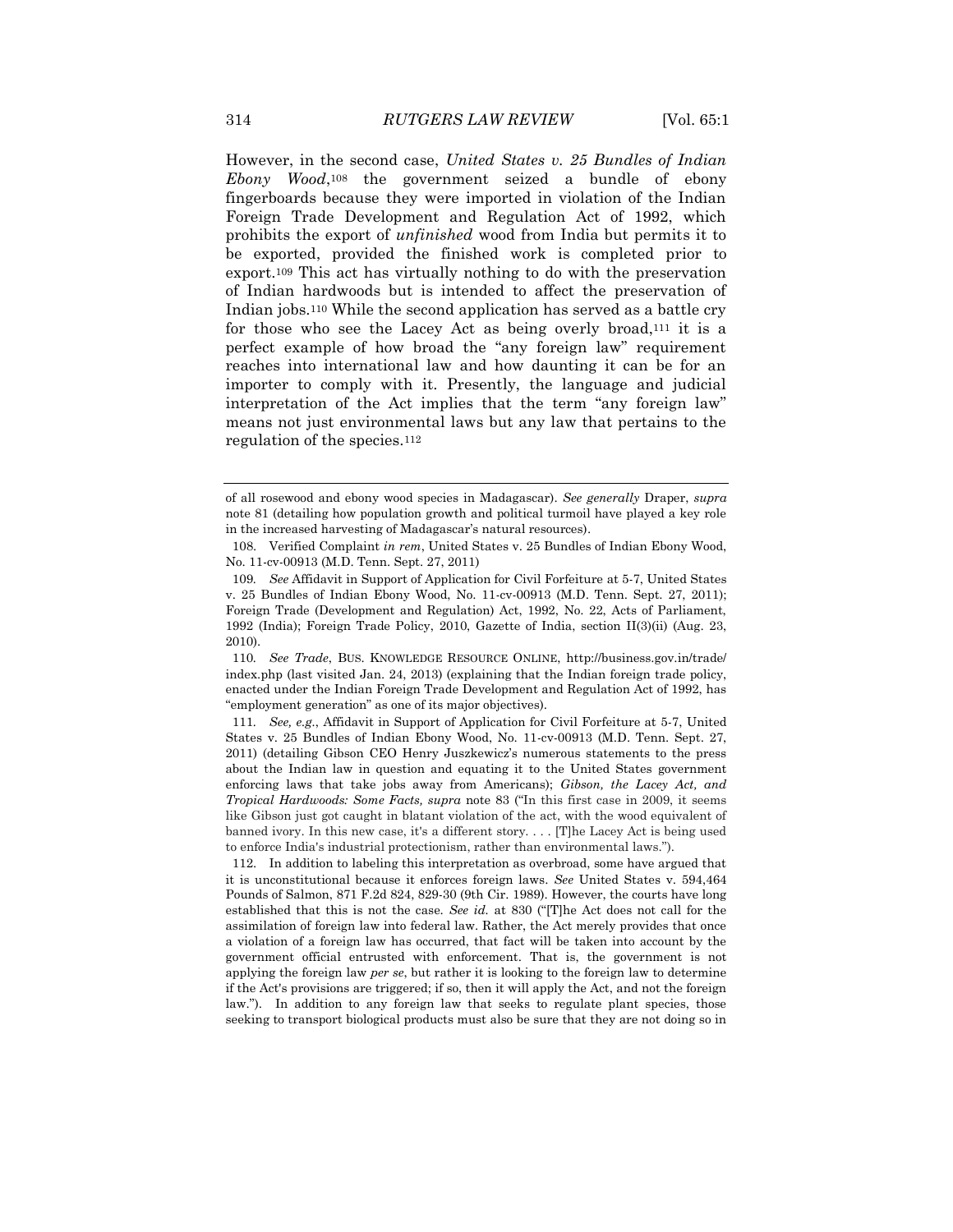However, in the second case, *United States v. 25 Bundles of Indian Ebony Wood*,<sup>108</sup> the government seized a bundle of ebony fingerboards because they were imported in violation of the Indian Foreign Trade Development and Regulation Act of 1992, which prohibits the export of *unfinished* wood from India but permits it to be exported, provided the finished work is completed prior to export.<sup>109</sup> This act has virtually nothing to do with the preservation of Indian hardwoods but is intended to affect the preservation of Indian jobs.<sup>110</sup> While the second application has served as a battle cry for those who see the Lacey Act as being overly broad,<sup>111</sup> it is a perfect example of how broad the "any foreign law" requirement reaches into international law and how daunting it can be for an importer to comply with it. Presently, the language and judicial interpretation of the Act implies that the term "any foreign law" means not just environmental laws but any law that pertains to the regulation of the species.<sup>112</sup>

of all rosewood and ebony wood species in Madagascar). *See generally* Draper, *supra*  note 81 (detailing how population growth and political turmoil have played a key role in the increased harvesting of Madagascar's natural resources).

<sup>108.</sup> Verified Complaint *in rem*, United States v. 25 Bundles of Indian Ebony Wood, No. 11-cv-00913 (M.D. Tenn. Sept. 27, 2011)

<sup>109</sup>*. See* Affidavit in Support of Application for Civil Forfeiture at 5-7, United States v. 25 Bundles of Indian Ebony Wood, No. 11-cv-00913 (M.D. Tenn. Sept. 27, 2011); Foreign Trade (Development and Regulation) Act, 1992, No. 22, Acts of Parliament, 1992 (India); Foreign Trade Policy, 2010, Gazette of India, section II(3)(ii) (Aug. 23, 2010).

<sup>110</sup>*. See Trade*, BUS. KNOWLEDGE RESOURCE ONLINE, http://business.gov.in/trade/ index.php (last visited Jan. 24, 2013) (explaining that the Indian foreign trade policy, enacted under the Indian Foreign Trade Development and Regulation Act of 1992, has "employment generation" as one of its major objectives).

<sup>111</sup>*. See, e.g.*, Affidavit in Support of Application for Civil Forfeiture at 5-7, United States v. 25 Bundles of Indian Ebony Wood, No. 11-cv-00913 (M.D. Tenn. Sept. 27, 2011) (detailing Gibson CEO Henry Juszkewicz's numerous statements to the press about the Indian law in question and equating it to the United States government enforcing laws that take jobs away from Americans); *Gibson, the Lacey Act, and Tropical Hardwoods: Some Facts, supra* note 83 ("In this first case in 2009, it seems like Gibson just got caught in blatant violation of the act, with the wood equivalent of banned ivory. In this new case, it's a different story. . . . [T]he Lacey Act is being used to enforce India's industrial protectionism, rather than environmental laws.").

<sup>112.</sup> In addition to labeling this interpretation as overbroad, some have argued that it is unconstitutional because it enforces foreign laws. *See* United States v. 594,464 Pounds of Salmon, 871 F.2d 824, 829-30 (9th Cir. 1989). However, the courts have long established that this is not the case. *See id.* at 830 ("[T]he Act does not call for the assimilation of foreign law into federal law. Rather, the Act merely provides that once a violation of a foreign law has occurred, that fact will be taken into account by the government official entrusted with enforcement. That is, the government is not applying the foreign law *per se*, but rather it is looking to the foreign law to determine if the Act's provisions are triggered; if so, then it will apply the Act, and not the foreign law."). In addition to any foreign law that seeks to regulate plant species, those seeking to transport biological products must also be sure that they are not doing so in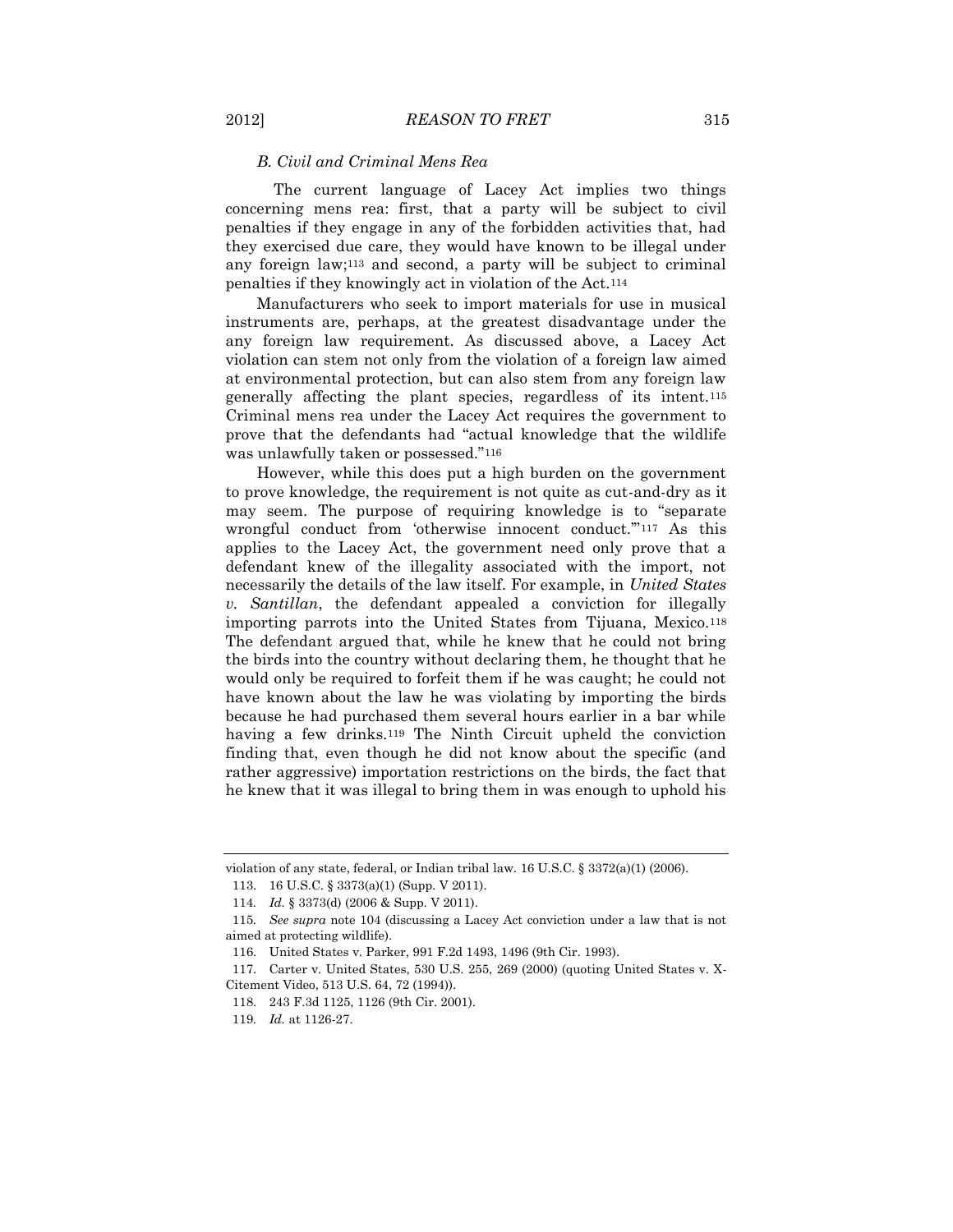#### *B. Civil and Criminal Mens Rea*

The current language of Lacey Act implies two things concerning mens rea: first, that a party will be subject to civil penalties if they engage in any of the forbidden activities that, had they exercised due care, they would have known to be illegal under any foreign law;<sup>113</sup> and second, a party will be subject to criminal penalties if they knowingly act in violation of the Act.<sup>114</sup>

Manufacturers who seek to import materials for use in musical instruments are, perhaps, at the greatest disadvantage under the any foreign law requirement. As discussed above, a Lacey Act violation can stem not only from the violation of a foreign law aimed at environmental protection, but can also stem from any foreign law generally affecting the plant species, regardless of its intent.<sup>115</sup> Criminal mens rea under the Lacey Act requires the government to prove that the defendants had "actual knowledge that the wildlife was unlawfully taken or possessed."<sup>116</sup>

However, while this does put a high burden on the government to prove knowledge, the requirement is not quite as cut-and-dry as it may seem. The purpose of requiring knowledge is to "separate wrongful conduct from 'otherwise innocent conduct."<sup>117</sup> As this applies to the Lacey Act, the government need only prove that a defendant knew of the illegality associated with the import, not necessarily the details of the law itself. For example, in *United States v. Santillan*, the defendant appealed a conviction for illegally importing parrots into the United States from Tijuana, Mexico.<sup>118</sup> The defendant argued that, while he knew that he could not bring the birds into the country without declaring them, he thought that he would only be required to forfeit them if he was caught; he could not have known about the law he was violating by importing the birds because he had purchased them several hours earlier in a bar while having a few drinks.<sup>119</sup> The Ninth Circuit upheld the conviction finding that, even though he did not know about the specific (and rather aggressive) importation restrictions on the birds, the fact that he knew that it was illegal to bring them in was enough to uphold his

violation of any state, federal, or Indian tribal law. 16 U.S.C. § 3372(a)(1) (2006).

<sup>113.</sup> 16 U.S.C. § 3373(a)(1) (Supp. V 2011).

<sup>114</sup>*. Id.* § 3373(d) (2006 & Supp. V 2011).

<sup>115</sup>*. See supra* note 104 (discussing a Lacey Act conviction under a law that is not aimed at protecting wildlife).

<sup>116.</sup> United States v. Parker, 991 F.2d 1493, 1496 (9th Cir. 1993).

<sup>117.</sup> Carter v. United States, 530 U.S. 255, 269 (2000) (quoting United States v. X-Citement Video, 513 U.S. 64, 72 (1994)).

<sup>118.</sup> 243 F.3d 1125, 1126 (9th Cir. 2001).

<sup>119</sup>*. Id.* at 1126-27.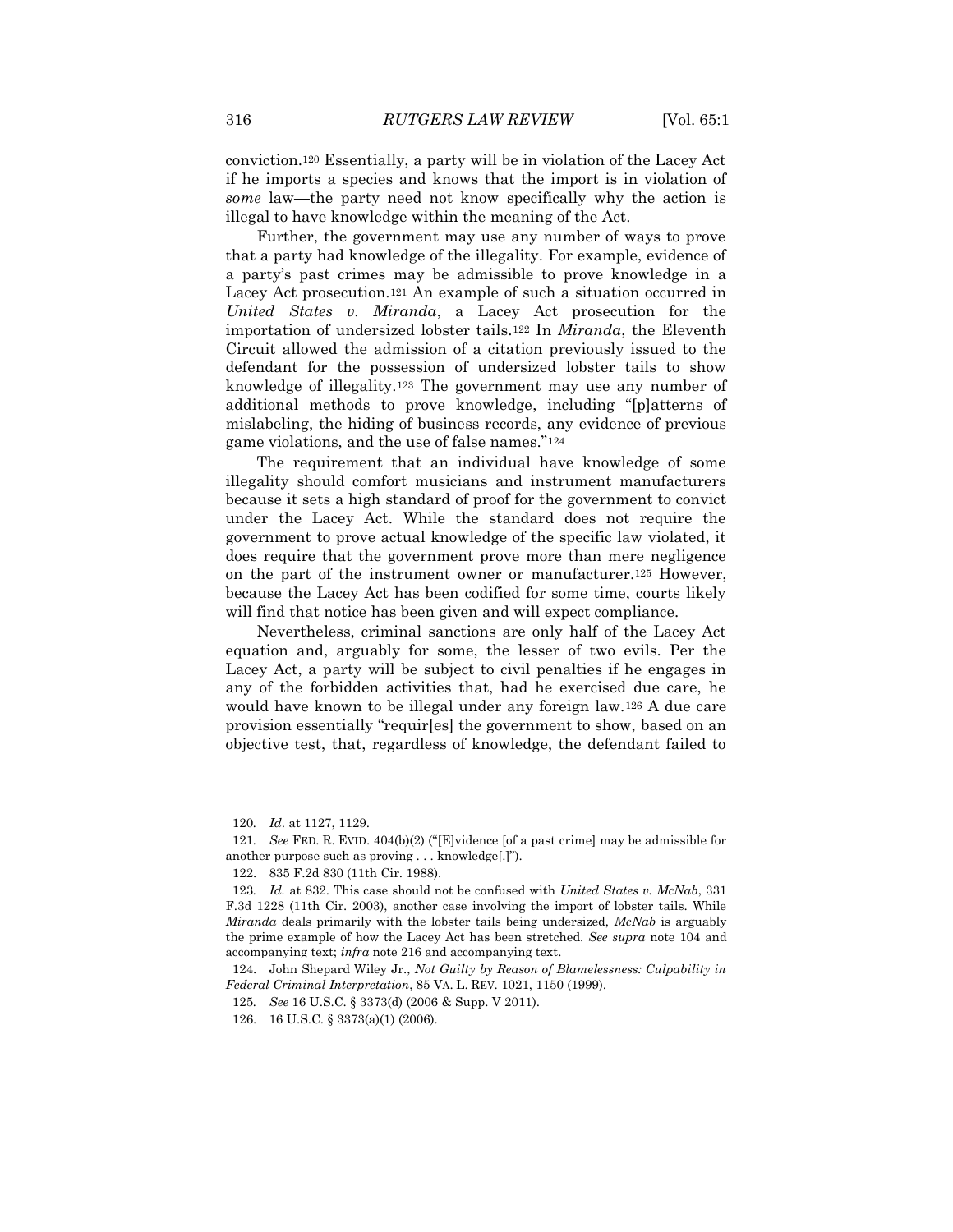conviction.<sup>120</sup> Essentially, a party will be in violation of the Lacey Act if he imports a species and knows that the import is in violation of *some* law—the party need not know specifically why the action is illegal to have knowledge within the meaning of the Act.

Further, the government may use any number of ways to prove that a party had knowledge of the illegality. For example, evidence of a party's past crimes may be admissible to prove knowledge in a Lacey Act prosecution.<sup>121</sup> An example of such a situation occurred in *United States v. Miranda*, a Lacey Act prosecution for the importation of undersized lobster tails.<sup>122</sup> In *Miranda*, the Eleventh Circuit allowed the admission of a citation previously issued to the defendant for the possession of undersized lobster tails to show knowledge of illegality.<sup>123</sup> The government may use any number of additional methods to prove knowledge, including "[p]atterns of mislabeling, the hiding of business records, any evidence of previous game violations, and the use of false names."<sup>124</sup>

The requirement that an individual have knowledge of some illegality should comfort musicians and instrument manufacturers because it sets a high standard of proof for the government to convict under the Lacey Act. While the standard does not require the government to prove actual knowledge of the specific law violated, it does require that the government prove more than mere negligence on the part of the instrument owner or manufacturer.<sup>125</sup> However, because the Lacey Act has been codified for some time, courts likely will find that notice has been given and will expect compliance.

Nevertheless, criminal sanctions are only half of the Lacey Act equation and, arguably for some, the lesser of two evils. Per the Lacey Act, a party will be subject to civil penalties if he engages in any of the forbidden activities that, had he exercised due care, he would have known to be illegal under any foreign law.<sup>126</sup> A due care provision essentially "requir[es] the government to show, based on an objective test, that, regardless of knowledge, the defendant failed to

<sup>120</sup>*. Id*. at 1127, 1129.

<sup>121</sup>*. See* FED. R. EVID. 404(b)(2) ("[E]vidence [of a past crime] may be admissible for another purpose such as proving . . . knowledge[.]").

<sup>122.</sup> 835 F.2d 830 (11th Cir. 1988).

<sup>123</sup>*. Id.* at 832. This case should not be confused with *United States v. McNab*, 331 F.3d 1228 (11th Cir. 2003), another case involving the import of lobster tails. While *Miranda* deals primarily with the lobster tails being undersized, *McNab* is arguably the prime example of how the Lacey Act has been stretched. *See supra* note 104 and accompanying text; *infra* note 216 and accompanying text.

<sup>124.</sup> John Shepard Wiley Jr., *Not Guilty by Reason of Blamelessness: Culpability in Federal Criminal Interpretation*, 85 VA. L. REV. 1021, 1150 (1999).

<sup>125</sup>*. See* 16 U.S.C. § 3373(d) (2006 & Supp. V 2011).

<sup>126.</sup> 16 U.S.C. § 3373(a)(1) (2006).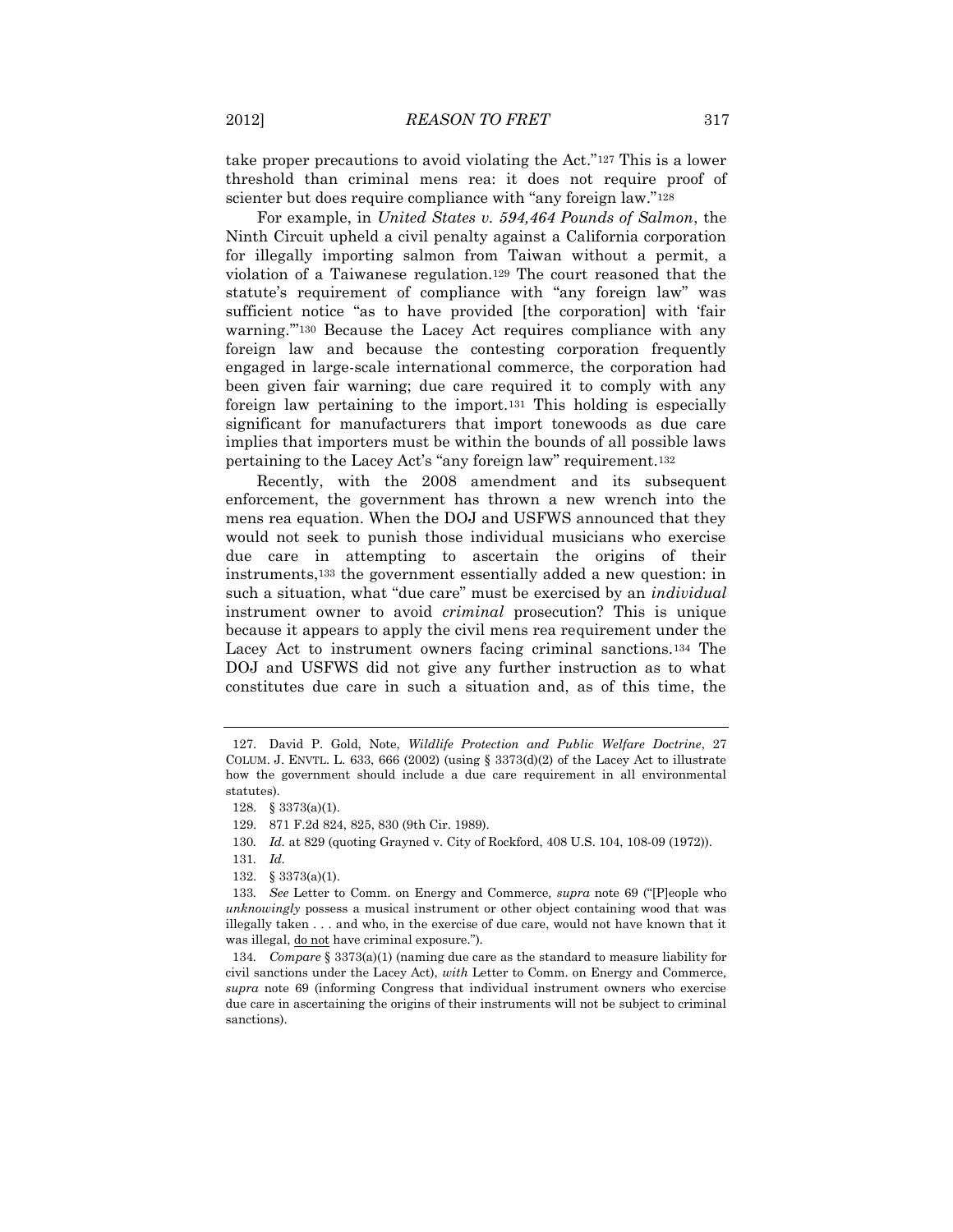take proper precautions to avoid violating the Act."<sup>127</sup> This is a lower threshold than criminal mens rea: it does not require proof of scienter but does require compliance with "any foreign law."<sup>128</sup>

For example, in *United States v. 594,464 Pounds of Salmon*, the Ninth Circuit upheld a civil penalty against a California corporation for illegally importing salmon from Taiwan without a permit, a violation of a Taiwanese regulation.<sup>129</sup> The court reasoned that the statute's requirement of compliance with "any foreign law" was sufficient notice "as to have provided [the corporation] with 'fair warning.'"<sup>130</sup> Because the Lacey Act requires compliance with any foreign law and because the contesting corporation frequently engaged in large-scale international commerce, the corporation had been given fair warning; due care required it to comply with any foreign law pertaining to the import.<sup>131</sup> This holding is especially significant for manufacturers that import tonewoods as due care implies that importers must be within the bounds of all possible laws pertaining to the Lacey Act's "any foreign law" requirement.<sup>132</sup>

Recently, with the 2008 amendment and its subsequent enforcement, the government has thrown a new wrench into the mens rea equation. When the DOJ and USFWS announced that they would not seek to punish those individual musicians who exercise due care in attempting to ascertain the origins of their instruments,<sup>133</sup> the government essentially added a new question: in such a situation, what "due care" must be exercised by an *individual*  instrument owner to avoid *criminal* prosecution? This is unique because it appears to apply the civil mens rea requirement under the Lacey Act to instrument owners facing criminal sanctions.<sup>134</sup> The DOJ and USFWS did not give any further instruction as to what constitutes due care in such a situation and, as of this time, the

<sup>127.</sup> David P. Gold, Note, *Wildlife Protection and Public Welfare Doctrine*, 27 COLUM. J. ENVTL. L. 633, 666 (2002) (using  $\S 3373(d)(2)$  of the Lacey Act to illustrate how the government should include a due care requirement in all environmental statutes).

<sup>128.</sup> § 3373(a)(1).

<sup>129.</sup> 871 F.2d 824, 825, 830 (9th Cir. 1989).

<sup>130</sup>*. Id.* at 829 (quoting Grayned v. City of Rockford, 408 U.S. 104, 108-09 (1972)).

<sup>131</sup>*. Id.*

<sup>132.</sup> § 3373(a)(1).

<sup>133</sup>*. See* Letter to Comm. on Energy and Commerce*, supra* note 69 ("[P]eople who *unknowingly* possess a musical instrument or other object containing wood that was illegally taken . . . and who, in the exercise of due care, would not have known that it was illegal, do not have criminal exposure.").

<sup>134</sup>*. Compare* § 3373(a)(1) (naming due care as the standard to measure liability for civil sanctions under the Lacey Act), *with* Letter to Comm. on Energy and Commerce*, supra* note 69 (informing Congress that individual instrument owners who exercise due care in ascertaining the origins of their instruments will not be subject to criminal sanctions).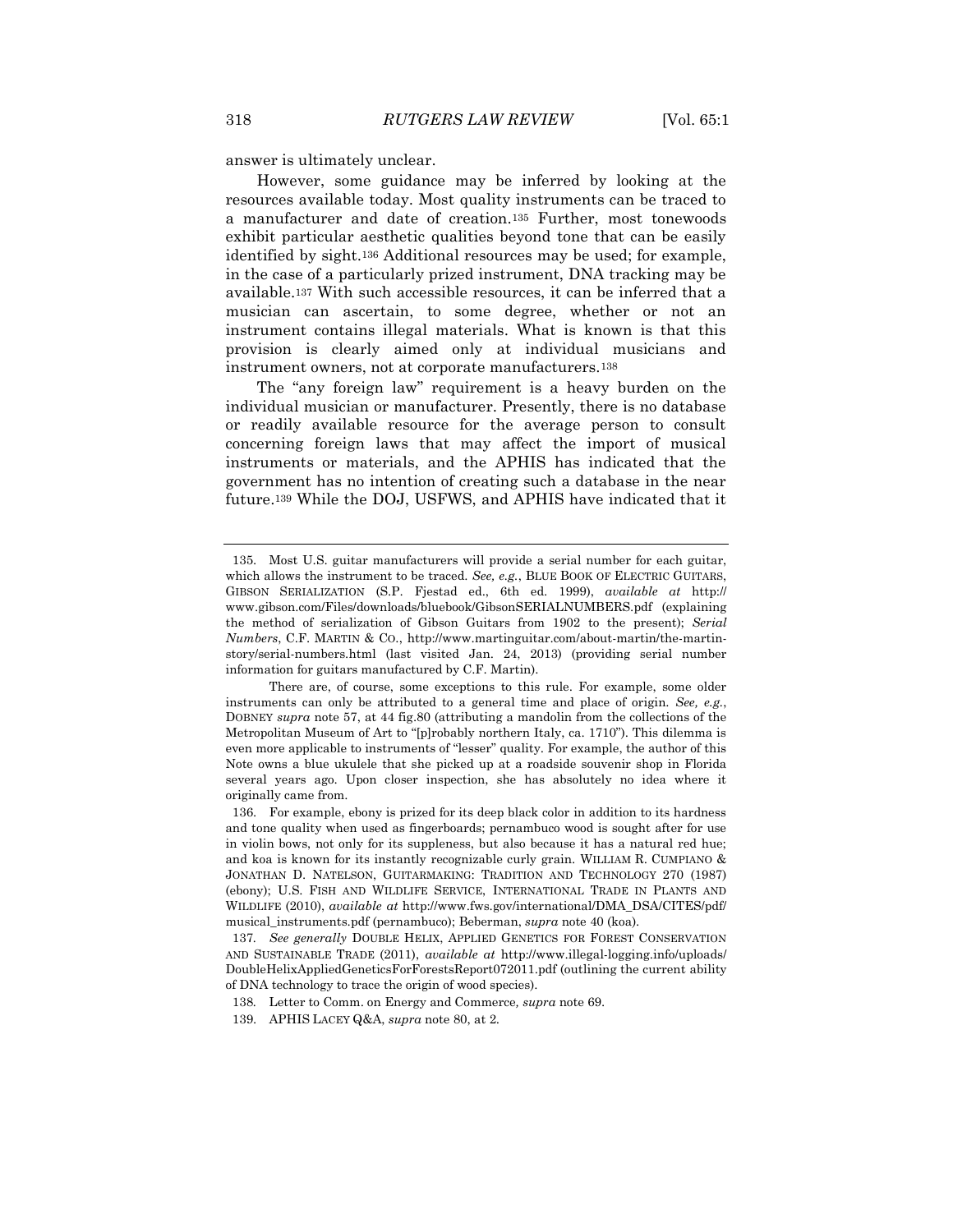answer is ultimately unclear.

However, some guidance may be inferred by looking at the resources available today. Most quality instruments can be traced to a manufacturer and date of creation.<sup>135</sup> Further, most tonewoods exhibit particular aesthetic qualities beyond tone that can be easily identified by sight.<sup>136</sup> Additional resources may be used; for example, in the case of a particularly prized instrument, DNA tracking may be available.<sup>137</sup> With such accessible resources, it can be inferred that a musician can ascertain, to some degree, whether or not an instrument contains illegal materials. What is known is that this provision is clearly aimed only at individual musicians and instrument owners, not at corporate manufacturers.<sup>138</sup>

The "any foreign law" requirement is a heavy burden on the individual musician or manufacturer. Presently, there is no database or readily available resource for the average person to consult concerning foreign laws that may affect the import of musical instruments or materials, and the APHIS has indicated that the government has no intention of creating such a database in the near future.<sup>139</sup> While the DOJ, USFWS, and APHIS have indicated that it

<sup>135.</sup> Most U.S. guitar manufacturers will provide a serial number for each guitar, which allows the instrument to be traced. *See, e.g.*, BLUE BOOK OF ELECTRIC GUITARS, GIBSON SERIALIZATION (S.P. Fjestad ed., 6th ed. 1999), *available at* http:// www.gibson.com/Files/downloads/bluebook/GibsonSERIALNUMBERS.pdf (explaining the method of serialization of Gibson Guitars from 1902 to the present); *Serial Numbers*, C.F. MARTIN & CO., http://www.martinguitar.com/about-martin/the-martinstory/serial-numbers.html (last visited Jan. 24, 2013) (providing serial number information for guitars manufactured by C.F. Martin).

There are, of course, some exceptions to this rule. For example, some older instruments can only be attributed to a general time and place of origin. *See, e.g.*, DOBNEY *supra* note 57, at 44 fig.80 (attributing a mandolin from the collections of the Metropolitan Museum of Art to "[p]robably northern Italy, ca. 1710"). This dilemma is even more applicable to instruments of "lesser" quality. For example, the author of this Note owns a blue ukulele that she picked up at a roadside souvenir shop in Florida several years ago. Upon closer inspection, she has absolutely no idea where it originally came from.

<sup>136.</sup> For example, ebony is prized for its deep black color in addition to its hardness and tone quality when used as fingerboards; pernambuco wood is sought after for use in violin bows, not only for its suppleness, but also because it has a natural red hue; and koa is known for its instantly recognizable curly grain. WILLIAM R. CUMPIANO & JONATHAN D. NATELSON, GUITARMAKING: TRADITION AND TECHNOLOGY 270 (1987) (ebony); U.S. FISH AND WILDLIFE SERVICE, INTERNATIONAL TRADE IN PLANTS AND WILDLIFE (2010), *available at* http://www.fws.gov/international/DMA\_DSA/CITES/pdf/ musical\_instruments.pdf (pernambuco); Beberman, *supra* note 40 (koa).

<sup>137</sup>*. See generally* DOUBLE HELIX, APPLIED GENETICS FOR FOREST CONSERVATION AND SUSTAINABLE TRADE (2011), *available at* http://www.illegal-logging.info/uploads/ DoubleHelixAppliedGeneticsForForestsReport072011.pdf (outlining the current ability of DNA technology to trace the origin of wood species).

<sup>138</sup>*.* Letter to Comm. on Energy and Commerce*, supra* note 69.

<sup>139.</sup> APHIS LACEY Q&A, *supra* note 80, at 2.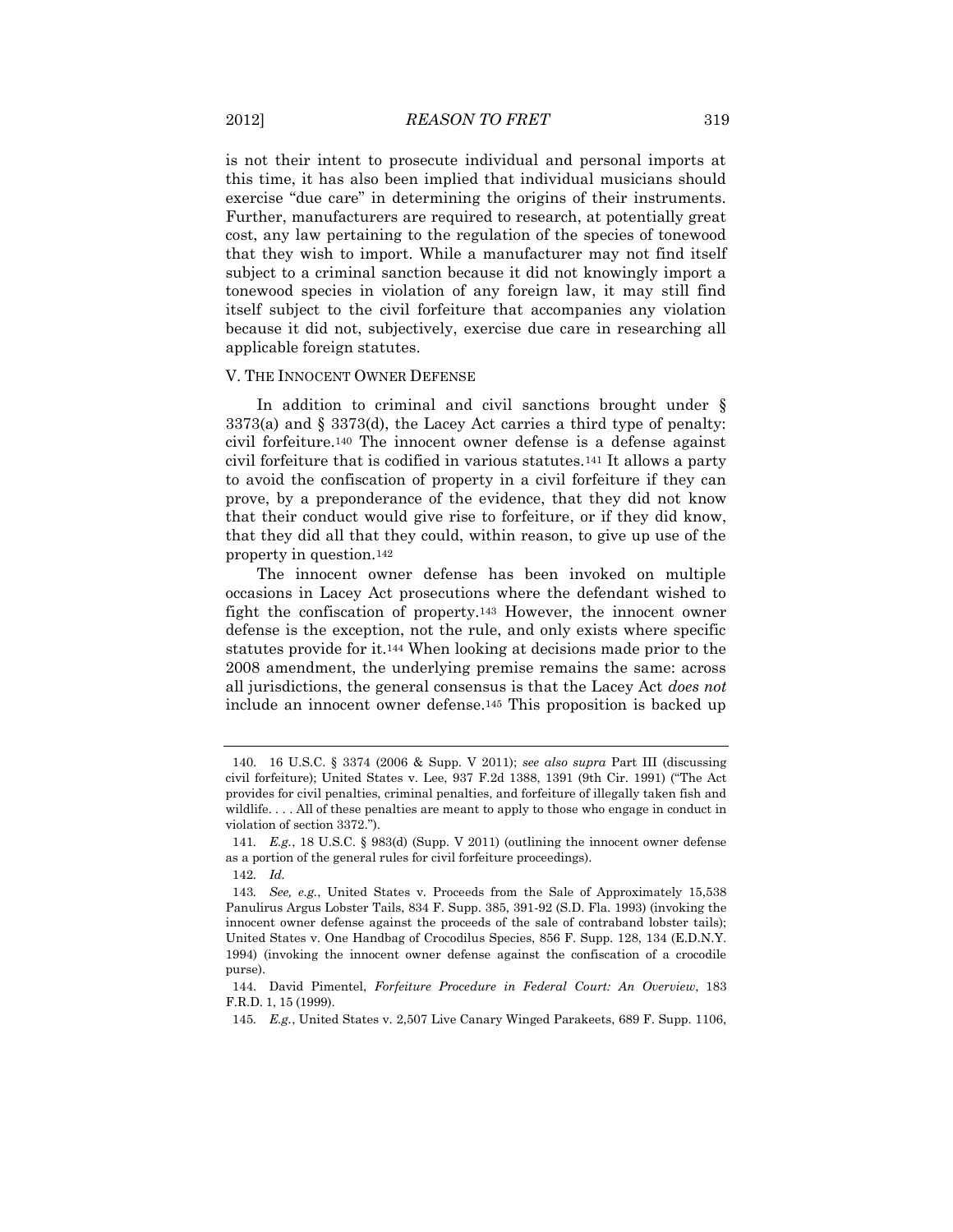is not their intent to prosecute individual and personal imports at this time, it has also been implied that individual musicians should exercise "due care" in determining the origins of their instruments. Further, manufacturers are required to research, at potentially great cost, any law pertaining to the regulation of the species of tonewood that they wish to import. While a manufacturer may not find itself subject to a criminal sanction because it did not knowingly import a tonewood species in violation of any foreign law, it may still find itself subject to the civil forfeiture that accompanies any violation because it did not, subjectively, exercise due care in researching all applicable foreign statutes.

#### V. THE INNOCENT OWNER DEFENSE

In addition to criminal and civil sanctions brought under § 3373(a) and § 3373(d), the Lacey Act carries a third type of penalty: civil forfeiture.<sup>140</sup> The innocent owner defense is a defense against civil forfeiture that is codified in various statutes.<sup>141</sup> It allows a party to avoid the confiscation of property in a civil forfeiture if they can prove, by a preponderance of the evidence, that they did not know that their conduct would give rise to forfeiture, or if they did know, that they did all that they could, within reason, to give up use of the property in question.<sup>142</sup>

The innocent owner defense has been invoked on multiple occasions in Lacey Act prosecutions where the defendant wished to fight the confiscation of property.<sup>143</sup> However, the innocent owner defense is the exception, not the rule, and only exists where specific statutes provide for it.<sup>144</sup> When looking at decisions made prior to the 2008 amendment, the underlying premise remains the same: across all jurisdictions, the general consensus is that the Lacey Act *does not* include an innocent owner defense.<sup>145</sup> This proposition is backed up

<sup>140.</sup> 16 U.S.C. § 3374 (2006 & Supp. V 2011); *see also supra* Part III (discussing civil forfeiture); United States v. Lee, 937 F.2d 1388, 1391 (9th Cir. 1991) ("The Act provides for civil penalties, criminal penalties, and forfeiture of illegally taken fish and wildlife. . . . All of these penalties are meant to apply to those who engage in conduct in violation of section 3372.").

<sup>141</sup>*. E.g.*, 18 U.S.C. § 983(d) (Supp. V 2011) (outlining the innocent owner defense as a portion of the general rules for civil forfeiture proceedings).

<sup>142</sup>*. Id.*

<sup>143</sup>*. See, e.g.*, United States v. Proceeds from the Sale of Approximately 15,538 Panulirus Argus Lobster Tails, 834 F. Supp. 385, 391-92 (S.D. Fla. 1993) (invoking the innocent owner defense against the proceeds of the sale of contraband lobster tails); United States v. One Handbag of Crocodilus Species, 856 F. Supp. 128, 134 (E.D.N.Y. 1994) (invoking the innocent owner defense against the confiscation of a crocodile purse).

<sup>144.</sup> David Pimentel, *Forfeiture Procedure in Federal Court: An Overview*, 183 F.R.D. 1, 15 (1999).

<sup>145</sup>*. E.g.*, United States v. 2,507 Live Canary Winged Parakeets, 689 F. Supp. 1106,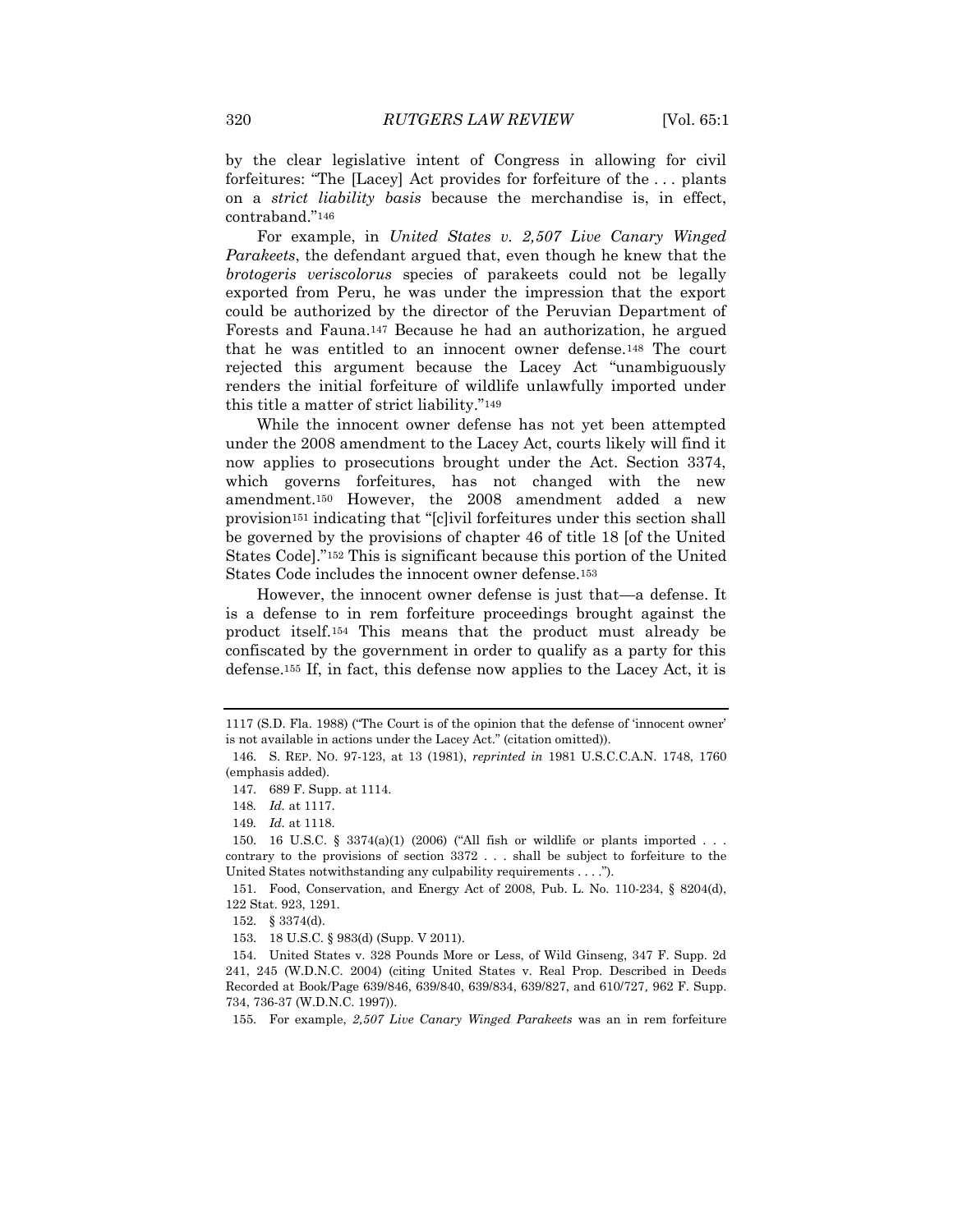by the clear legislative intent of Congress in allowing for civil forfeitures: "The [Lacey] Act provides for forfeiture of the . . . plants on a *strict liability basis* because the merchandise is, in effect, contraband."<sup>146</sup>

For example, in *United States v. 2,507 Live Canary Winged Parakeets*, the defendant argued that, even though he knew that the *brotogeris veriscolorus* species of parakeets could not be legally exported from Peru, he was under the impression that the export could be authorized by the director of the Peruvian Department of Forests and Fauna.<sup>147</sup> Because he had an authorization, he argued that he was entitled to an innocent owner defense.<sup>148</sup> The court rejected this argument because the Lacey Act "unambiguously renders the initial forfeiture of wildlife unlawfully imported under this title a matter of strict liability."<sup>149</sup>

While the innocent owner defense has not yet been attempted under the 2008 amendment to the Lacey Act, courts likely will find it now applies to prosecutions brought under the Act. Section 3374, which governs forfeitures, has not changed with the new amendment.<sup>150</sup> However, the 2008 amendment added a new provision<sup>151</sup> indicating that "[c]ivil forfeitures under this section shall be governed by the provisions of chapter 46 of title 18 [of the United States Code]."<sup>152</sup> This is significant because this portion of the United States Code includes the innocent owner defense.<sup>153</sup>

However, the innocent owner defense is just that—a defense. It is a defense to in rem forfeiture proceedings brought against the product itself.<sup>154</sup> This means that the product must already be confiscated by the government in order to qualify as a party for this defense.<sup>155</sup> If, in fact, this defense now applies to the Lacey Act, it is

151. Food, Conservation, and Energy Act of 2008, Pub. L. No. 110-234, § 8204(d), 122 Stat. 923, 1291.

<sup>1117 (</sup>S.D. Fla. 1988) ("The Court is of the opinion that the defense of 'innocent owner' is not available in actions under the Lacey Act." (citation omitted)).

<sup>146.</sup> S. REP. NO. 97-123, at 13 (1981), *reprinted in* 1981 U.S.C.C.A.N. 1748, 1760 (emphasis added).

<sup>147.</sup> 689 F. Supp. at 1114.

<sup>148</sup>*. Id.* at 1117.

<sup>149</sup>*. Id.* at 1118.

<sup>150.</sup> 16 U.S.C. § 3374(a)(1) (2006) ("All fish or wildlife or plants imported . . . contrary to the provisions of section 3372 . . . shall be subject to forfeiture to the United States notwithstanding any culpability requirements . . . .").

<sup>152.</sup> § 3374(d).

<sup>153.</sup> 18 U.S.C. § 983(d) (Supp. V 2011).

<sup>154.</sup> United States v. 328 Pounds More or Less, of Wild Ginseng, 347 F. Supp. 2d 241, 245 (W.D.N.C. 2004) (citing United States v. Real Prop. Described in Deeds Recorded at Book/Page 639/846, 639/840, 639/834, 639/827, and 610/727*,* 962 F. Supp. 734, 736-37 (W.D.N.C. 1997)).

<sup>155.</sup> For example, *2,507 Live Canary Winged Parakeets* was an in rem forfeiture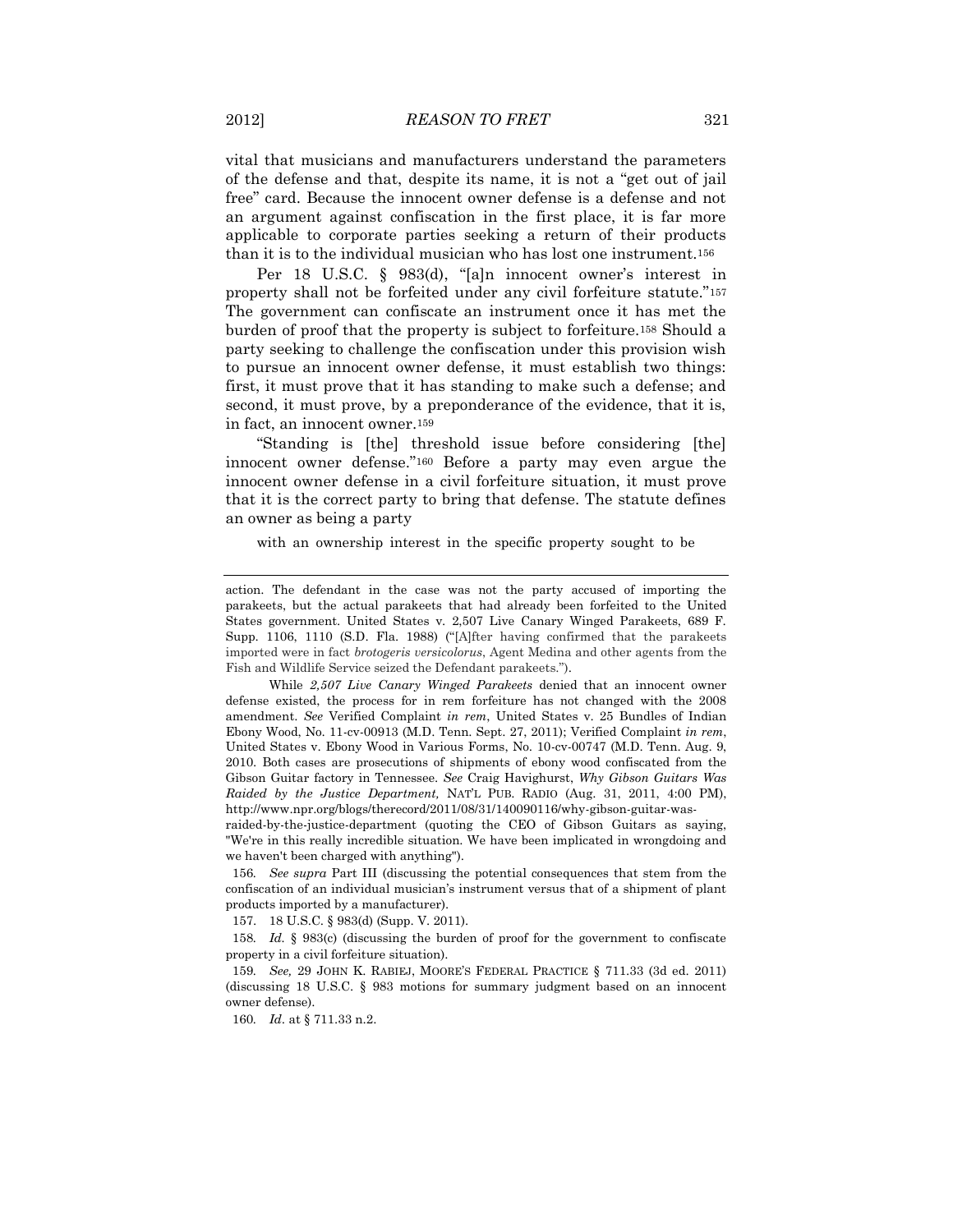vital that musicians and manufacturers understand the parameters of the defense and that, despite its name, it is not a "get out of jail free" card. Because the innocent owner defense is a defense and not an argument against confiscation in the first place, it is far more applicable to corporate parties seeking a return of their products than it is to the individual musician who has lost one instrument.<sup>156</sup>

Per 18 U.S.C. § 983(d), "[a]n innocent owner's interest in property shall not be forfeited under any civil forfeiture statute."<sup>157</sup> The government can confiscate an instrument once it has met the burden of proof that the property is subject to forfeiture.<sup>158</sup> Should a party seeking to challenge the confiscation under this provision wish to pursue an innocent owner defense, it must establish two things: first, it must prove that it has standing to make such a defense; and second, it must prove, by a preponderance of the evidence, that it is, in fact, an innocent owner.<sup>159</sup>

"Standing is [the] threshold issue before considering [the] innocent owner defense."<sup>160</sup> Before a party may even argue the innocent owner defense in a civil forfeiture situation, it must prove that it is the correct party to bring that defense. The statute defines an owner as being a party

with an ownership interest in the specific property sought to be

While *2,507 Live Canary Winged Parakeets* denied that an innocent owner defense existed, the process for in rem forfeiture has not changed with the 2008 amendment. *See* Verified Complaint *in rem*, United States v. 25 Bundles of Indian Ebony Wood, No. 11-cv-00913 (M.D. Tenn. Sept. 27, 2011); Verified Complaint *in rem*, United States v. Ebony Wood in Various Forms, No. 10-cv-00747 (M.D. Tenn. Aug. 9, 2010. Both cases are prosecutions of shipments of ebony wood confiscated from the Gibson Guitar factory in Tennessee. *See* Craig Havighurst, *Why Gibson Guitars Was Raided by the Justice Department,* NAT'L PUB. RADIO (Aug. 31, 2011, 4:00 PM), http://www.npr.org/blogs/therecord/2011/08/31/140090116/why-gibson-guitar-was-

raided-by-the-justice-department (quoting the CEO of Gibson Guitars as saying, "We're in this really incredible situation. We have been implicated in wrongdoing and we haven't been charged with anything").

156*. See supra* Part III (discussing the potential consequences that stem from the confiscation of an individual musician's instrument versus that of a shipment of plant products imported by a manufacturer).

157. 18 U.S.C. § 983(d) (Supp. V. 2011).

158*. Id.* § 983(c) (discussing the burden of proof for the government to confiscate property in a civil forfeiture situation).

159*. See,* 29 JOHN K. RABIEJ, MOORE'S FEDERAL PRACTICE § 711.33 (3d ed. 2011) (discussing 18 U.S.C. § 983 motions for summary judgment based on an innocent owner defense).

160*. Id*. at § 711.33 n.2.

action. The defendant in the case was not the party accused of importing the parakeets, but the actual parakeets that had already been forfeited to the United States government. United States v. 2,507 Live Canary Winged Parakeets, 689 F. Supp. 1106, 1110 (S.D. Fla. 1988) ("[A]fter having confirmed that the parakeets imported were in fact *brotogeris versicolorus*, Agent Medina and other agents from the Fish and Wildlife Service seized the Defendant parakeets.").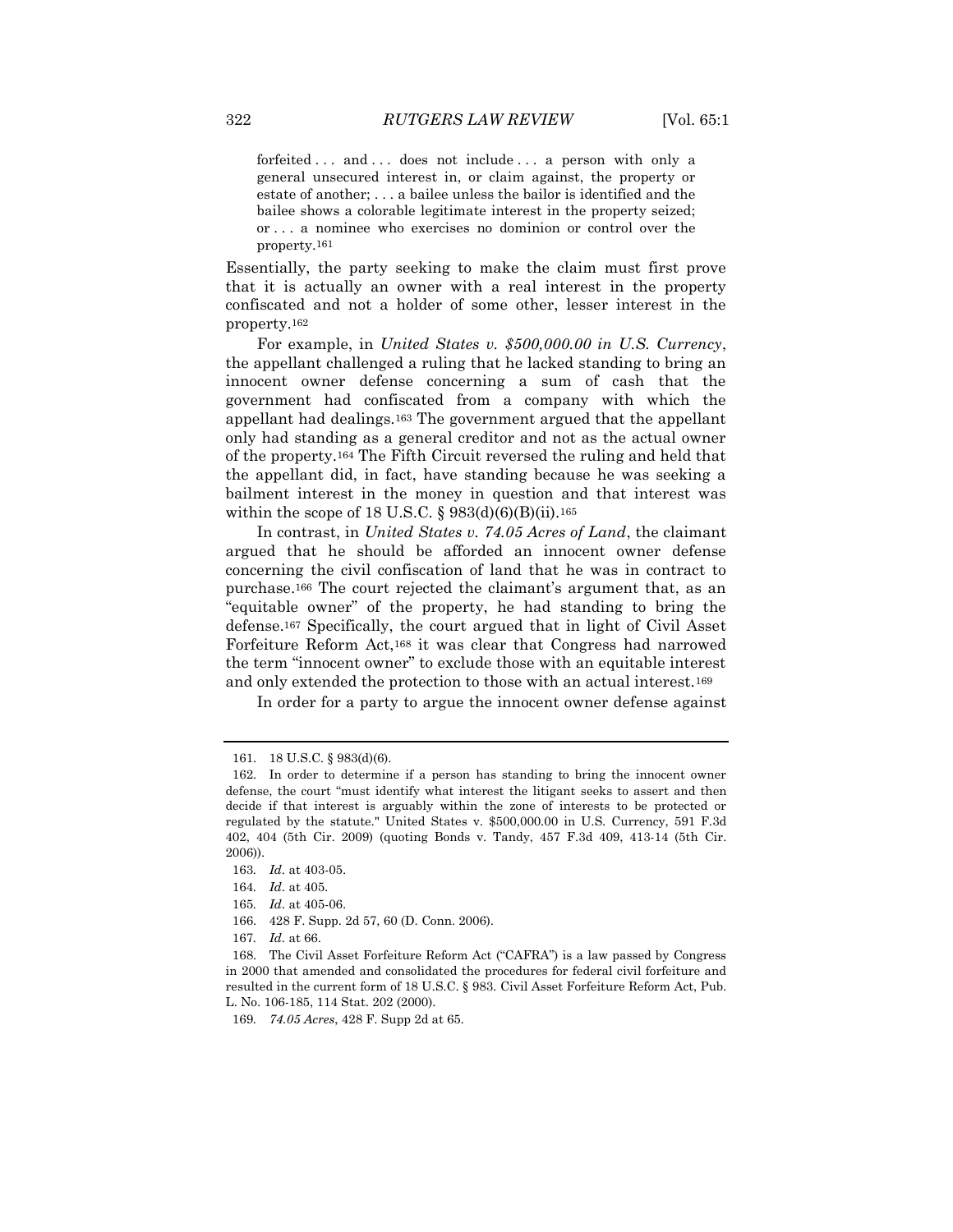forfeited ... and ... does not include ... a person with only a general unsecured interest in, or claim against, the property or estate of another; . . . a bailee unless the bailor is identified and the bailee shows a colorable legitimate interest in the property seized; or . . . a nominee who exercises no dominion or control over the property.161

Essentially, the party seeking to make the claim must first prove that it is actually an owner with a real interest in the property confiscated and not a holder of some other, lesser interest in the property.<sup>162</sup>

For example, in *United States v. \$500,000.00 in U.S. Currency*, the appellant challenged a ruling that he lacked standing to bring an innocent owner defense concerning a sum of cash that the government had confiscated from a company with which the appellant had dealings.<sup>163</sup> The government argued that the appellant only had standing as a general creditor and not as the actual owner of the property.<sup>164</sup> The Fifth Circuit reversed the ruling and held that the appellant did, in fact, have standing because he was seeking a bailment interest in the money in question and that interest was within the scope of 18 U.S.C.  $\S 983(d)(6)(B)(ii)$ . 165

In contrast, in *United States v. 74.05 Acres of Land*, the claimant argued that he should be afforded an innocent owner defense concerning the civil confiscation of land that he was in contract to purchase.<sup>166</sup> The court rejected the claimant's argument that, as an "equitable owner" of the property, he had standing to bring the defense.<sup>167</sup> Specifically, the court argued that in light of Civil Asset Forfeiture Reform Act,<sup>168</sup> it was clear that Congress had narrowed the term "innocent owner" to exclude those with an equitable interest and only extended the protection to those with an actual interest.<sup>169</sup>

In order for a party to argue the innocent owner defense against

- 165*. Id*. at 405-06.
- 166. 428 F. Supp. 2d 57, 60 (D. Conn. 2006).
- 167*. Id*. at 66.

<sup>161.</sup> 18 U.S.C. § 983(d)(6).

<sup>162.</sup> In order to determine if a person has standing to bring the innocent owner defense, the court "must identify what interest the litigant seeks to assert and then decide if that interest is arguably within the zone of interests to be protected or regulated by the statute." United States v. \$500,000.00 in U.S. Currency, 591 F.3d 402, 404 (5th Cir. 2009) (quoting Bonds v. Tandy, 457 F.3d 409, 413-14 (5th Cir. 2006)).

<sup>163</sup>*. Id*. at 403-05.

<sup>164</sup>*. Id*. at 405.

<sup>168.</sup> The Civil Asset Forfeiture Reform Act ("CAFRA") is a law passed by Congress in 2000 that amended and consolidated the procedures for federal civil forfeiture and resulted in the current form of 18 U.S.C. § 983. Civil Asset Forfeiture Reform Act, Pub. L. No. 106-185, 114 Stat. 202 (2000).

<sup>169</sup>*. 74.05 Acres*, 428 F. Supp 2d at 65.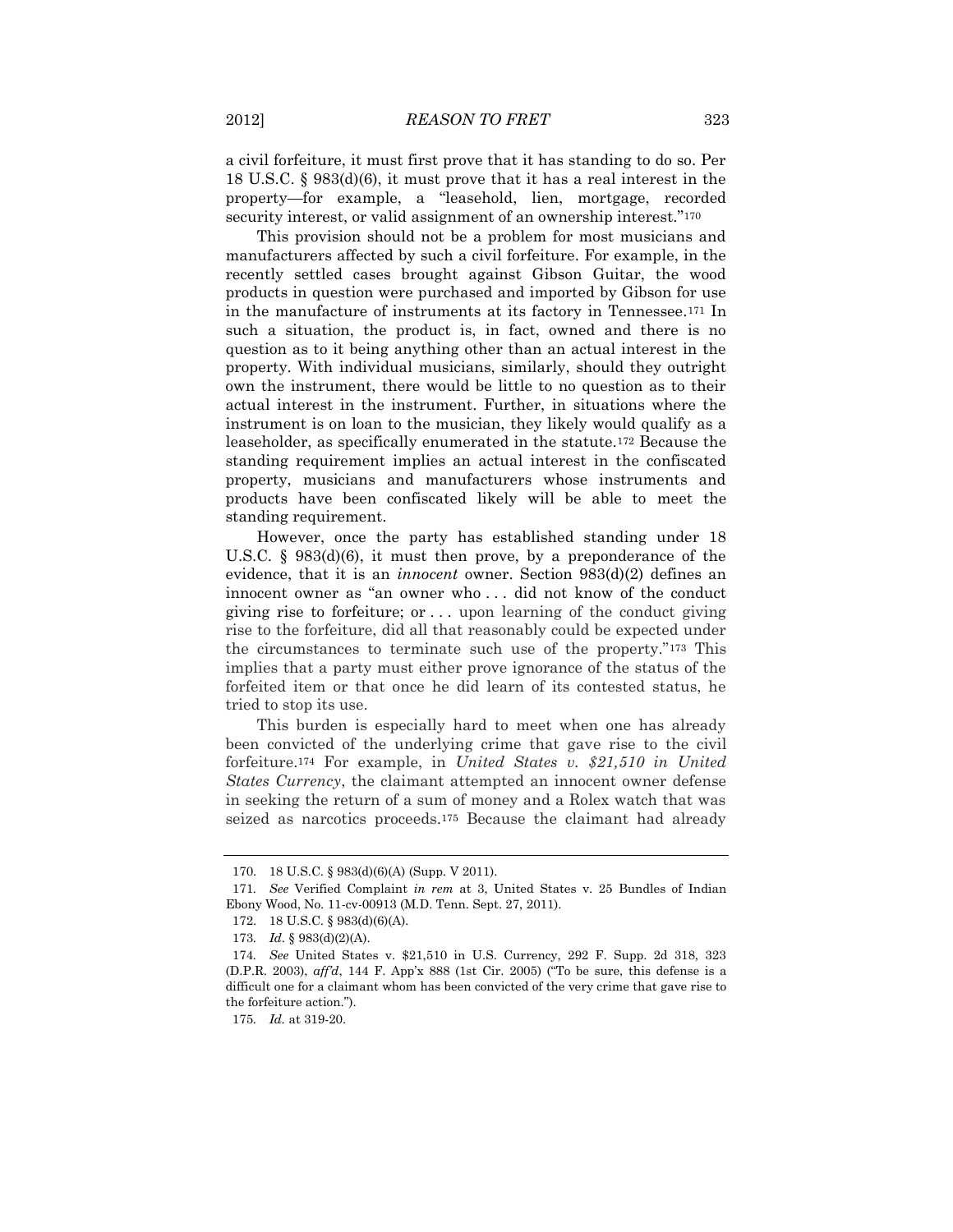a civil forfeiture, it must first prove that it has standing to do so. Per 18 U.S.C. § 983(d)(6), it must prove that it has a real interest in the property—for example, a "leasehold, lien, mortgage, recorded security interest, or valid assignment of an ownership interest."<sup>170</sup>

This provision should not be a problem for most musicians and manufacturers affected by such a civil forfeiture. For example, in the recently settled cases brought against Gibson Guitar, the wood products in question were purchased and imported by Gibson for use in the manufacture of instruments at its factory in Tennessee.<sup>171</sup> In such a situation, the product is, in fact, owned and there is no question as to it being anything other than an actual interest in the property. With individual musicians, similarly, should they outright own the instrument, there would be little to no question as to their actual interest in the instrument. Further, in situations where the instrument is on loan to the musician, they likely would qualify as a leaseholder, as specifically enumerated in the statute.<sup>172</sup> Because the standing requirement implies an actual interest in the confiscated property, musicians and manufacturers whose instruments and products have been confiscated likely will be able to meet the standing requirement.

However, once the party has established standing under 18 U.S.C. § 983(d)(6), it must then prove, by a preponderance of the evidence, that it is an *innocent* owner. Section 983(d)(2) defines an innocent owner as "an owner who . . . did not know of the conduct giving rise to forfeiture; or . . . upon learning of the conduct giving rise to the forfeiture, did all that reasonably could be expected under the circumstances to terminate such use of the property."<sup>173</sup> This implies that a party must either prove ignorance of the status of the forfeited item or that once he did learn of its contested status, he tried to stop its use.

This burden is especially hard to meet when one has already been convicted of the underlying crime that gave rise to the civil forfeiture.<sup>174</sup> For example, in *United States v. \$21,510 in United States Currency*, the claimant attempted an innocent owner defense in seeking the return of a sum of money and a Rolex watch that was seized as narcotics proceeds.<sup>175</sup> Because the claimant had already

<sup>170.</sup> 18 U.S.C. § 983(d)(6)(A) (Supp. V 2011).

<sup>171</sup>*. See* Verified Complaint *in rem* at 3, United States v. 25 Bundles of Indian Ebony Wood, No. 11-cv-00913 (M.D. Tenn. Sept. 27, 2011).

<sup>172.</sup> 18 U.S.C. § 983(d)(6)(A).

<sup>173</sup>*. Id*. § 983(d)(2)(A).

<sup>174</sup>*. See* United States v. \$21,510 in U.S. Currency, 292 F. Supp. 2d 318, 323 (D.P.R. 2003), *aff'd*, 144 F. App'x 888 (1st Cir. 2005) ("To be sure, this defense is a difficult one for a claimant whom has been convicted of the very crime that gave rise to the forfeiture action.").

<sup>175</sup>*. Id.* at 319-20.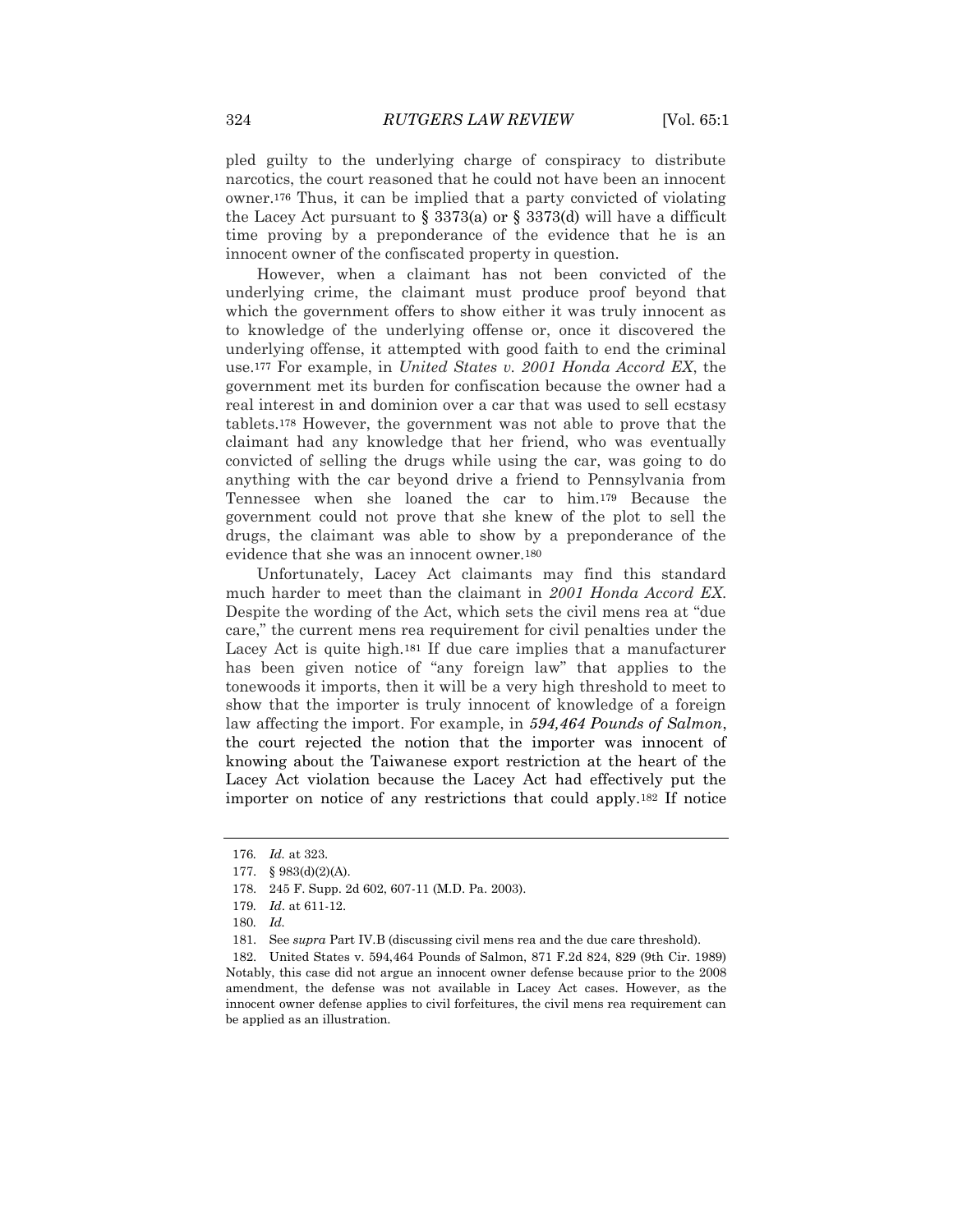pled guilty to the underlying charge of conspiracy to distribute narcotics, the court reasoned that he could not have been an innocent owner.<sup>176</sup> Thus, it can be implied that a party convicted of violating the Lacey Act pursuant to  $\S 3373(a)$  or  $\S 3373(d)$  will have a difficult time proving by a preponderance of the evidence that he is an innocent owner of the confiscated property in question.

However, when a claimant has not been convicted of the underlying crime, the claimant must produce proof beyond that which the government offers to show either it was truly innocent as to knowledge of the underlying offense or, once it discovered the underlying offense, it attempted with good faith to end the criminal use.<sup>177</sup> For example, in *United States v. 2001 Honda Accord EX*, the government met its burden for confiscation because the owner had a real interest in and dominion over a car that was used to sell ecstasy tablets.<sup>178</sup> However, the government was not able to prove that the claimant had any knowledge that her friend, who was eventually convicted of selling the drugs while using the car, was going to do anything with the car beyond drive a friend to Pennsylvania from Tennessee when she loaned the car to him.<sup>179</sup> Because the government could not prove that she knew of the plot to sell the drugs, the claimant was able to show by a preponderance of the evidence that she was an innocent owner.<sup>180</sup>

Unfortunately, Lacey Act claimants may find this standard much harder to meet than the claimant in *2001 Honda Accord EX*. Despite the wording of the Act, which sets the civil mens rea at "due care," the current mens rea requirement for civil penalties under the Lacey Act is quite high.<sup>181</sup> If due care implies that a manufacturer has been given notice of "any foreign law" that applies to the tonewoods it imports, then it will be a very high threshold to meet to show that the importer is truly innocent of knowledge of a foreign law affecting the import. For example, in *594,464 Pounds of Salmon*, the court rejected the notion that the importer was innocent of knowing about the Taiwanese export restriction at the heart of the Lacey Act violation because the Lacey Act had effectively put the importer on notice of any restrictions that could apply.<sup>182</sup> If notice

<sup>176</sup>*. Id.* at 323.

<sup>177.</sup> § 983(d)(2)(A).

<sup>178.</sup> 245 F. Supp. 2d 602, 607-11 (M.D. Pa. 2003).

<sup>179</sup>*. Id*. at 611-12.

<sup>180</sup>*. Id.*

<sup>181.</sup> See *supra* Part IV.B (discussing civil mens rea and the due care threshold).

<sup>182.</sup> United States v. 594,464 Pounds of Salmon, 871 F.2d 824, 829 (9th Cir. 1989) Notably, this case did not argue an innocent owner defense because prior to the 2008 amendment, the defense was not available in Lacey Act cases. However, as the innocent owner defense applies to civil forfeitures, the civil mens rea requirement can be applied as an illustration.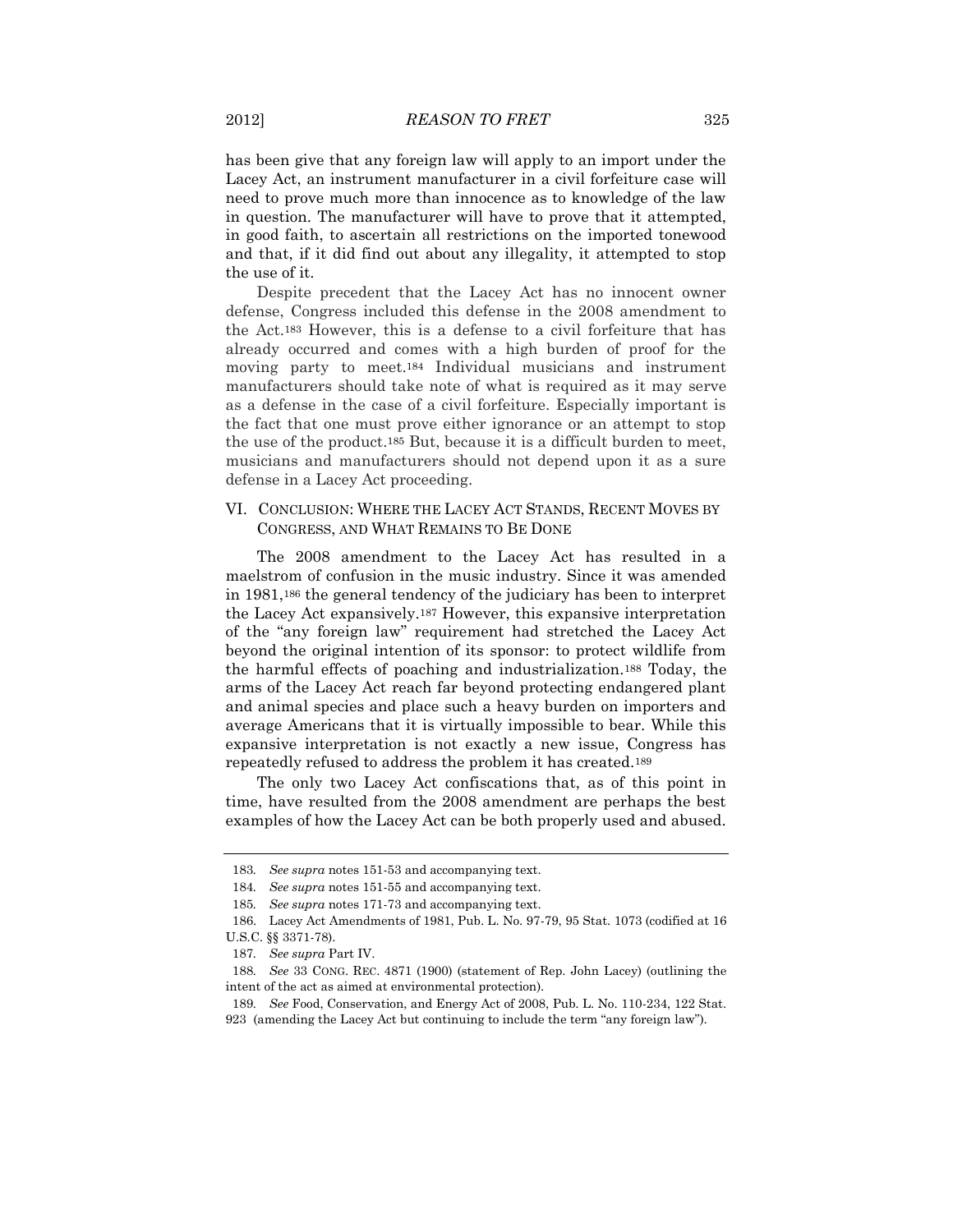has been give that any foreign law will apply to an import under the Lacey Act, an instrument manufacturer in a civil forfeiture case will need to prove much more than innocence as to knowledge of the law in question. The manufacturer will have to prove that it attempted, in good faith, to ascertain all restrictions on the imported tonewood and that, if it did find out about any illegality, it attempted to stop the use of it.

Despite precedent that the Lacey Act has no innocent owner defense, Congress included this defense in the 2008 amendment to the Act.<sup>183</sup> However, this is a defense to a civil forfeiture that has already occurred and comes with a high burden of proof for the moving party to meet.<sup>184</sup> Individual musicians and instrument manufacturers should take note of what is required as it may serve as a defense in the case of a civil forfeiture. Especially important is the fact that one must prove either ignorance or an attempt to stop the use of the product.<sup>185</sup> But, because it is a difficult burden to meet, musicians and manufacturers should not depend upon it as a sure defense in a Lacey Act proceeding.

### VI. CONCLUSION: WHERE THE LACEY ACT STANDS, RECENT MOVES BY CONGRESS, AND WHAT REMAINS TO BE DONE

The 2008 amendment to the Lacey Act has resulted in a maelstrom of confusion in the music industry. Since it was amended in 1981,<sup>186</sup> the general tendency of the judiciary has been to interpret the Lacey Act expansively.<sup>187</sup> However, this expansive interpretation of the "any foreign law" requirement had stretched the Lacey Act beyond the original intention of its sponsor: to protect wildlife from the harmful effects of poaching and industrialization.<sup>188</sup> Today, the arms of the Lacey Act reach far beyond protecting endangered plant and animal species and place such a heavy burden on importers and average Americans that it is virtually impossible to bear. While this expansive interpretation is not exactly a new issue, Congress has repeatedly refused to address the problem it has created.<sup>189</sup>

The only two Lacey Act confiscations that, as of this point in time, have resulted from the 2008 amendment are perhaps the best examples of how the Lacey Act can be both properly used and abused.

<sup>183</sup>*. See supra* notes 151-53 and accompanying text.

<sup>184</sup>*. See supra* notes 151-55 and accompanying text.

<sup>185</sup>*. See supra* notes 171-73 and accompanying text.

<sup>186.</sup> Lacey Act Amendments of 1981, Pub. L. No. 97-79, 95 Stat. 1073 (codified at 16 U.S.C. §§ 3371-78).

<sup>187</sup>*. See supra* Part IV.

<sup>188</sup>*. See* 33 CONG. REC. 4871 (1900) (statement of Rep. John Lacey) (outlining the intent of the act as aimed at environmental protection).

<sup>189</sup>*. See* Food, Conservation, and Energy Act of 2008, Pub. L. No. 110-234, 122 Stat. 923 (amending the Lacey Act but continuing to include the term "any foreign law").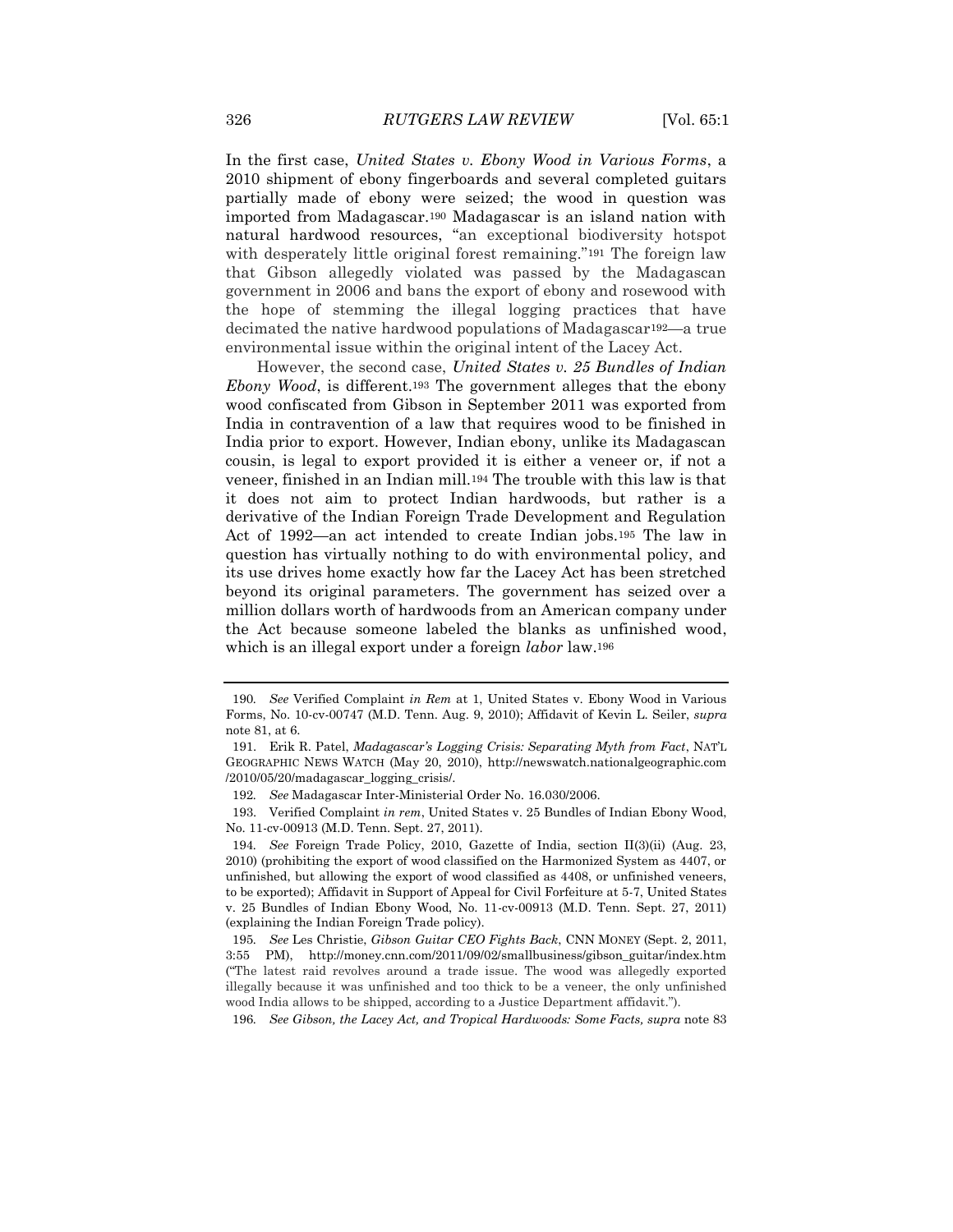In the first case, *United States v. Ebony Wood in Various Forms*, a 2010 shipment of ebony fingerboards and several completed guitars partially made of ebony were seized; the wood in question was imported from Madagascar.<sup>190</sup> Madagascar is an island nation with natural hardwood resources, "an exceptional biodiversity hotspot with desperately little original forest remaining."<sup>191</sup> The foreign law that Gibson allegedly violated was passed by the Madagascan government in 2006 and bans the export of ebony and rosewood with the hope of stemming the illegal logging practices that have decimated the native hardwood populations of Madagascar192—a true environmental issue within the original intent of the Lacey Act.

However, the second case, *United States v. 25 Bundles of Indian Ebony Wood*, is different.<sup>193</sup> The government alleges that the ebony wood confiscated from Gibson in September 2011 was exported from India in contravention of a law that requires wood to be finished in India prior to export. However, Indian ebony, unlike its Madagascan cousin, is legal to export provided it is either a veneer or, if not a veneer, finished in an Indian mill.<sup>194</sup> The trouble with this law is that it does not aim to protect Indian hardwoods, but rather is a derivative of the Indian Foreign Trade Development and Regulation Act of 1992—an act intended to create Indian jobs.<sup>195</sup> The law in question has virtually nothing to do with environmental policy, and its use drives home exactly how far the Lacey Act has been stretched beyond its original parameters. The government has seized over a million dollars worth of hardwoods from an American company under the Act because someone labeled the blanks as unfinished wood, which is an illegal export under a foreign *labor* law.<sup>196</sup>

<sup>190</sup>*. See* Verified Complaint *in Rem* at 1, United States v. Ebony Wood in Various Forms, No. 10-cv-00747 (M.D. Tenn. Aug. 9, 2010); Affidavit of Kevin L. Seiler, *supra* note 81, at 6.

<sup>191.</sup> Erik R. Patel, *Madagascar's Logging Crisis: Separating Myth from Fact*, NAT'L GEOGRAPHIC NEWS WATCH (May 20, 2010), http://newswatch.nationalgeographic.com /2010/05/20/madagascar\_logging\_crisis/.

<sup>192</sup>*. See* Madagascar Inter-Ministerial Order No. 16.030/2006.

<sup>193.</sup> Verified Complaint *in rem*, United States v. 25 Bundles of Indian Ebony Wood, No. 11-cv-00913 (M.D. Tenn. Sept. 27, 2011).

<sup>194</sup>*. See* Foreign Trade Policy, 2010, Gazette of India, section II(3)(ii) (Aug. 23, 2010) (prohibiting the export of wood classified on the Harmonized System as 4407, or unfinished, but allowing the export of wood classified as 4408, or unfinished veneers, to be exported); Affidavit in Support of Appeal for Civil Forfeiture at 5-7, United States v. 25 Bundles of Indian Ebony Wood, No. 11-cv-00913 (M.D. Tenn. Sept. 27, 2011) (explaining the Indian Foreign Trade policy).

<sup>195</sup>*. See* Les Christie, *Gibson Guitar CEO Fights Back*, CNN MONEY (Sept. 2, 2011, 3:55 PM), http://money.cnn.com/2011/09/02/smallbusiness/gibson\_guitar/index.htm ("The latest raid revolves around a trade issue. The wood was allegedly exported illegally because it was unfinished and too thick to be a veneer, the only unfinished wood India allows to be shipped, according to a Justice Department affidavit.").

<sup>196</sup>*. See Gibson, the Lacey Act, and Tropical Hardwoods: Some Facts, supra* note 83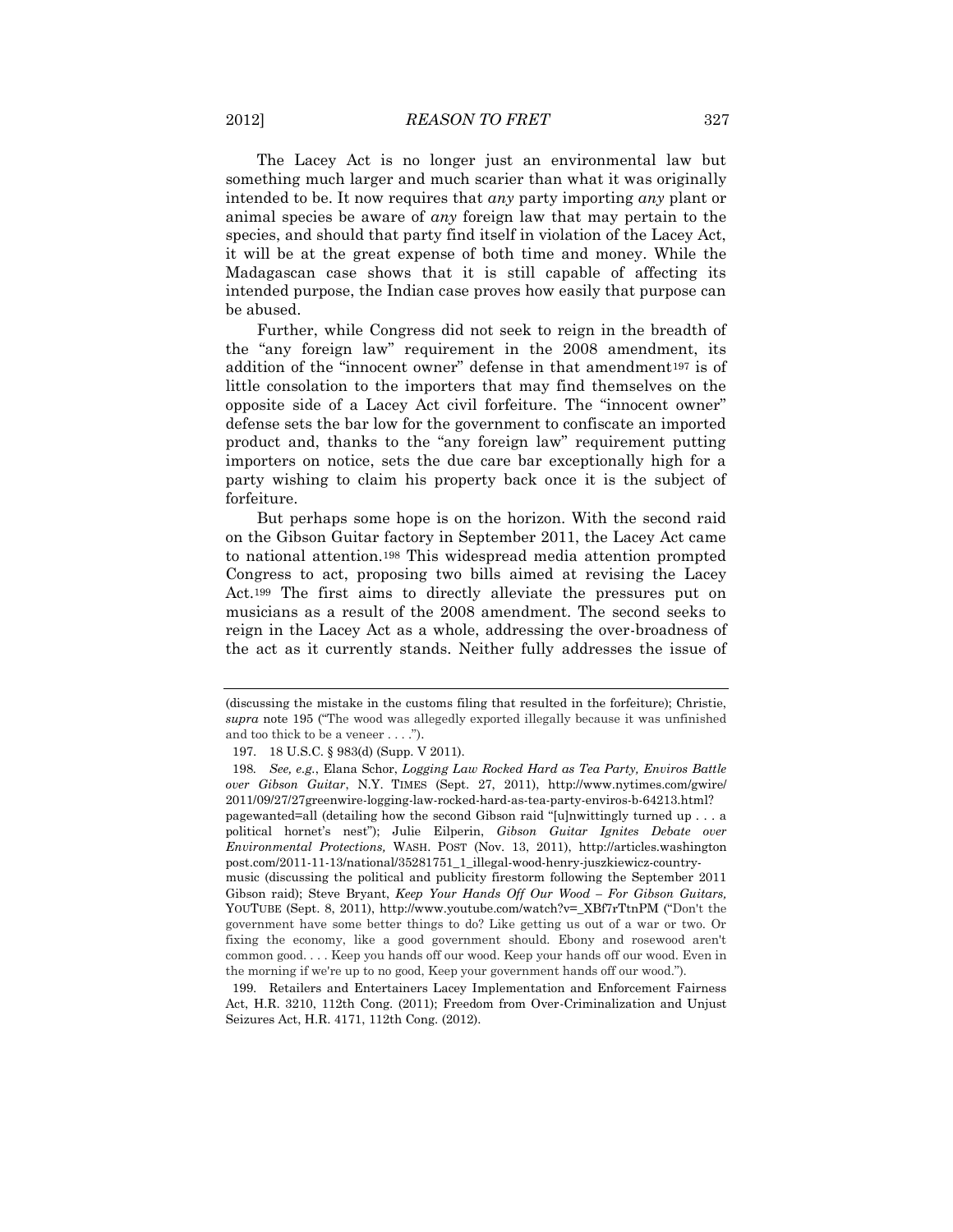The Lacey Act is no longer just an environmental law but something much larger and much scarier than what it was originally intended to be. It now requires that *any* party importing *any* plant or animal species be aware of *any* foreign law that may pertain to the species, and should that party find itself in violation of the Lacey Act, it will be at the great expense of both time and money. While the Madagascan case shows that it is still capable of affecting its intended purpose, the Indian case proves how easily that purpose can be abused.

Further, while Congress did not seek to reign in the breadth of the "any foreign law" requirement in the 2008 amendment, its addition of the "innocent owner" defense in that amendment<sup>197</sup> is of little consolation to the importers that may find themselves on the opposite side of a Lacey Act civil forfeiture. The "innocent owner" defense sets the bar low for the government to confiscate an imported product and, thanks to the "any foreign law" requirement putting importers on notice, sets the due care bar exceptionally high for a party wishing to claim his property back once it is the subject of forfeiture.

But perhaps some hope is on the horizon. With the second raid on the Gibson Guitar factory in September 2011, the Lacey Act came to national attention.<sup>198</sup> This widespread media attention prompted Congress to act, proposing two bills aimed at revising the Lacey Act.<sup>199</sup> The first aims to directly alleviate the pressures put on musicians as a result of the 2008 amendment. The second seeks to reign in the Lacey Act as a whole, addressing the over-broadness of the act as it currently stands. Neither fully addresses the issue of

<sup>(</sup>discussing the mistake in the customs filing that resulted in the forfeiture); Christie, *supra* note 195 ("The wood was allegedly exported illegally because it was unfinished and too thick to be a veneer . . . .").

<sup>197.</sup> 18 U.S.C. § 983(d) (Supp. V 2011).

<sup>198</sup>*. See, e.g.*, Elana Schor, *Logging Law Rocked Hard as Tea Party, Enviros Battle over Gibson Guitar*, N.Y. TIMES (Sept. 27, 2011), http://www.nytimes.com/gwire/ 2011/09/27/27greenwire-logging-law-rocked-hard-as-tea-party-enviros-b-64213.html?

pagewanted=all (detailing how the second Gibson raid "[u]nwittingly turned up . . . a political hornet's nest"); Julie Eilperin, *Gibson Guitar Ignites Debate over Environmental Protections,* WASH. POST (Nov. 13, 2011), http://articles.washington post.com/2011-11-13/national/35281751\_1\_illegal-wood-henry-juszkiewicz-country-

music (discussing the political and publicity firestorm following the September 2011 Gibson raid); Steve Bryant, *Keep Your Hands Off Our Wood – For Gibson Guitars,*  YOUTUBE (Sept. 8, 2011), http://www.youtube.com/watch?v=\_XBf7rTtnPM ("Don't the government have some better things to do? Like getting us out of a war or two. Or fixing the economy, like a good government should. Ebony and rosewood aren't common good. . . . Keep you hands off our wood. Keep your hands off our wood. Even in the morning if we're up to no good, Keep your government hands off our wood.").

<sup>199.</sup> Retailers and Entertainers Lacey Implementation and Enforcement Fairness Act, H.R. 3210, 112th Cong. (2011); Freedom from Over-Criminalization and Unjust Seizures Act, H.R. 4171, 112th Cong. (2012).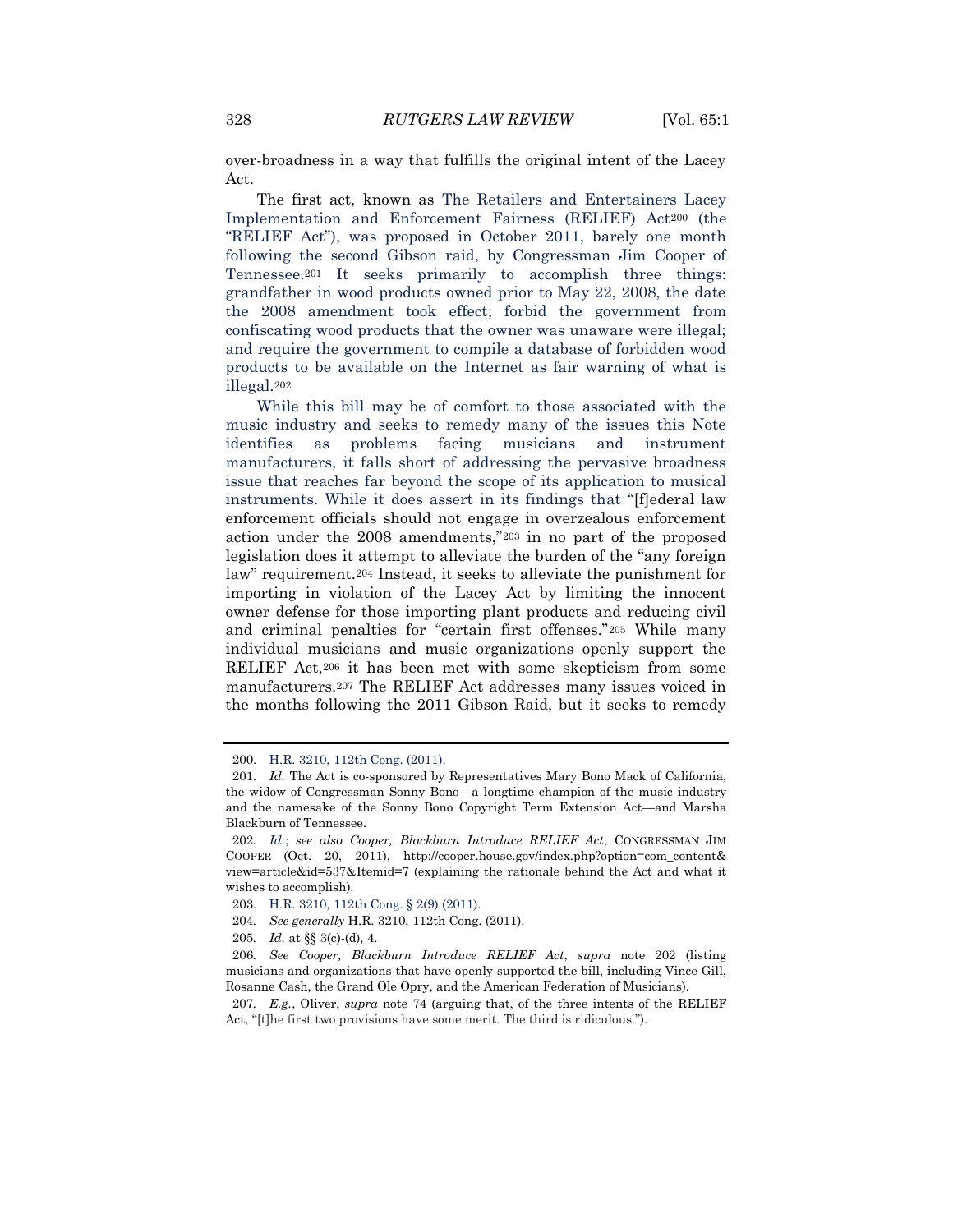over-broadness in a way that fulfills the original intent of the Lacey Act.

The first act, known as The Retailers and Entertainers Lacey Implementation and Enforcement Fairness (RELIEF) Act<sup>200</sup> (the "RELIEF Act"), was proposed in October 2011, barely one month following the second Gibson raid, by Congressman Jim Cooper of Tennessee.<sup>201</sup> It seeks primarily to accomplish three things: grandfather in wood products owned prior to May 22, 2008, the date the 2008 amendment took effect; forbid the government from confiscating wood products that the owner was unaware were illegal; and require the government to compile a database of forbidden wood products to be available on the Internet as fair warning of what is illegal.<sup>202</sup>

While this bill may be of comfort to those associated with the music industry and seeks to remedy many of the issues this Note identifies as problems facing musicians and instrument manufacturers, it falls short of addressing the pervasive broadness issue that reaches far beyond the scope of its application to musical instruments. While it does assert in its findings that "[f]ederal law enforcement officials should not engage in overzealous enforcement action under the 2008 amendments,"<sup>203</sup> in no part of the proposed legislation does it attempt to alleviate the burden of the "any foreign law" requirement.<sup>204</sup> Instead, it seeks to alleviate the punishment for importing in violation of the Lacey Act by limiting the innocent owner defense for those importing plant products and reducing civil and criminal penalties for "certain first offenses."<sup>205</sup> While many individual musicians and music organizations openly support the RELIEF Act,<sup>206</sup> it has been met with some skepticism from some manufacturers.<sup>207</sup> The RELIEF Act addresses many issues voiced in the months following the 2011 Gibson Raid, but it seeks to remedy

<sup>200.</sup> H.R. 3210, 112th Cong. (2011).

<sup>201</sup>*. Id.* The Act is co-sponsored by Representatives Mary Bono Mack of California, the widow of Congressman Sonny Bono—a longtime champion of the music industry and the namesake of the Sonny Bono Copyright Term Extension Act—and Marsha Blackburn of Tennessee.

<sup>202</sup>*. Id.*; *see also Cooper, Blackburn Introduce RELIEF Act*, CONGRESSMAN JIM COOPER (Oct. 20, 2011), http://cooper.house.gov/index.php?option=com\_content& view=article&id=537&Itemid=7 (explaining the rationale behind the Act and what it wishes to accomplish).

<sup>203.</sup> H.R. 3210, 112th Cong. § 2(9) (2011).

<sup>204</sup>*. See generally* H.R. 3210, 112th Cong. (2011).

<sup>205</sup>*. Id.* at §§ 3(c)-(d), 4.

<sup>206</sup>*. See Cooper, Blackburn Introduce RELIEF Act*, *supra* note 202 (listing musicians and organizations that have openly supported the bill, including Vince Gill, Rosanne Cash, the Grand Ole Opry, and the American Federation of Musicians).

<sup>207</sup>*. E.g.*, Oliver, *supra* note 74 (arguing that, of the three intents of the RELIEF Act, "[t]he first two provisions have some merit. The third is ridiculous.").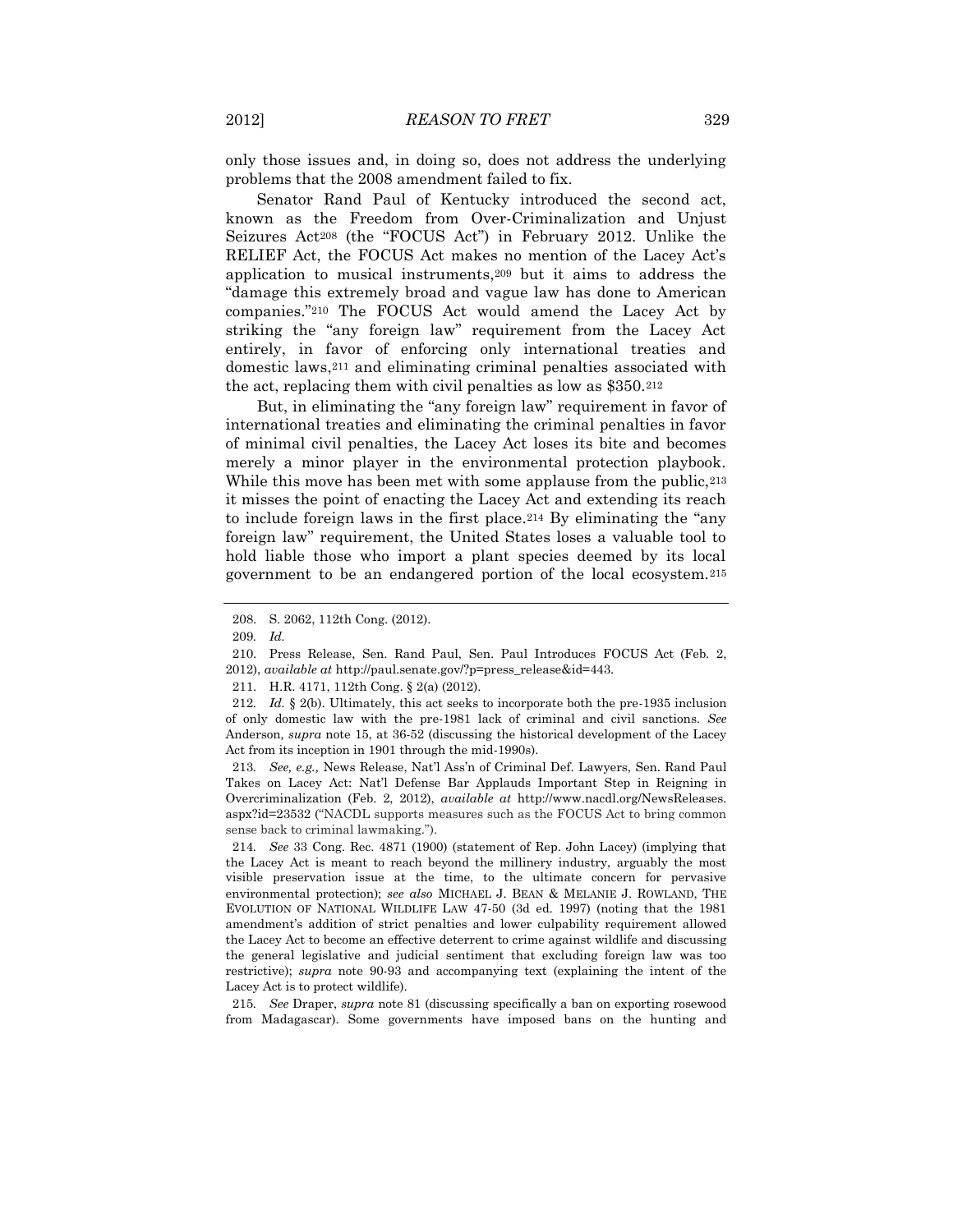only those issues and, in doing so, does not address the underlying problems that the 2008 amendment failed to fix.

Senator Rand Paul of Kentucky introduced the second act, known as the Freedom from Over-Criminalization and Unjust Seizures Act<sup>208</sup> (the "FOCUS Act") in February 2012. Unlike the RELIEF Act, the FOCUS Act makes no mention of the Lacey Act's application to musical instruments,<sup>209</sup> but it aims to address the "damage this extremely broad and vague law has done to American companies."<sup>210</sup> The FOCUS Act would amend the Lacey Act by striking the "any foreign law" requirement from the Lacey Act entirely, in favor of enforcing only international treaties and domestic laws,<sup>211</sup> and eliminating criminal penalties associated with the act, replacing them with civil penalties as low as \$350.<sup>212</sup>

But, in eliminating the "any foreign law" requirement in favor of international treaties and eliminating the criminal penalties in favor of minimal civil penalties, the Lacey Act loses its bite and becomes merely a minor player in the environmental protection playbook. While this move has been met with some applause from the public,  $213$ it misses the point of enacting the Lacey Act and extending its reach to include foreign laws in the first place.<sup>214</sup> By eliminating the "any foreign law" requirement, the United States loses a valuable tool to hold liable those who import a plant species deemed by its local government to be an endangered portion of the local ecosystem.<sup>215</sup>

213*. See, e.g.,* News Release, Nat'l Ass'n of Criminal Def. Lawyers, Sen. Rand Paul Takes on Lacey Act: Nat'l Defense Bar Applauds Important Step in Reigning in Overcriminalization (Feb. 2, 2012), *available at* http://www.nacdl.org/NewsReleases. aspx?id=23532 ("NACDL supports measures such as the FOCUS Act to bring common sense back to criminal lawmaking.").

214*. See* 33 Cong. Rec. 4871 (1900) (statement of Rep. John Lacey) (implying that the Lacey Act is meant to reach beyond the millinery industry, arguably the most visible preservation issue at the time, to the ultimate concern for pervasive environmental protection); *see also* MICHAEL J. BEAN & MELANIE J. ROWLAND, THE EVOLUTION OF NATIONAL WILDLIFE LAW 47-50 (3d ed. 1997) (noting that the 1981 amendment's addition of strict penalties and lower culpability requirement allowed the Lacey Act to become an effective deterrent to crime against wildlife and discussing the general legislative and judicial sentiment that excluding foreign law was too restrictive); *supra* note 90-93 and accompanying text (explaining the intent of the Lacey Act is to protect wildlife).

215*. See* Draper, *supra* note 81 (discussing specifically a ban on exporting rosewood from Madagascar). Some governments have imposed bans on the hunting and

<sup>208.</sup> S. 2062, 112th Cong. (2012).

<sup>209</sup>*. Id.*

<sup>210.</sup> Press Release, Sen. Rand Paul, Sen. Paul Introduces FOCUS Act (Feb. 2, 2012), *available at* http://paul.senate.gov/?p=press\_release&id=443.

<sup>211.</sup> H.R. 4171, 112th Cong. § 2(a) (2012).

<sup>212</sup>*. Id.* § 2(b). Ultimately, this act seeks to incorporate both the pre-1935 inclusion of only domestic law with the pre-1981 lack of criminal and civil sanctions. *See*  Anderson*, supra* note 15, at 36-52 (discussing the historical development of the Lacey Act from its inception in 1901 through the mid-1990s).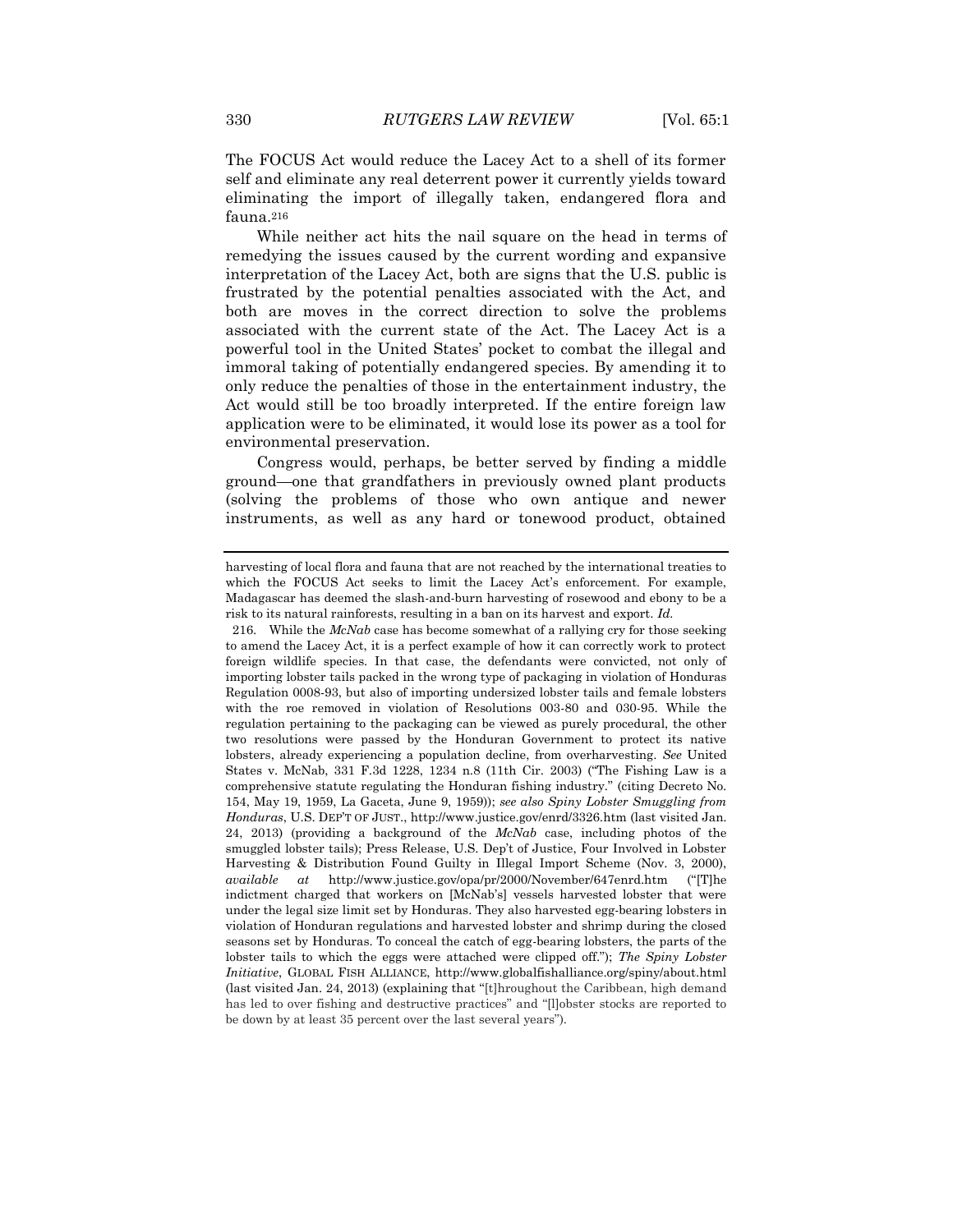The FOCUS Act would reduce the Lacey Act to a shell of its former self and eliminate any real deterrent power it currently yields toward eliminating the import of illegally taken, endangered flora and fauna.<sup>216</sup>

While neither act hits the nail square on the head in terms of remedying the issues caused by the current wording and expansive interpretation of the Lacey Act, both are signs that the U.S. public is frustrated by the potential penalties associated with the Act, and both are moves in the correct direction to solve the problems associated with the current state of the Act. The Lacey Act is a powerful tool in the United States' pocket to combat the illegal and immoral taking of potentially endangered species. By amending it to only reduce the penalties of those in the entertainment industry, the Act would still be too broadly interpreted. If the entire foreign law application were to be eliminated, it would lose its power as a tool for environmental preservation.

Congress would, perhaps, be better served by finding a middle ground—one that grandfathers in previously owned plant products (solving the problems of those who own antique and newer instruments, as well as any hard or tonewood product, obtained

harvesting of local flora and fauna that are not reached by the international treaties to which the FOCUS Act seeks to limit the Lacey Act's enforcement. For example, Madagascar has deemed the slash-and-burn harvesting of rosewood and ebony to be a risk to its natural rainforests, resulting in a ban on its harvest and export. *Id.*

<sup>216.</sup> While the *McNab* case has become somewhat of a rallying cry for those seeking to amend the Lacey Act, it is a perfect example of how it can correctly work to protect foreign wildlife species. In that case, the defendants were convicted, not only of importing lobster tails packed in the wrong type of packaging in violation of Honduras Regulation 0008-93, but also of importing undersized lobster tails and female lobsters with the roe removed in violation of Resolutions 003-80 and 030-95. While the regulation pertaining to the packaging can be viewed as purely procedural, the other two resolutions were passed by the Honduran Government to protect its native lobsters, already experiencing a population decline, from overharvesting. *See* United States v. McNab, 331 F.3d 1228, 1234 n.8 (11th Cir. 2003) ("The Fishing Law is a comprehensive statute regulating the Honduran fishing industry." (citing Decreto No. 154, May 19, 1959, La Gaceta, June 9, 1959)); *see also Spiny Lobster Smuggling from Honduras*, U.S. DEP'T OF JUST., http://www.justice.gov/enrd/3326.htm (last visited Jan. 24, 2013) (providing a background of the *McNab* case, including photos of the smuggled lobster tails); Press Release, U.S. Dep't of Justice, Four Involved in Lobster Harvesting & Distribution Found Guilty in Illegal Import Scheme (Nov. 3, 2000), *available at* http://www.justice.gov/opa/pr/2000/November/647enrd.htm ("[T]he indictment charged that workers on [McNab's] vessels harvested lobster that were under the legal size limit set by Honduras. They also harvested egg-bearing lobsters in violation of Honduran regulations and harvested lobster and shrimp during the closed seasons set by Honduras. To conceal the catch of egg-bearing lobsters, the parts of the lobster tails to which the eggs were attached were clipped off."); *The Spiny Lobster Initiative*, GLOBAL FISH ALLIANCE, http://www.globalfishalliance.org/spiny/about.html (last visited Jan. 24, 2013) (explaining that "[t]hroughout the Caribbean, high demand has led to over fishing and destructive practices" and "[l]obster stocks are reported to be down by at least 35 percent over the last several years").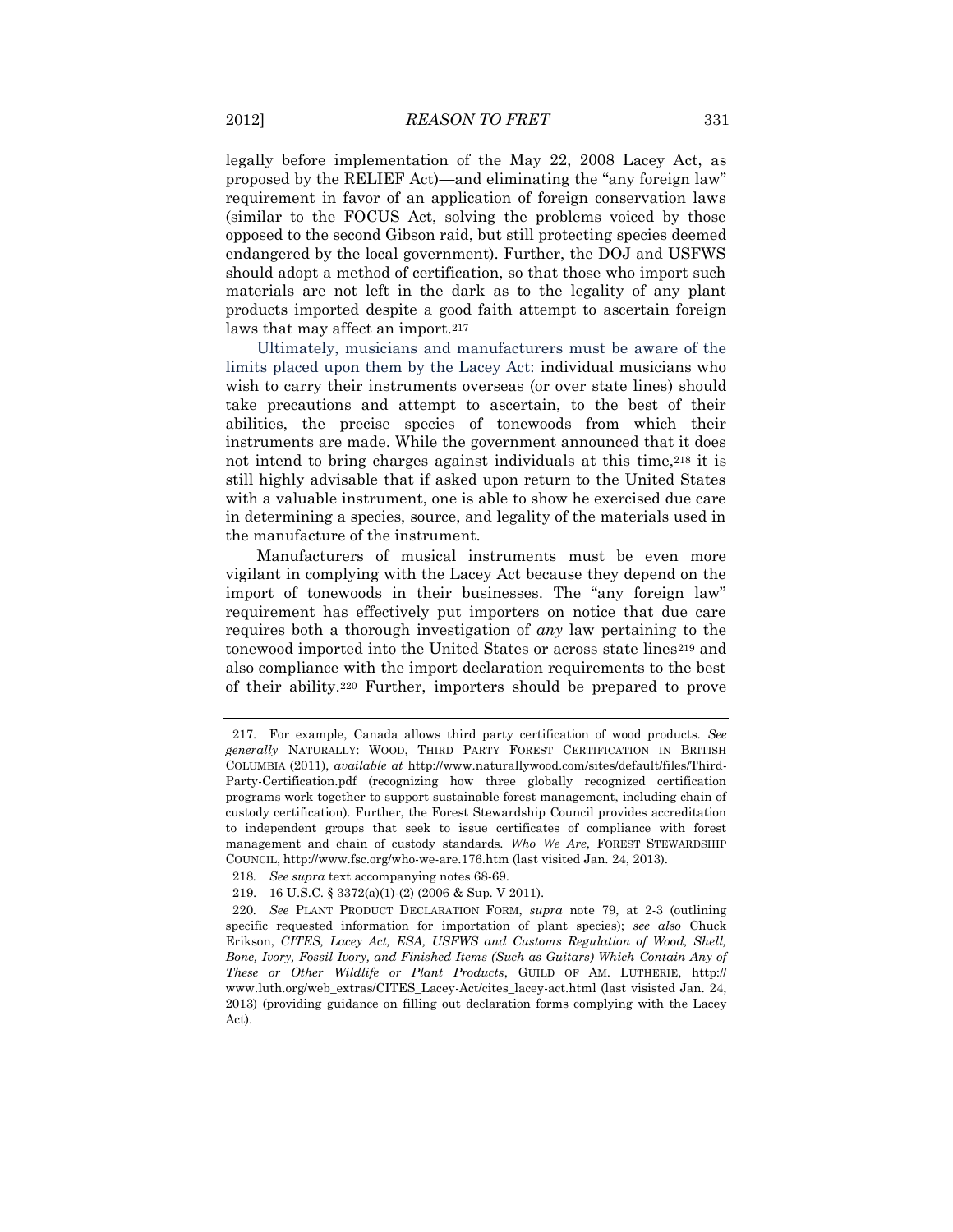legally before implementation of the May 22, 2008 Lacey Act, as proposed by the RELIEF Act)—and eliminating the "any foreign law" requirement in favor of an application of foreign conservation laws (similar to the FOCUS Act, solving the problems voiced by those opposed to the second Gibson raid, but still protecting species deemed endangered by the local government). Further, the DOJ and USFWS should adopt a method of certification, so that those who import such materials are not left in the dark as to the legality of any plant products imported despite a good faith attempt to ascertain foreign laws that may affect an import.<sup>217</sup>

Ultimately, musicians and manufacturers must be aware of the limits placed upon them by the Lacey Act: individual musicians who wish to carry their instruments overseas (or over state lines) should take precautions and attempt to ascertain, to the best of their abilities, the precise species of tonewoods from which their instruments are made. While the government announced that it does not intend to bring charges against individuals at this time,<sup>218</sup> it is still highly advisable that if asked upon return to the United States with a valuable instrument, one is able to show he exercised due care in determining a species, source, and legality of the materials used in the manufacture of the instrument.

Manufacturers of musical instruments must be even more vigilant in complying with the Lacey Act because they depend on the import of tonewoods in their businesses. The "any foreign law" requirement has effectively put importers on notice that due care requires both a thorough investigation of *any* law pertaining to the tonewood imported into the United States or across state lines<sup>219</sup> and also compliance with the import declaration requirements to the best of their ability.<sup>220</sup> Further, importers should be prepared to prove

<sup>217.</sup> For example, Canada allows third party certification of wood products. *See generally* NATURALLY: WOOD, THIRD PARTY FOREST CERTIFICATION IN BRITISH COLUMBIA (2011), *available at* http://www.naturallywood.com/sites/default/files/Third-Party-Certification.pdf (recognizing how three globally recognized certification programs work together to support sustainable forest management, including chain of custody certification). Further, the Forest Stewardship Council provides accreditation to independent groups that seek to issue certificates of compliance with forest management and chain of custody standards. *Who We Are*, FOREST STEWARDSHIP COUNCIL, http://www.fsc.org/who-we-are.176.htm (last visited Jan. 24, 2013).

<sup>218</sup>*. See supra* text accompanying notes 68-69.

<sup>219.</sup> 16 U.S.C. § 3372(a)(1)-(2) (2006 & Sup. V 2011).

<sup>220</sup>*. See* PLANT PRODUCT DECLARATION FORM, *supra* note 79, at 2-3 (outlining specific requested information for importation of plant species); *see also* Chuck Erikson, *CITES, Lacey Act, ESA, USFWS and Customs Regulation of Wood, Shell, Bone, Ivory, Fossil Ivory, and Finished Items (Such as Guitars) Which Contain Any of These or Other Wildlife or Plant Products*, GUILD OF AM. LUTHERIE, http:// www.luth.org/web\_extras/CITES\_Lacey-Act/cites\_lacey-act.html (last visisted Jan. 24, 2013) (providing guidance on filling out declaration forms complying with the Lacey Act).